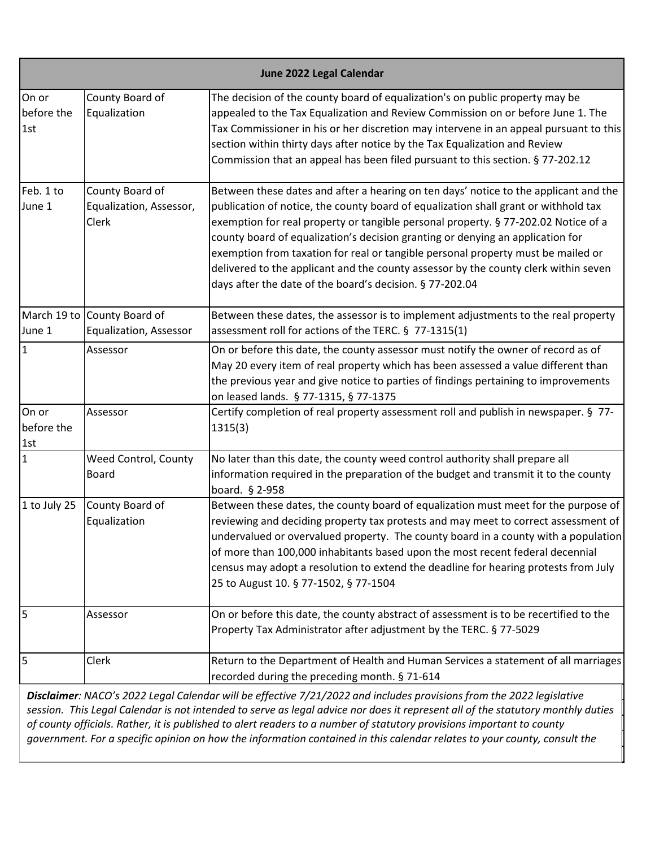|                            | June 2022 Legal Calendar                              |                                                                                                                                                                                                                                                                                                                                                                                                                                                                                                                                                                                            |  |
|----------------------------|-------------------------------------------------------|--------------------------------------------------------------------------------------------------------------------------------------------------------------------------------------------------------------------------------------------------------------------------------------------------------------------------------------------------------------------------------------------------------------------------------------------------------------------------------------------------------------------------------------------------------------------------------------------|--|
| On or<br>before the<br>1st | County Board of<br>Equalization                       | The decision of the county board of equalization's on public property may be<br>appealed to the Tax Equalization and Review Commission on or before June 1. The<br>Tax Commissioner in his or her discretion may intervene in an appeal pursuant to this<br>section within thirty days after notice by the Tax Equalization and Review<br>Commission that an appeal has been filed pursuant to this section. § 77-202.12                                                                                                                                                                   |  |
| Feb. 1 to<br>June 1        | County Board of<br>Equalization, Assessor,<br>Clerk   | Between these dates and after a hearing on ten days' notice to the applicant and the<br>publication of notice, the county board of equalization shall grant or withhold tax<br>exemption for real property or tangible personal property. § 77-202.02 Notice of a<br>county board of equalization's decision granting or denying an application for<br>exemption from taxation for real or tangible personal property must be mailed or<br>delivered to the applicant and the county assessor by the county clerk within seven<br>days after the date of the board's decision. § 77-202.04 |  |
| June 1                     | March 19 to County Board of<br>Equalization, Assessor | Between these dates, the assessor is to implement adjustments to the real property<br>assessment roll for actions of the TERC. § 77-1315(1)                                                                                                                                                                                                                                                                                                                                                                                                                                                |  |
| I1                         | Assessor                                              | On or before this date, the county assessor must notify the owner of record as of<br>May 20 every item of real property which has been assessed a value different than<br>the previous year and give notice to parties of findings pertaining to improvements<br>on leased lands. § 77-1315, § 77-1375                                                                                                                                                                                                                                                                                     |  |
| On or<br>before the<br>1st | Assessor                                              | Certify completion of real property assessment roll and publish in newspaper. § 77-<br>1315(3)                                                                                                                                                                                                                                                                                                                                                                                                                                                                                             |  |
| 1                          | Weed Control, County<br><b>Board</b>                  | No later than this date, the county weed control authority shall prepare all<br>information required in the preparation of the budget and transmit it to the county<br>board. § 2-958                                                                                                                                                                                                                                                                                                                                                                                                      |  |
| 1 to July 25               | County Board of<br>Equalization                       | Between these dates, the county board of equalization must meet for the purpose of<br>reviewing and deciding property tax protests and may meet to correct assessment of<br>undervalued or overvalued property. The county board in a county with a population<br>of more than 100,000 inhabitants based upon the most recent federal decennial<br>census may adopt a resolution to extend the deadline for hearing protests from July<br>25 to August 10. § 77-1502, § 77-1504                                                                                                            |  |
| 5                          | Assessor                                              | On or before this date, the county abstract of assessment is to be recertified to the<br>Property Tax Administrator after adjustment by the TERC. § 77-5029                                                                                                                                                                                                                                                                                                                                                                                                                                |  |
| 5                          | Clerk                                                 | Return to the Department of Health and Human Services a statement of all marriages<br>recorded during the preceding month. § 71-614                                                                                                                                                                                                                                                                                                                                                                                                                                                        |  |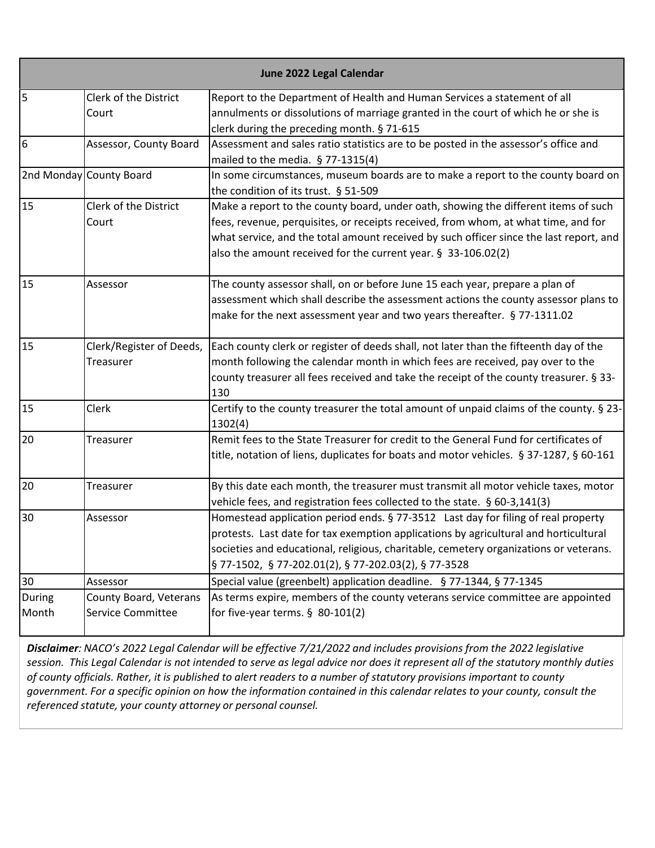|        |                          | June 2022 Legal Calendar                                                                                                        |
|--------|--------------------------|---------------------------------------------------------------------------------------------------------------------------------|
| 5      | Clerk of the District    | Report to the Department of Health and Human Services a statement of all                                                        |
|        | Court                    | annulments or dissolutions of marriage granted in the court of which he or she is<br>clerk during the preceding month. § 71-615 |
| 6      | Assessor, County Board   | Assessment and sales ratio statistics are to be posted in the assessor's office and                                             |
|        |                          | mailed to the media. $§$ 77-1315(4)                                                                                             |
|        | 2nd Monday County Board  | In some circumstances, museum boards are to make a report to the county board on                                                |
|        |                          | the condition of its trust. § 51-509                                                                                            |
| 15     | Clerk of the District    | Make a report to the county board, under oath, showing the different items of such                                              |
|        | Court                    | fees, revenue, perquisites, or receipts received, from whom, at what time, and for                                              |
|        |                          | what service, and the total amount received by such officer since the last report, and                                          |
|        |                          | also the amount received for the current year. § 33-106.02(2)                                                                   |
| 15     | Assessor                 | The county assessor shall, on or before June 15 each year, prepare a plan of                                                    |
|        |                          | assessment which shall describe the assessment actions the county assessor plans to                                             |
|        |                          | make for the next assessment year and two years thereafter. § 77-1311.02                                                        |
| 15     | Clerk/Register of Deeds, | Each county clerk or register of deeds shall, not later than the fifteenth day of the                                           |
|        | Treasurer                | month following the calendar month in which fees are received, pay over to the                                                  |
|        |                          | county treasurer all fees received and take the receipt of the county treasurer. § 33-<br>130                                   |
| 15     | Clerk                    | Certify to the county treasurer the total amount of unpaid claims of the county. § 23-<br>1302(4)                               |
| 20     | Treasurer                | Remit fees to the State Treasurer for credit to the General Fund for certificates of                                            |
|        |                          | title, notation of liens, duplicates for boats and motor vehicles. § 37-1287, § 60-161                                          |
| 20     | Treasurer                | By this date each month, the treasurer must transmit all motor vehicle taxes, motor                                             |
|        |                          | vehicle fees, and registration fees collected to the state. § 60-3,141(3)                                                       |
| 30     | Assessor                 | Homestead application period ends. § 77-3512 Last day for filing of real property                                               |
|        |                          | protests. Last date for tax exemption applications by agricultural and horticultural                                            |
|        |                          | societies and educational, religious, charitable, cemetery organizations or veterans.                                           |
|        |                          | § 77-1502, § 77-202.01(2), § 77-202.03(2), § 77-3528                                                                            |
| 30     | Assessor                 | Special value (greenbelt) application deadline. § 77-1344, § 77-1345                                                            |
| During | County Board, Veterans   | As terms expire, members of the county veterans service committee are appointed                                                 |
| Month  | Service Committee        | for five-year terms. $\S$ 80-101(2)                                                                                             |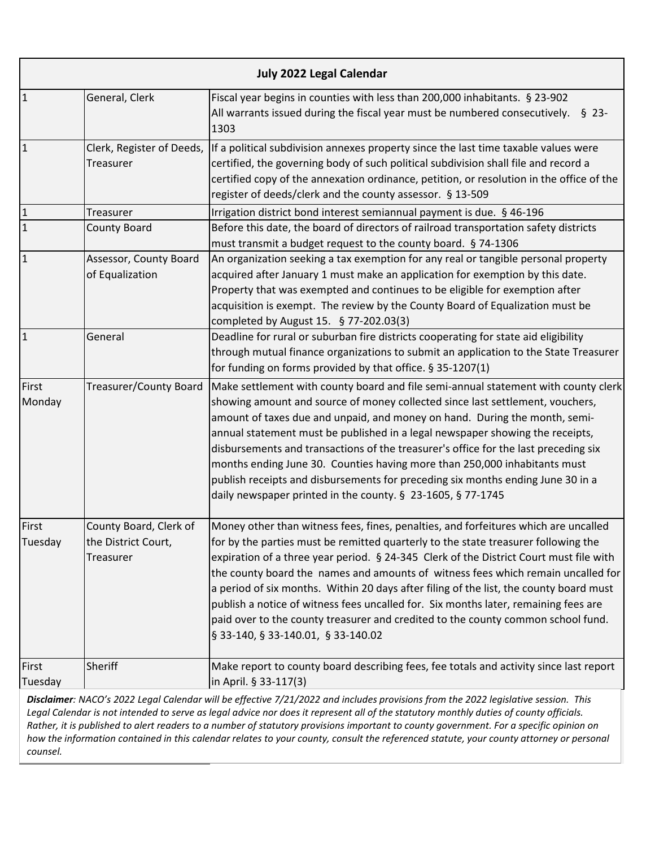| July 2022 Legal Calendar |                                                            |                                                                                                                                                                                                                                                                                                                                                                                                                                                                                                                                                                                                                                                                    |
|--------------------------|------------------------------------------------------------|--------------------------------------------------------------------------------------------------------------------------------------------------------------------------------------------------------------------------------------------------------------------------------------------------------------------------------------------------------------------------------------------------------------------------------------------------------------------------------------------------------------------------------------------------------------------------------------------------------------------------------------------------------------------|
| $\mathbf{1}$             | General, Clerk                                             | Fiscal year begins in counties with less than 200,000 inhabitants. § 23-902<br>All warrants issued during the fiscal year must be numbered consecutively. $\S$ 23-<br>1303                                                                                                                                                                                                                                                                                                                                                                                                                                                                                         |
| $\mathbf{1}$             | Clerk, Register of Deeds,<br>Treasurer                     | If a political subdivision annexes property since the last time taxable values were<br>certified, the governing body of such political subdivision shall file and record a<br>certified copy of the annexation ordinance, petition, or resolution in the office of the<br>register of deeds/clerk and the county assessor. § 13-509                                                                                                                                                                                                                                                                                                                                |
| $\mathbf{1}$             | Treasurer                                                  | Irrigation district bond interest semiannual payment is due. § 46-196                                                                                                                                                                                                                                                                                                                                                                                                                                                                                                                                                                                              |
| $\overline{1}$           | <b>County Board</b>                                        | Before this date, the board of directors of railroad transportation safety districts<br>must transmit a budget request to the county board. § 74-1306                                                                                                                                                                                                                                                                                                                                                                                                                                                                                                              |
| $\mathbf{1}$             | Assessor, County Board<br>of Equalization                  | An organization seeking a tax exemption for any real or tangible personal property<br>acquired after January 1 must make an application for exemption by this date.<br>Property that was exempted and continues to be eligible for exemption after<br>acquisition is exempt. The review by the County Board of Equalization must be<br>completed by August 15. § 77-202.03(3)                                                                                                                                                                                                                                                                                      |
| $\overline{1}$           | General                                                    | Deadline for rural or suburban fire districts cooperating for state aid eligibility<br>through mutual finance organizations to submit an application to the State Treasurer<br>for funding on forms provided by that office. § 35-1207(1)                                                                                                                                                                                                                                                                                                                                                                                                                          |
| First<br>Monday          | Treasurer/County Board                                     | Make settlement with county board and file semi-annual statement with county clerk<br>showing amount and source of money collected since last settlement, vouchers,<br>amount of taxes due and unpaid, and money on hand. During the month, semi-<br>annual statement must be published in a legal newspaper showing the receipts,<br>disbursements and transactions of the treasurer's office for the last preceding six<br>months ending June 30. Counties having more than 250,000 inhabitants must<br>publish receipts and disbursements for preceding six months ending June 30 in a<br>daily newspaper printed in the county. § 23-1605, § 77-1745           |
| First<br>Tuesday         | County Board, Clerk of<br>the District Court,<br>Treasurer | Money other than witness fees, fines, penalties, and forfeitures which are uncalled<br>for by the parties must be remitted quarterly to the state treasurer following the<br>expiration of a three year period. § 24-345 Clerk of the District Court must file with<br>the county board the names and amounts of witness fees which remain uncalled for<br>a period of six months. Within 20 days after filing of the list, the county board must<br>publish a notice of witness fees uncalled for. Six months later, remaining fees are<br>paid over to the county treasurer and credited to the county common school fund.<br>§ 33-140, § 33-140.01, § 33-140.02 |
| First<br>Tuesday         | Sheriff                                                    | Make report to county board describing fees, fee totals and activity since last report<br>in April. § 33-117(3)                                                                                                                                                                                                                                                                                                                                                                                                                                                                                                                                                    |
|                          |                                                            | Disclaimer: NACO's 2022 Legal Calendar will be effective 7/21/2022 and includes provisions from the 2022 legislative session. This                                                                                                                                                                                                                                                                                                                                                                                                                                                                                                                                 |

*Legal Calendar is not intended to serve as legal advice nor does it represent all of the statutory monthly duties of county officials. Rather, it is published to alert readers to a number of statutory provisions important to county government. For a specific opinion on how the information contained in this calendar relates to your county, consult the referenced statute, your county attorney or personal counsel.*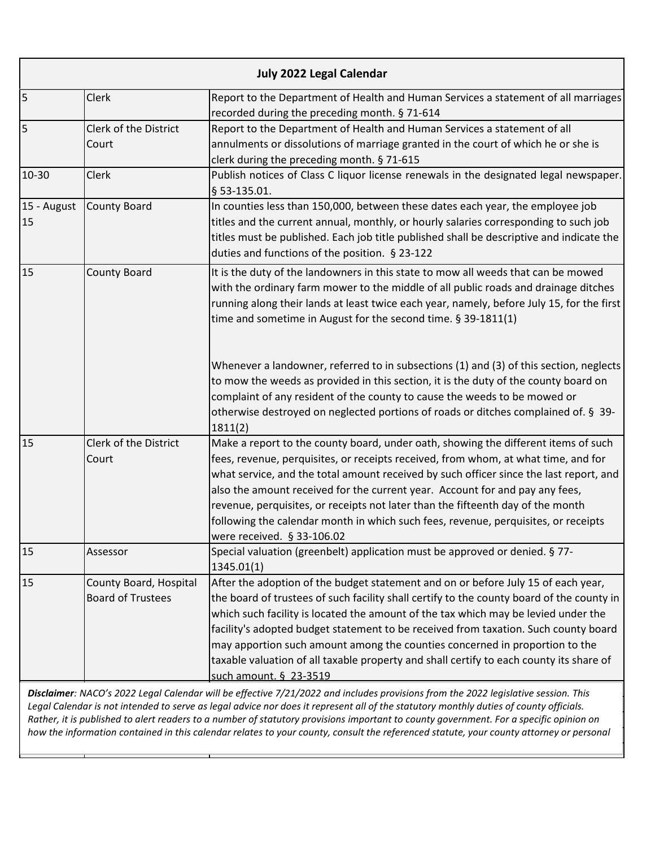|                   |                                                    | <b>July 2022 Legal Calendar</b>                                                                                                                                                                                                                                                                                                                                                                                                                                                                                                                                 |
|-------------------|----------------------------------------------------|-----------------------------------------------------------------------------------------------------------------------------------------------------------------------------------------------------------------------------------------------------------------------------------------------------------------------------------------------------------------------------------------------------------------------------------------------------------------------------------------------------------------------------------------------------------------|
| 5                 | Clerk                                              | Report to the Department of Health and Human Services a statement of all marriages<br>recorded during the preceding month. § 71-614                                                                                                                                                                                                                                                                                                                                                                                                                             |
| 5                 | Clerk of the District<br>Court                     | Report to the Department of Health and Human Services a statement of all<br>annulments or dissolutions of marriage granted in the court of which he or she is<br>clerk during the preceding month. § 71-615                                                                                                                                                                                                                                                                                                                                                     |
| 10-30             | <b>Clerk</b>                                       | Publish notices of Class C liquor license renewals in the designated legal newspaper.<br>§ 53-135.01.                                                                                                                                                                                                                                                                                                                                                                                                                                                           |
| 15 - August<br>15 | County Board                                       | In counties less than 150,000, between these dates each year, the employee job<br>titles and the current annual, monthly, or hourly salaries corresponding to such job<br>titles must be published. Each job title published shall be descriptive and indicate the<br>duties and functions of the position. § 23-122                                                                                                                                                                                                                                            |
| 15                | <b>County Board</b>                                | It is the duty of the landowners in this state to mow all weeds that can be mowed<br>with the ordinary farm mower to the middle of all public roads and drainage ditches<br>running along their lands at least twice each year, namely, before July 15, for the first<br>time and sometime in August for the second time. § 39-1811(1)                                                                                                                                                                                                                          |
|                   |                                                    | Whenever a landowner, referred to in subsections (1) and (3) of this section, neglects<br>to mow the weeds as provided in this section, it is the duty of the county board on<br>complaint of any resident of the county to cause the weeds to be mowed or<br>otherwise destroyed on neglected portions of roads or ditches complained of. § 39-<br>1811(2)                                                                                                                                                                                                     |
| 15                | Clerk of the District<br>Court                     | Make a report to the county board, under oath, showing the different items of such<br>fees, revenue, perquisites, or receipts received, from whom, at what time, and for<br>what service, and the total amount received by such officer since the last report, and<br>also the amount received for the current year. Account for and pay any fees,<br>revenue, perquisites, or receipts not later than the fifteenth day of the month<br>following the calendar month in which such fees, revenue, perquisites, or receipts<br>were received. § 33-106.02       |
| 15                | Assessor                                           | Special valuation (greenbelt) application must be approved or denied. § 77-<br>1345.01(1)                                                                                                                                                                                                                                                                                                                                                                                                                                                                       |
| 15                | County Board, Hospital<br><b>Board of Trustees</b> | After the adoption of the budget statement and on or before July 15 of each year,<br>the board of trustees of such facility shall certify to the county board of the county in<br>which such facility is located the amount of the tax which may be levied under the<br>facility's adopted budget statement to be received from taxation. Such county board<br>may apportion such amount among the counties concerned in proportion to the<br>taxable valuation of all taxable property and shall certify to each county its share of<br>such amount. § 23-3519 |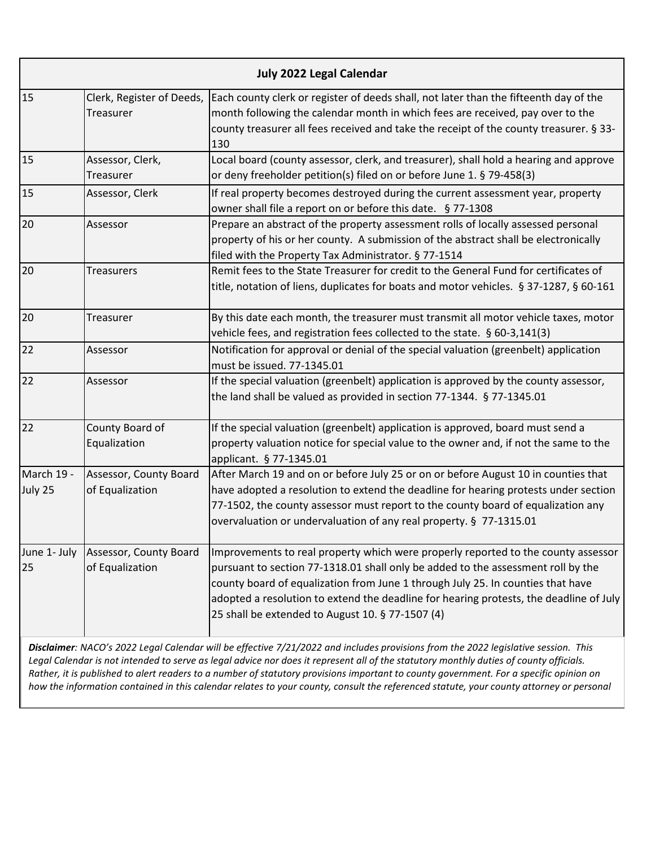| Clerk, Register of Deeds,<br>Each county clerk or register of deeds shall, not later than the fifteenth day of the<br>Treasurer<br>month following the calendar month in which fees are received, pay over to the<br>county treasurer all fees received and take the receipt of the county treasurer. § 33-<br>130<br>Assessor, Clerk,<br>Local board (county assessor, clerk, and treasurer), shall hold a hearing and approve<br>or deny freeholder petition(s) filed on or before June 1. § 79-458(3)<br>Treasurer<br>Assessor, Clerk<br>If real property becomes destroyed during the current assessment year, property<br>owner shall file a report on or before this date. § 77-1308<br>Prepare an abstract of the property assessment rolls of locally assessed personal<br>Assessor<br>property of his or her county. A submission of the abstract shall be electronically<br>filed with the Property Tax Administrator. § 77-1514<br>Remit fees to the State Treasurer for credit to the General Fund for certificates of<br><b>Treasurers</b><br>title, notation of liens, duplicates for boats and motor vehicles. § 37-1287, § 60-161<br>By this date each month, the treasurer must transmit all motor vehicle taxes, motor<br>Treasurer<br>vehicle fees, and registration fees collected to the state. § 60-3,141(3)<br>Notification for approval or denial of the special valuation (greenbelt) application<br>Assessor<br>must be issued. 77-1345.01<br>If the special valuation (greenbelt) application is approved by the county assessor,<br>Assessor<br>the land shall be valued as provided in section 77-1344. § 77-1345.01<br>County Board of<br>If the special valuation (greenbelt) application is approved, board must send a<br>Equalization<br>property valuation notice for special value to the owner and, if not the same to the<br>applicant. § 77-1345.01<br>Assessor, County Board<br>After March 19 and on or before July 25 or on or before August 10 in counties that<br>of Equalization<br>have adopted a resolution to extend the deadline for hearing protests under section<br>77-1502, the county assessor must report to the county board of equalization any<br>overvaluation or undervaluation of any real property. § 77-1315.01<br>Assessor, County Board<br>pursuant to section 77-1318.01 shall only be added to the assessment roll by the<br>of Equalization<br>county board of equalization from June 1 through July 25. In counties that have<br>25 shall be extended to August 10. § 77-1507 (4) | <b>July 2022 Legal Calendar</b> |  |                                                                                                                                                                             |
|--------------------------------------------------------------------------------------------------------------------------------------------------------------------------------------------------------------------------------------------------------------------------------------------------------------------------------------------------------------------------------------------------------------------------------------------------------------------------------------------------------------------------------------------------------------------------------------------------------------------------------------------------------------------------------------------------------------------------------------------------------------------------------------------------------------------------------------------------------------------------------------------------------------------------------------------------------------------------------------------------------------------------------------------------------------------------------------------------------------------------------------------------------------------------------------------------------------------------------------------------------------------------------------------------------------------------------------------------------------------------------------------------------------------------------------------------------------------------------------------------------------------------------------------------------------------------------------------------------------------------------------------------------------------------------------------------------------------------------------------------------------------------------------------------------------------------------------------------------------------------------------------------------------------------------------------------------------------------------------------------------------------------------------------------------------------------------------------------------------------------------------------------------------------------------------------------------------------------------------------------------------------------------------------------------------------------------------------------------------------------------------------------------------------------------------------------------------------------------------------------------------------------------------------------------|---------------------------------|--|-----------------------------------------------------------------------------------------------------------------------------------------------------------------------------|
| 15<br>15<br>20<br>20<br>20                                                                                                                                                                                                                                                                                                                                                                                                                                                                                                                                                                                                                                                                                                                                                                                                                                                                                                                                                                                                                                                                                                                                                                                                                                                                                                                                                                                                                                                                                                                                                                                                                                                                                                                                                                                                                                                                                                                                                                                                                                                                                                                                                                                                                                                                                                                                                                                                                                                                                                                             | 15                              |  |                                                                                                                                                                             |
|                                                                                                                                                                                                                                                                                                                                                                                                                                                                                                                                                                                                                                                                                                                                                                                                                                                                                                                                                                                                                                                                                                                                                                                                                                                                                                                                                                                                                                                                                                                                                                                                                                                                                                                                                                                                                                                                                                                                                                                                                                                                                                                                                                                                                                                                                                                                                                                                                                                                                                                                                        |                                 |  |                                                                                                                                                                             |
|                                                                                                                                                                                                                                                                                                                                                                                                                                                                                                                                                                                                                                                                                                                                                                                                                                                                                                                                                                                                                                                                                                                                                                                                                                                                                                                                                                                                                                                                                                                                                                                                                                                                                                                                                                                                                                                                                                                                                                                                                                                                                                                                                                                                                                                                                                                                                                                                                                                                                                                                                        |                                 |  |                                                                                                                                                                             |
|                                                                                                                                                                                                                                                                                                                                                                                                                                                                                                                                                                                                                                                                                                                                                                                                                                                                                                                                                                                                                                                                                                                                                                                                                                                                                                                                                                                                                                                                                                                                                                                                                                                                                                                                                                                                                                                                                                                                                                                                                                                                                                                                                                                                                                                                                                                                                                                                                                                                                                                                                        |                                 |  |                                                                                                                                                                             |
|                                                                                                                                                                                                                                                                                                                                                                                                                                                                                                                                                                                                                                                                                                                                                                                                                                                                                                                                                                                                                                                                                                                                                                                                                                                                                                                                                                                                                                                                                                                                                                                                                                                                                                                                                                                                                                                                                                                                                                                                                                                                                                                                                                                                                                                                                                                                                                                                                                                                                                                                                        |                                 |  |                                                                                                                                                                             |
|                                                                                                                                                                                                                                                                                                                                                                                                                                                                                                                                                                                                                                                                                                                                                                                                                                                                                                                                                                                                                                                                                                                                                                                                                                                                                                                                                                                                                                                                                                                                                                                                                                                                                                                                                                                                                                                                                                                                                                                                                                                                                                                                                                                                                                                                                                                                                                                                                                                                                                                                                        |                                 |  |                                                                                                                                                                             |
| 22<br>22                                                                                                                                                                                                                                                                                                                                                                                                                                                                                                                                                                                                                                                                                                                                                                                                                                                                                                                                                                                                                                                                                                                                                                                                                                                                                                                                                                                                                                                                                                                                                                                                                                                                                                                                                                                                                                                                                                                                                                                                                                                                                                                                                                                                                                                                                                                                                                                                                                                                                                                                               | 22                              |  |                                                                                                                                                                             |
|                                                                                                                                                                                                                                                                                                                                                                                                                                                                                                                                                                                                                                                                                                                                                                                                                                                                                                                                                                                                                                                                                                                                                                                                                                                                                                                                                                                                                                                                                                                                                                                                                                                                                                                                                                                                                                                                                                                                                                                                                                                                                                                                                                                                                                                                                                                                                                                                                                                                                                                                                        |                                 |  |                                                                                                                                                                             |
|                                                                                                                                                                                                                                                                                                                                                                                                                                                                                                                                                                                                                                                                                                                                                                                                                                                                                                                                                                                                                                                                                                                                                                                                                                                                                                                                                                                                                                                                                                                                                                                                                                                                                                                                                                                                                                                                                                                                                                                                                                                                                                                                                                                                                                                                                                                                                                                                                                                                                                                                                        |                                 |  |                                                                                                                                                                             |
| June 1- July<br>25                                                                                                                                                                                                                                                                                                                                                                                                                                                                                                                                                                                                                                                                                                                                                                                                                                                                                                                                                                                                                                                                                                                                                                                                                                                                                                                                                                                                                                                                                                                                                                                                                                                                                                                                                                                                                                                                                                                                                                                                                                                                                                                                                                                                                                                                                                                                                                                                                                                                                                                                     | March 19 -<br>July 25           |  |                                                                                                                                                                             |
| Disclaimer: NACO's 2022 Legal Calendar will be effective 7/21/2022 and includes provisions from the 2022 legislative session. This                                                                                                                                                                                                                                                                                                                                                                                                                                                                                                                                                                                                                                                                                                                                                                                                                                                                                                                                                                                                                                                                                                                                                                                                                                                                                                                                                                                                                                                                                                                                                                                                                                                                                                                                                                                                                                                                                                                                                                                                                                                                                                                                                                                                                                                                                                                                                                                                                     |                                 |  | Improvements to real property which were properly reported to the county assessor<br>adopted a resolution to extend the deadline for hearing protests, the deadline of July |

*Legal Calendar is not intended to serve as legal advice nor does it represent all of the statutory monthly duties of county officials. Rather, it is published to alert readers to a number of statutory provisions important to county government. For a specific opinion on how the information contained in this calendar relates to your county, consult the referenced statute, your county attorney or personal*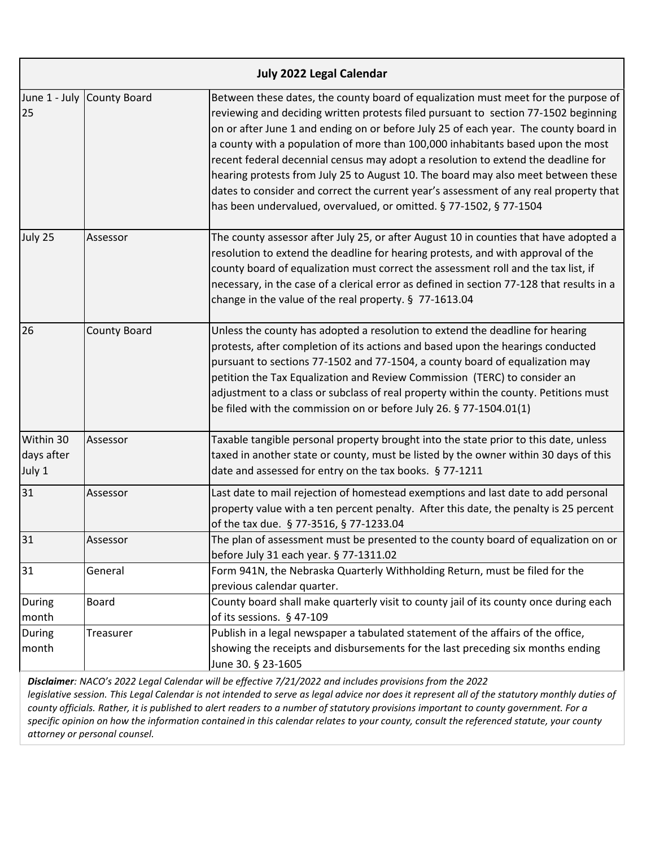|                                   |                            | <b>July 2022 Legal Calendar</b>                                                                                                                                                                                                                                                                                                                                                                                                                                                                                                                                                                                                                                                               |
|-----------------------------------|----------------------------|-----------------------------------------------------------------------------------------------------------------------------------------------------------------------------------------------------------------------------------------------------------------------------------------------------------------------------------------------------------------------------------------------------------------------------------------------------------------------------------------------------------------------------------------------------------------------------------------------------------------------------------------------------------------------------------------------|
| 25                                | June 1 - July County Board | Between these dates, the county board of equalization must meet for the purpose of<br>reviewing and deciding written protests filed pursuant to section 77-1502 beginning<br>on or after June 1 and ending on or before July 25 of each year. The county board in<br>a county with a population of more than 100,000 inhabitants based upon the most<br>recent federal decennial census may adopt a resolution to extend the deadline for<br>hearing protests from July 25 to August 10. The board may also meet between these<br>dates to consider and correct the current year's assessment of any real property that<br>has been undervalued, overvalued, or omitted. § 77-1502, § 77-1504 |
| July 25                           | Assessor                   | The county assessor after July 25, or after August 10 in counties that have adopted a<br>resolution to extend the deadline for hearing protests, and with approval of the<br>county board of equalization must correct the assessment roll and the tax list, if<br>necessary, in the case of a clerical error as defined in section 77-128 that results in a<br>change in the value of the real property. § 77-1613.04                                                                                                                                                                                                                                                                        |
| 26                                | <b>County Board</b>        | Unless the county has adopted a resolution to extend the deadline for hearing<br>protests, after completion of its actions and based upon the hearings conducted<br>pursuant to sections 77-1502 and 77-1504, a county board of equalization may<br>petition the Tax Equalization and Review Commission (TERC) to consider an<br>adjustment to a class or subclass of real property within the county. Petitions must<br>be filed with the commission on or before July 26. § 77-1504.01(1)                                                                                                                                                                                                   |
| Within 30<br>days after<br>July 1 | Assessor                   | Taxable tangible personal property brought into the state prior to this date, unless<br>taxed in another state or county, must be listed by the owner within 30 days of this<br>date and assessed for entry on the tax books. § 77-1211                                                                                                                                                                                                                                                                                                                                                                                                                                                       |
| 31                                | Assessor                   | Last date to mail rejection of homestead exemptions and last date to add personal<br>property value with a ten percent penalty. After this date, the penalty is 25 percent<br>of the tax due. § 77-3516, § 77-1233.04                                                                                                                                                                                                                                                                                                                                                                                                                                                                         |
| 31                                | Assessor                   | The plan of assessment must be presented to the county board of equalization on or<br>before July 31 each year. § 77-1311.02                                                                                                                                                                                                                                                                                                                                                                                                                                                                                                                                                                  |
| 31                                | General                    | Form 941N, the Nebraska Quarterly Withholding Return, must be filed for the<br>previous calendar quarter.                                                                                                                                                                                                                                                                                                                                                                                                                                                                                                                                                                                     |
| During<br>month                   | Board                      | County board shall make quarterly visit to county jail of its county once during each<br>of its sessions. § 47-109                                                                                                                                                                                                                                                                                                                                                                                                                                                                                                                                                                            |
| <b>During</b><br>month            | Treasurer                  | Publish in a legal newspaper a tabulated statement of the affairs of the office,<br>showing the receipts and disbursements for the last preceding six months ending<br>June 30. § 23-1605                                                                                                                                                                                                                                                                                                                                                                                                                                                                                                     |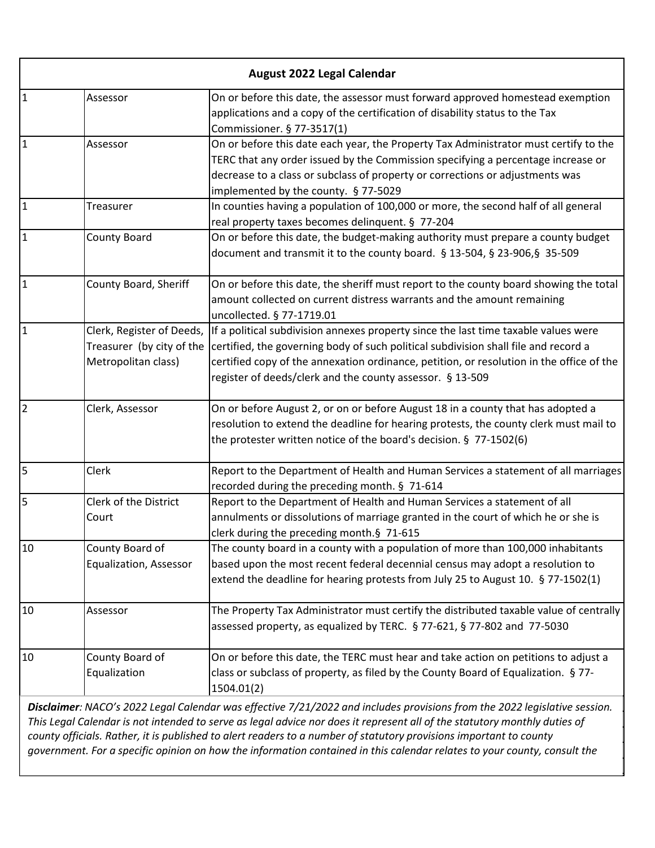|                | <b>August 2022 Legal Calendar</b>                                             |                                                                                                                                                                                                                                                                                                                                                                                                                                                                                                          |  |
|----------------|-------------------------------------------------------------------------------|----------------------------------------------------------------------------------------------------------------------------------------------------------------------------------------------------------------------------------------------------------------------------------------------------------------------------------------------------------------------------------------------------------------------------------------------------------------------------------------------------------|--|
| $\overline{1}$ | Assessor                                                                      | On or before this date, the assessor must forward approved homestead exemption<br>applications and a copy of the certification of disability status to the Tax<br>Commissioner. § 77-3517(1)                                                                                                                                                                                                                                                                                                             |  |
| $\mathbf{1}$   | Assessor                                                                      | On or before this date each year, the Property Tax Administrator must certify to the<br>TERC that any order issued by the Commission specifying a percentage increase or<br>decrease to a class or subclass of property or corrections or adjustments was<br>implemented by the county. § 77-5029                                                                                                                                                                                                        |  |
| $\overline{1}$ | Treasurer                                                                     | In counties having a population of 100,000 or more, the second half of all general<br>real property taxes becomes delinquent. § 77-204                                                                                                                                                                                                                                                                                                                                                                   |  |
| $\overline{1}$ | <b>County Board</b>                                                           | On or before this date, the budget-making authority must prepare a county budget<br>document and transmit it to the county board. § 13-504, § 23-906, § 35-509                                                                                                                                                                                                                                                                                                                                           |  |
| $\overline{1}$ | County Board, Sheriff                                                         | On or before this date, the sheriff must report to the county board showing the total<br>amount collected on current distress warrants and the amount remaining<br>uncollected. § 77-1719.01                                                                                                                                                                                                                                                                                                             |  |
| $\mathbf{1}$   | Clerk, Register of Deeds,<br>Treasurer (by city of the<br>Metropolitan class) | If a political subdivision annexes property since the last time taxable values were<br>certified, the governing body of such political subdivision shall file and record a<br>certified copy of the annexation ordinance, petition, or resolution in the office of the<br>register of deeds/clerk and the county assessor. § 13-509                                                                                                                                                                      |  |
| $\overline{2}$ | Clerk, Assessor                                                               | On or before August 2, or on or before August 18 in a county that has adopted a<br>resolution to extend the deadline for hearing protests, the county clerk must mail to<br>the protester written notice of the board's decision. § 77-1502(6)                                                                                                                                                                                                                                                           |  |
| 5              | Clerk                                                                         | Report to the Department of Health and Human Services a statement of all marriages<br>recorded during the preceding month. § 71-614                                                                                                                                                                                                                                                                                                                                                                      |  |
| 5              | Clerk of the District<br>Court                                                | Report to the Department of Health and Human Services a statement of all<br>annulments or dissolutions of marriage granted in the court of which he or she is<br>clerk during the preceding month.§ 71-615                                                                                                                                                                                                                                                                                               |  |
| 10             | County Board of<br>Equalization, Assessor                                     | The county board in a county with a population of more than 100,000 inhabitants<br>based upon the most recent federal decennial census may adopt a resolution to<br>extend the deadline for hearing protests from July 25 to August 10. § 77-1502(1)                                                                                                                                                                                                                                                     |  |
| 10             | Assessor                                                                      | The Property Tax Administrator must certify the distributed taxable value of centrally<br>assessed property, as equalized by TERC. § 77-621, § 77-802 and 77-5030                                                                                                                                                                                                                                                                                                                                        |  |
| 10             | County Board of<br>Equalization                                               | On or before this date, the TERC must hear and take action on petitions to adjust a<br>class or subclass of property, as filed by the County Board of Equalization. § 77-<br>1504.01(2)                                                                                                                                                                                                                                                                                                                  |  |
|                |                                                                               | Disclaimer: NACO's 2022 Legal Calendar was effective 7/21/2022 and includes provisions from the 2022 legislative session.<br>This Legal Calendar is not intended to serve as legal advice nor does it represent all of the statutory monthly duties of<br>county officials. Rather, it is published to alert readers to a number of statutory provisions important to county<br>government. For a specific opinion on how the information contained in this calendar relates to your county, consult the |  |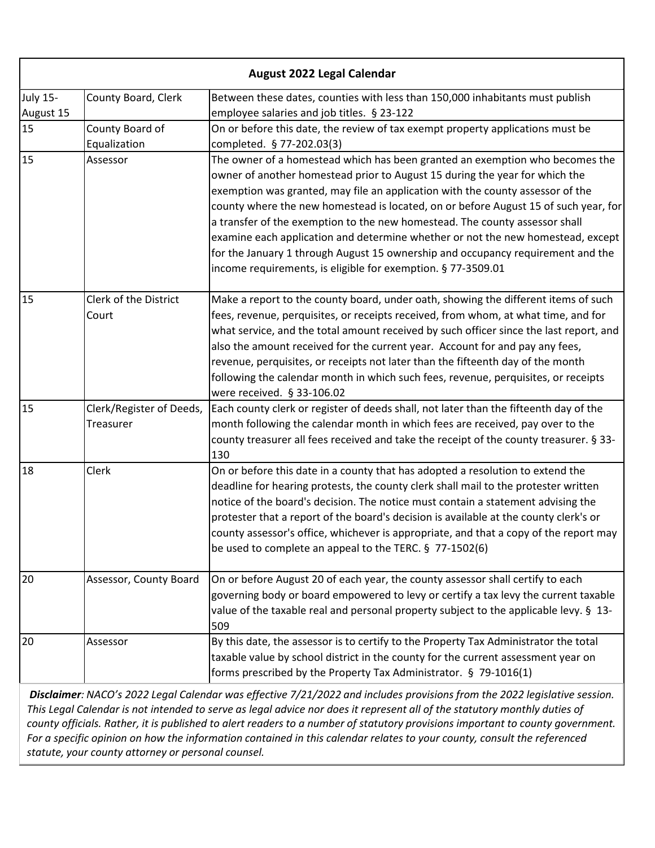| <b>August 2022 Legal Calendar</b> |                                              |                                                                                                                                                                                                                                                                                                                                                                                                                                                                                                                                                                                                                                                           |
|-----------------------------------|----------------------------------------------|-----------------------------------------------------------------------------------------------------------------------------------------------------------------------------------------------------------------------------------------------------------------------------------------------------------------------------------------------------------------------------------------------------------------------------------------------------------------------------------------------------------------------------------------------------------------------------------------------------------------------------------------------------------|
| <b>July 15-</b><br>August 15      | County Board, Clerk                          | Between these dates, counties with less than 150,000 inhabitants must publish<br>employee salaries and job titles. § 23-122                                                                                                                                                                                                                                                                                                                                                                                                                                                                                                                               |
| 15                                | County Board of<br>Equalization              | On or before this date, the review of tax exempt property applications must be<br>completed. § 77-202.03(3)                                                                                                                                                                                                                                                                                                                                                                                                                                                                                                                                               |
| 15                                | Assessor                                     | The owner of a homestead which has been granted an exemption who becomes the<br>owner of another homestead prior to August 15 during the year for which the<br>exemption was granted, may file an application with the county assessor of the<br>county where the new homestead is located, on or before August 15 of such year, for<br>a transfer of the exemption to the new homestead. The county assessor shall<br>examine each application and determine whether or not the new homestead, except<br>for the January 1 through August 15 ownership and occupancy requirement and the<br>income requirements, is eligible for exemption. § 77-3509.01 |
| 15                                | Clerk of the District<br>Court               | Make a report to the county board, under oath, showing the different items of such<br>fees, revenue, perquisites, or receipts received, from whom, at what time, and for<br>what service, and the total amount received by such officer since the last report, and<br>also the amount received for the current year. Account for and pay any fees,<br>revenue, perquisites, or receipts not later than the fifteenth day of the month<br>following the calendar month in which such fees, revenue, perquisites, or receipts<br>were received. § 33-106.02                                                                                                 |
| 15                                | Clerk/Register of Deeds,<br><b>Treasurer</b> | Each county clerk or register of deeds shall, not later than the fifteenth day of the<br>month following the calendar month in which fees are received, pay over to the<br>county treasurer all fees received and take the receipt of the county treasurer. § 33-<br>130                                                                                                                                                                                                                                                                                                                                                                                  |
| 18                                | Clerk                                        | On or before this date in a county that has adopted a resolution to extend the<br>deadline for hearing protests, the county clerk shall mail to the protester written<br>notice of the board's decision. The notice must contain a statement advising the<br>protester that a report of the board's decision is available at the county clerk's or<br>county assessor's office, whichever is appropriate, and that a copy of the report may<br>be used to complete an appeal to the TERC. § 77-1502(6)                                                                                                                                                    |
| 20                                | Assessor, County Board                       | On or before August 20 of each year, the county assessor shall certify to each<br>governing body or board empowered to levy or certify a tax levy the current taxable<br>value of the taxable real and personal property subject to the applicable levy. § 13-<br>509                                                                                                                                                                                                                                                                                                                                                                                     |
| 20                                | Assessor                                     | By this date, the assessor is to certify to the Property Tax Administrator the total<br>taxable value by school district in the county for the current assessment year on<br>forms prescribed by the Property Tax Administrator. § 79-1016(1)                                                                                                                                                                                                                                                                                                                                                                                                             |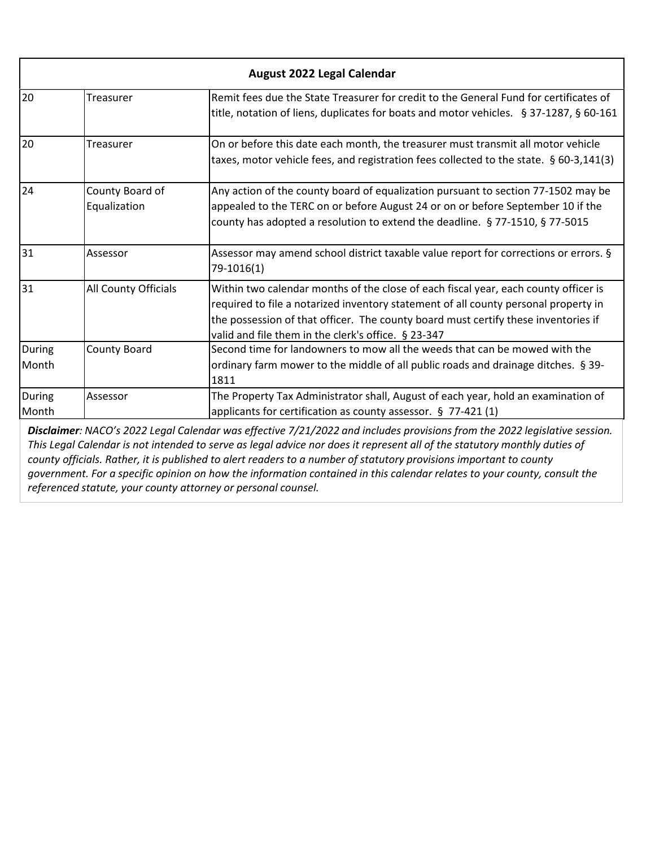| August 2022 Legal Calendar |                                 |                                                                                                                                                                                                                                                                                                                         |
|----------------------------|---------------------------------|-------------------------------------------------------------------------------------------------------------------------------------------------------------------------------------------------------------------------------------------------------------------------------------------------------------------------|
| 20                         | Treasurer                       | Remit fees due the State Treasurer for credit to the General Fund for certificates of<br>title, notation of liens, duplicates for boats and motor vehicles. § 37-1287, § 60-161                                                                                                                                         |
| 20                         | Treasurer                       | On or before this date each month, the treasurer must transmit all motor vehicle<br>taxes, motor vehicle fees, and registration fees collected to the state. § 60-3,141(3)                                                                                                                                              |
| 24                         | County Board of<br>Equalization | Any action of the county board of equalization pursuant to section 77-1502 may be<br>appealed to the TERC on or before August 24 or on or before September 10 if the<br>county has adopted a resolution to extend the deadline. § 77-1510, § 77-5015                                                                    |
| 31                         | Assessor                        | Assessor may amend school district taxable value report for corrections or errors. §<br>79-1016(1)                                                                                                                                                                                                                      |
| 31                         | All County Officials            | Within two calendar months of the close of each fiscal year, each county officer is<br>required to file a notarized inventory statement of all county personal property in<br>the possession of that officer. The county board must certify these inventories if<br>valid and file them in the clerk's office. § 23-347 |
| During<br>Month            | County Board                    | Second time for landowners to mow all the weeds that can be mowed with the<br>ordinary farm mower to the middle of all public roads and drainage ditches. § 39-<br>1811                                                                                                                                                 |
| During<br>Month            | Assessor                        | The Property Tax Administrator shall, August of each year, hold an examination of<br>applicants for certification as county assessor. § 77-421 (1)<br><b>Disclaimer:</b> NACO's 2022 Legal Calendar was effective 7/21/2022 and includes provisions from the 2022 legislative session                                   |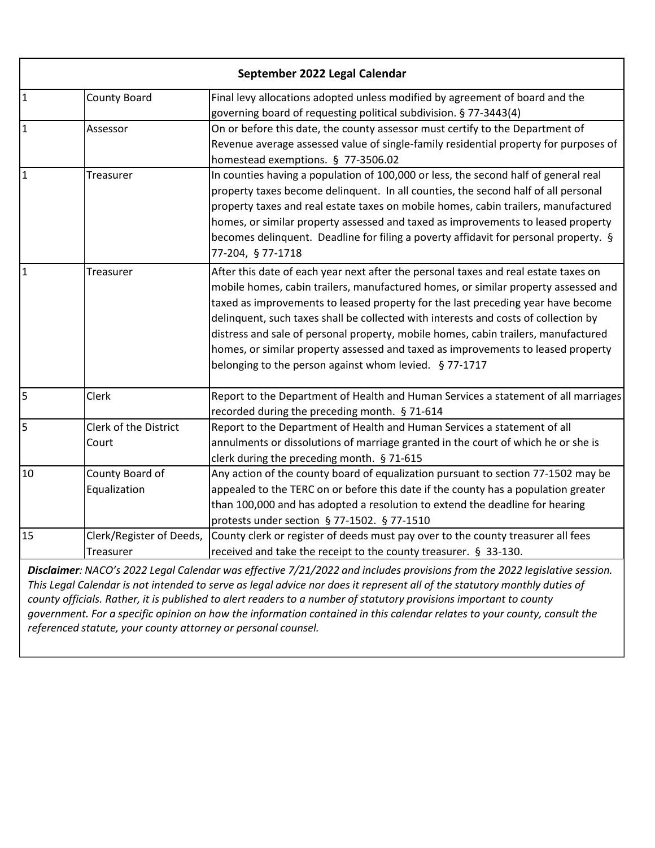| September 2022 Legal Calendar                                                                                             |                          |                                                                                                                            |
|---------------------------------------------------------------------------------------------------------------------------|--------------------------|----------------------------------------------------------------------------------------------------------------------------|
| $\overline{1}$                                                                                                            | <b>County Board</b>      | Final levy allocations adopted unless modified by agreement of board and the                                               |
|                                                                                                                           |                          | governing board of requesting political subdivision. § 77-3443(4)                                                          |
| $\mathbf{1}$                                                                                                              | Assessor                 | On or before this date, the county assessor must certify to the Department of                                              |
|                                                                                                                           |                          | Revenue average assessed value of single-family residential property for purposes of<br>homestead exemptions. § 77-3506.02 |
| $\mathbf{1}$                                                                                                              | Treasurer                | In counties having a population of 100,000 or less, the second half of general real                                        |
|                                                                                                                           |                          | property taxes become delinquent. In all counties, the second half of all personal                                         |
|                                                                                                                           |                          | property taxes and real estate taxes on mobile homes, cabin trailers, manufactured                                         |
|                                                                                                                           |                          | homes, or similar property assessed and taxed as improvements to leased property                                           |
|                                                                                                                           |                          | becomes delinquent. Deadline for filing a poverty affidavit for personal property. §<br>77-204, § 77-1718                  |
| $\mathbf{1}$                                                                                                              | Treasurer                | After this date of each year next after the personal taxes and real estate taxes on                                        |
|                                                                                                                           |                          | mobile homes, cabin trailers, manufactured homes, or similar property assessed and                                         |
|                                                                                                                           |                          | taxed as improvements to leased property for the last preceding year have become                                           |
|                                                                                                                           |                          | delinquent, such taxes shall be collected with interests and costs of collection by                                        |
|                                                                                                                           |                          | distress and sale of personal property, mobile homes, cabin trailers, manufactured                                         |
|                                                                                                                           |                          | homes, or similar property assessed and taxed as improvements to leased property                                           |
|                                                                                                                           |                          | belonging to the person against whom levied. § 77-1717                                                                     |
| 5                                                                                                                         | Clerk                    | Report to the Department of Health and Human Services a statement of all marriages                                         |
|                                                                                                                           |                          | recorded during the preceding month. § 71-614                                                                              |
| 5                                                                                                                         | Clerk of the District    | Report to the Department of Health and Human Services a statement of all                                                   |
|                                                                                                                           | Court                    | annulments or dissolutions of marriage granted in the court of which he or she is                                          |
|                                                                                                                           |                          | clerk during the preceding month. § 71-615                                                                                 |
| 10                                                                                                                        | County Board of          | Any action of the county board of equalization pursuant to section 77-1502 may be                                          |
|                                                                                                                           | Equalization             | appealed to the TERC on or before this date if the county has a population greater                                         |
|                                                                                                                           |                          | than 100,000 and has adopted a resolution to extend the deadline for hearing                                               |
|                                                                                                                           |                          | protests under section § 77-1502. § 77-1510                                                                                |
| 15                                                                                                                        | Clerk/Register of Deeds, | County clerk or register of deeds must pay over to the county treasurer all fees                                           |
|                                                                                                                           | Treasurer                | received and take the receipt to the county treasurer. § 33-130.                                                           |
| Disclaimer: NACO's 2022 Legal Calendar was effective 7/21/2022 and includes provisions from the 2022 legislative session. |                          |                                                                                                                            |

*This Legal Calendar is not intended to serve as legal advice nor does it represent all of the statutory monthly duties of county officials. Rather, it is published to alert readers to a number of statutory provisions important to county government. For a specific opinion on how the information contained in this calendar relates to your county, consult the referenced statute, your county attorney or personal counsel.*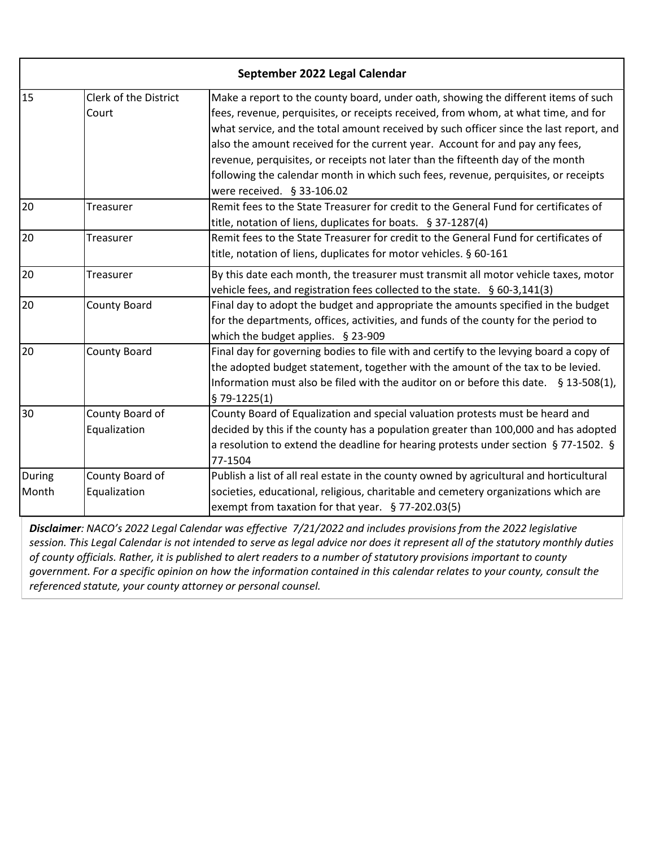|        |                                | September 2022 Legal Calendar                                                                                                                                            |
|--------|--------------------------------|--------------------------------------------------------------------------------------------------------------------------------------------------------------------------|
| 15     | Clerk of the District<br>Court | Make a report to the county board, under oath, showing the different items of such<br>fees, revenue, perquisites, or receipts received, from whom, at what time, and for |
|        |                                | what service, and the total amount received by such officer since the last report, and                                                                                   |
|        |                                | also the amount received for the current year. Account for and pay any fees,                                                                                             |
|        |                                | revenue, perquisites, or receipts not later than the fifteenth day of the month                                                                                          |
|        |                                | following the calendar month in which such fees, revenue, perquisites, or receipts                                                                                       |
|        |                                | were received. § 33-106.02                                                                                                                                               |
| 20     | Treasurer                      | Remit fees to the State Treasurer for credit to the General Fund for certificates of                                                                                     |
|        |                                | title, notation of liens, duplicates for boats. § 37-1287(4)                                                                                                             |
| 20     | Treasurer                      | Remit fees to the State Treasurer for credit to the General Fund for certificates of                                                                                     |
|        |                                | title, notation of liens, duplicates for motor vehicles. § 60-161                                                                                                        |
| 20     | Treasurer                      | By this date each month, the treasurer must transmit all motor vehicle taxes, motor                                                                                      |
|        |                                | vehicle fees, and registration fees collected to the state. § 60-3,141(3)                                                                                                |
| 20     | <b>County Board</b>            | Final day to adopt the budget and appropriate the amounts specified in the budget                                                                                        |
|        |                                | for the departments, offices, activities, and funds of the county for the period to                                                                                      |
|        |                                | which the budget applies. § 23-909                                                                                                                                       |
| 20     | County Board                   | Final day for governing bodies to file with and certify to the levying board a copy of                                                                                   |
|        |                                | the adopted budget statement, together with the amount of the tax to be levied.                                                                                          |
|        |                                | Information must also be filed with the auditor on or before this date. $\S$ 13-508(1),                                                                                  |
|        |                                | $$79-1225(1)$                                                                                                                                                            |
| 30     | County Board of                | County Board of Equalization and special valuation protests must be heard and                                                                                            |
|        | Equalization                   | decided by this if the county has a population greater than 100,000 and has adopted                                                                                      |
|        |                                | a resolution to extend the deadline for hearing protests under section § 77-1502. §                                                                                      |
|        |                                | 77-1504                                                                                                                                                                  |
| During | County Board of                | Publish a list of all real estate in the county owned by agricultural and horticultural                                                                                  |
| Month  | Equalization                   | societies, educational, religious, charitable and cemetery organizations which are                                                                                       |
|        |                                | exempt from taxation for that year. $§$ 77-202.03(5)                                                                                                                     |
|        |                                | Disclaimer: NACO's 2022 Legal Calendar was effective 7/21/2022 and includes provisions from the 2022 legislative                                                         |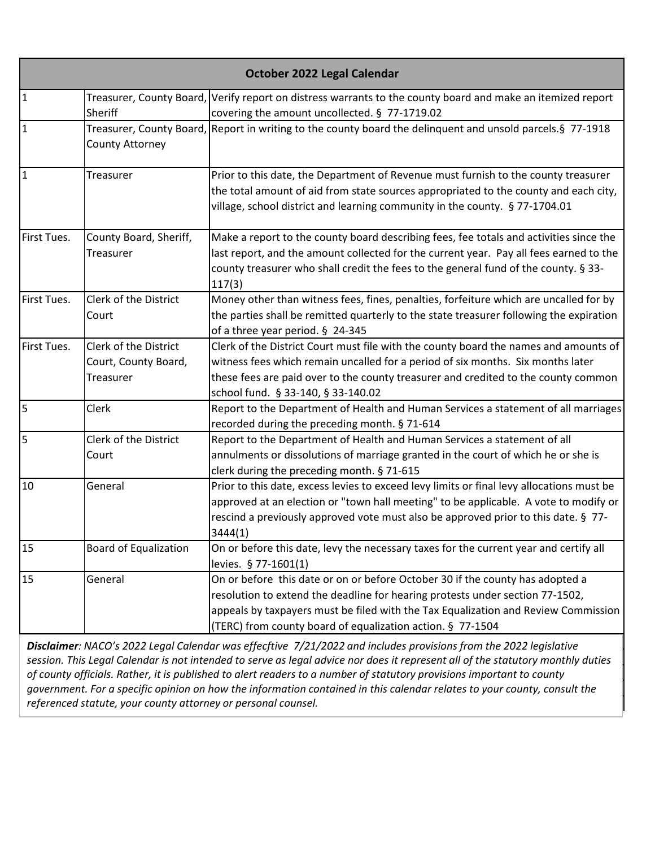|             |                                                            | October 2022 Legal Calendar                                                                                                                                                                                                                                                                                        |
|-------------|------------------------------------------------------------|--------------------------------------------------------------------------------------------------------------------------------------------------------------------------------------------------------------------------------------------------------------------------------------------------------------------|
| 1           | Sheriff                                                    | Treasurer, County Board, Verify report on distress warrants to the county board and make an itemized report<br>covering the amount uncollected. § 77-1719.02                                                                                                                                                       |
| 1           | County Attorney                                            | Treasurer, County Board, Report in writing to the county board the delinquent and unsold parcels. § 77-1918                                                                                                                                                                                                        |
| 1           | Treasurer                                                  | Prior to this date, the Department of Revenue must furnish to the county treasurer<br>the total amount of aid from state sources appropriated to the county and each city,<br>village, school district and learning community in the county. § 77-1704.01                                                          |
| First Tues. | County Board, Sheriff,<br>Treasurer                        | Make a report to the county board describing fees, fee totals and activities since the<br>last report, and the amount collected for the current year. Pay all fees earned to the<br>county treasurer who shall credit the fees to the general fund of the county. § 33-<br>117(3)                                  |
| First Tues. | <b>Clerk of the District</b><br>Court                      | Money other than witness fees, fines, penalties, forfeiture which are uncalled for by<br>the parties shall be remitted quarterly to the state treasurer following the expiration<br>of a three year period. § 24-345                                                                                               |
| First Tues. | Clerk of the District<br>Court, County Board,<br>Treasurer | Clerk of the District Court must file with the county board the names and amounts of<br>witness fees which remain uncalled for a period of six months. Six months later<br>these fees are paid over to the county treasurer and credited to the county common<br>school fund. § 33-140, § 33-140.02                |
| 5           | Clerk                                                      | Report to the Department of Health and Human Services a statement of all marriages<br>recorded during the preceding month. § 71-614                                                                                                                                                                                |
| l5          | Clerk of the District<br>Court                             | Report to the Department of Health and Human Services a statement of all<br>annulments or dissolutions of marriage granted in the court of which he or she is<br>clerk during the preceding month. § 71-615                                                                                                        |
| 10          | General                                                    | Prior to this date, excess levies to exceed levy limits or final levy allocations must be<br>approved at an election or "town hall meeting" to be applicable. A vote to modify or<br>rescind a previously approved vote must also be approved prior to this date. § 77-<br>3444(1)                                 |
| 15          | <b>Board of Equalization</b>                               | On or before this date, levy the necessary taxes for the current year and certify all<br>levies. § 77-1601(1)                                                                                                                                                                                                      |
| 15          | General                                                    | On or before this date or on or before October 30 if the county has adopted a<br>resolution to extend the deadline for hearing protests under section 77-1502,<br>appeals by taxpayers must be filed with the Tax Equalization and Review Commission<br>(TERC) from county board of equalization action. § 77-1504 |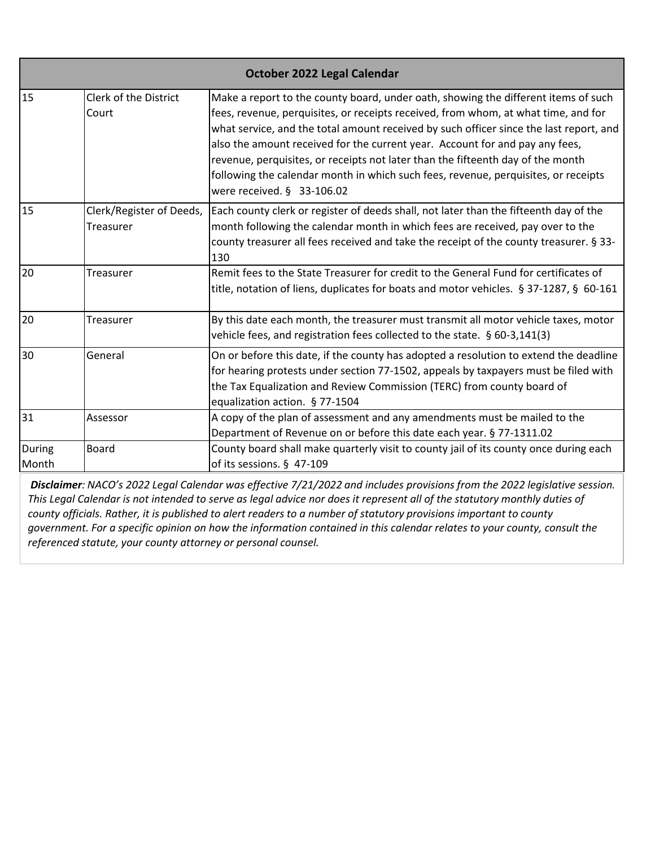|                 | October 2022 Legal Calendar           |                                                                                                                                                                                                                                                                                                                                                                                                                                                                                                                                                             |  |
|-----------------|---------------------------------------|-------------------------------------------------------------------------------------------------------------------------------------------------------------------------------------------------------------------------------------------------------------------------------------------------------------------------------------------------------------------------------------------------------------------------------------------------------------------------------------------------------------------------------------------------------------|--|
| 15              | Clerk of the District<br>Court        | Make a report to the county board, under oath, showing the different items of such<br>fees, revenue, perquisites, or receipts received, from whom, at what time, and for<br>what service, and the total amount received by such officer since the last report, and<br>also the amount received for the current year. Account for and pay any fees,<br>revenue, perquisites, or receipts not later than the fifteenth day of the month<br>following the calendar month in which such fees, revenue, perquisites, or receipts<br>were received. $§$ 33-106.02 |  |
| 15              | Clerk/Register of Deeds,<br>Treasurer | Each county clerk or register of deeds shall, not later than the fifteenth day of the<br>month following the calendar month in which fees are received, pay over to the<br>county treasurer all fees received and take the receipt of the county treasurer. § 33-<br>130                                                                                                                                                                                                                                                                                    |  |
| 20              | Treasurer                             | Remit fees to the State Treasurer for credit to the General Fund for certificates of<br>title, notation of liens, duplicates for boats and motor vehicles. § 37-1287, § 60-161                                                                                                                                                                                                                                                                                                                                                                              |  |
| 20              | Treasurer                             | By this date each month, the treasurer must transmit all motor vehicle taxes, motor<br>vehicle fees, and registration fees collected to the state. § 60-3,141(3)                                                                                                                                                                                                                                                                                                                                                                                            |  |
| 30              | General                               | On or before this date, if the county has adopted a resolution to extend the deadline<br>for hearing protests under section 77-1502, appeals by taxpayers must be filed with<br>the Tax Equalization and Review Commission (TERC) from county board of<br>equalization action. § 77-1504                                                                                                                                                                                                                                                                    |  |
| 31              | Assessor                              | A copy of the plan of assessment and any amendments must be mailed to the<br>Department of Revenue on or before this date each year. § 77-1311.02                                                                                                                                                                                                                                                                                                                                                                                                           |  |
| During<br>Month | <b>Board</b>                          | County board shall make quarterly visit to county jail of its county once during each<br>of its sessions. § 47-109                                                                                                                                                                                                                                                                                                                                                                                                                                          |  |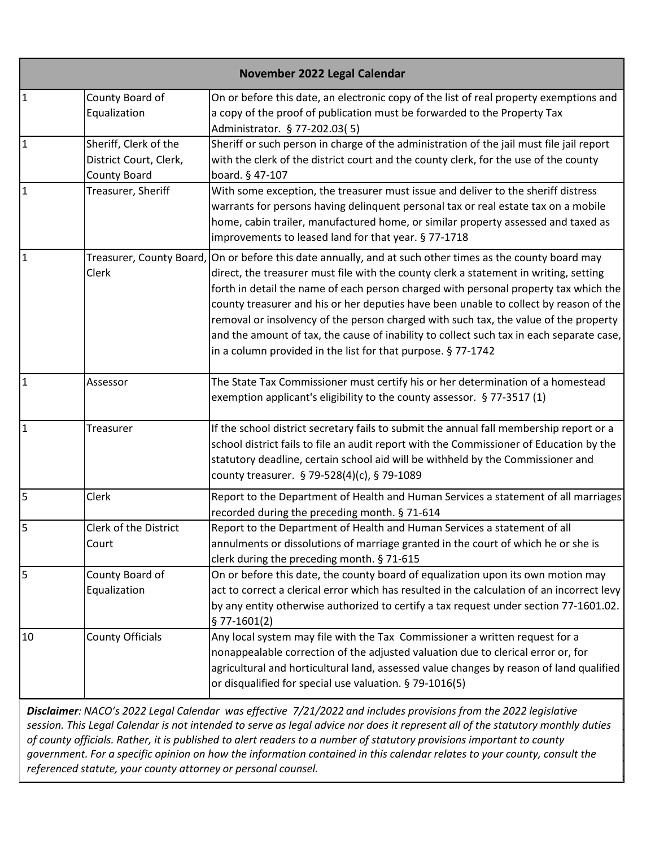|                | November 2022 Legal Calendar                                           |                                                                                                                                                                                                                                                                                                                                                                                                                                                                                                                                                                                                                |  |
|----------------|------------------------------------------------------------------------|----------------------------------------------------------------------------------------------------------------------------------------------------------------------------------------------------------------------------------------------------------------------------------------------------------------------------------------------------------------------------------------------------------------------------------------------------------------------------------------------------------------------------------------------------------------------------------------------------------------|--|
| $\overline{1}$ | County Board of<br>Equalization                                        | On or before this date, an electronic copy of the list of real property exemptions and<br>a copy of the proof of publication must be forwarded to the Property Tax<br>Administrator. § 77-202.03(5)                                                                                                                                                                                                                                                                                                                                                                                                            |  |
| $\overline{1}$ | Sheriff, Clerk of the<br>District Court, Clerk,<br><b>County Board</b> | Sheriff or such person in charge of the administration of the jail must file jail report<br>with the clerk of the district court and the county clerk, for the use of the county<br>board. § 47-107                                                                                                                                                                                                                                                                                                                                                                                                            |  |
| $\overline{1}$ | Treasurer, Sheriff                                                     | With some exception, the treasurer must issue and deliver to the sheriff distress<br>warrants for persons having delinquent personal tax or real estate tax on a mobile<br>home, cabin trailer, manufactured home, or similar property assessed and taxed as<br>improvements to leased land for that year. § 77-1718                                                                                                                                                                                                                                                                                           |  |
| $\mathbf{1}$   | Treasurer, County Board,<br>Clerk                                      | On or before this date annually, and at such other times as the county board may<br>direct, the treasurer must file with the county clerk a statement in writing, setting<br>forth in detail the name of each person charged with personal property tax which the<br>county treasurer and his or her deputies have been unable to collect by reason of the<br>removal or insolvency of the person charged with such tax, the value of the property<br>and the amount of tax, the cause of inability to collect such tax in each separate case,<br>in a column provided in the list for that purpose. § 77-1742 |  |
| $\mathbf{1}$   | Assessor                                                               | The State Tax Commissioner must certify his or her determination of a homestead<br>exemption applicant's eligibility to the county assessor. § 77-3517 (1)                                                                                                                                                                                                                                                                                                                                                                                                                                                     |  |
| $\overline{1}$ | <b>Treasurer</b>                                                       | If the school district secretary fails to submit the annual fall membership report or a<br>school district fails to file an audit report with the Commissioner of Education by the<br>statutory deadline, certain school aid will be withheld by the Commissioner and<br>county treasurer. § 79-528(4)(c), § 79-1089                                                                                                                                                                                                                                                                                           |  |
| $\overline{5}$ | Clerk                                                                  | Report to the Department of Health and Human Services a statement of all marriages<br>recorded during the preceding month. § 71-614                                                                                                                                                                                                                                                                                                                                                                                                                                                                            |  |
| 5              | Clerk of the District<br>Court                                         | Report to the Department of Health and Human Services a statement of all<br>annulments or dissolutions of marriage granted in the court of which he or she is<br>clerk during the preceding month. § 71-615                                                                                                                                                                                                                                                                                                                                                                                                    |  |
| 5              | County Board of<br>Equalization                                        | On or before this date, the county board of equalization upon its own motion may<br>act to correct a clerical error which has resulted in the calculation of an incorrect levy<br>by any entity otherwise authorized to certify a tax request under section 77-1601.02.<br>$$77-1601(2)$                                                                                                                                                                                                                                                                                                                       |  |
| 10             | <b>County Officials</b>                                                | Any local system may file with the Tax Commissioner a written request for a<br>nonappealable correction of the adjusted valuation due to clerical error or, for<br>agricultural and horticultural land, assessed value changes by reason of land qualified<br>or disqualified for special use valuation. § 79-1016(5)                                                                                                                                                                                                                                                                                          |  |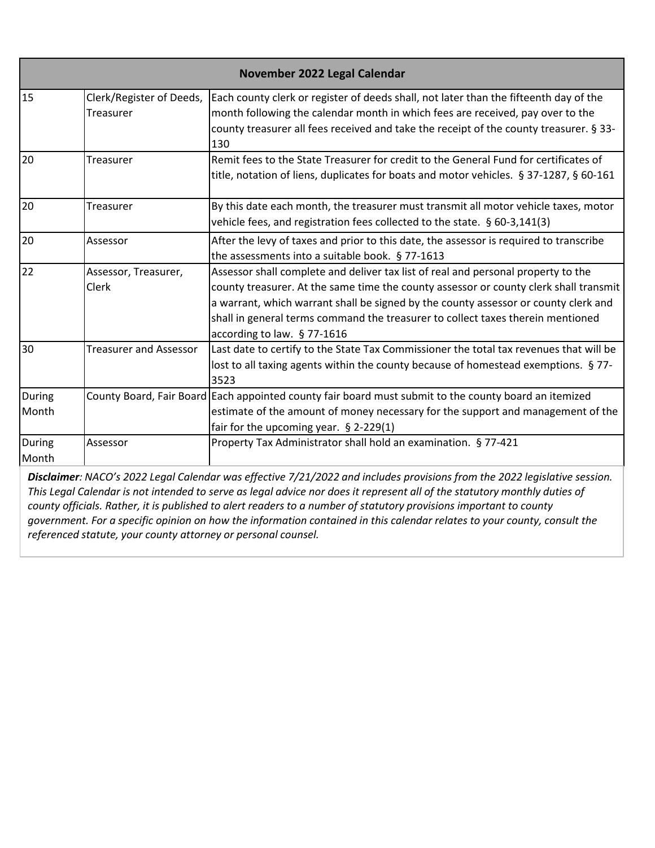|                        |                                       | November 2022 Legal Calendar                                                                                                                                                                                                                                                                                                                                                        |
|------------------------|---------------------------------------|-------------------------------------------------------------------------------------------------------------------------------------------------------------------------------------------------------------------------------------------------------------------------------------------------------------------------------------------------------------------------------------|
| 15                     | Clerk/Register of Deeds,<br>Treasurer | Each county clerk or register of deeds shall, not later than the fifteenth day of the<br>month following the calendar month in which fees are received, pay over to the<br>county treasurer all fees received and take the receipt of the county treasurer. § 33-<br>130                                                                                                            |
| 20                     | Treasurer                             | Remit fees to the State Treasurer for credit to the General Fund for certificates of<br>title, notation of liens, duplicates for boats and motor vehicles. § 37-1287, § 60-161                                                                                                                                                                                                      |
| 20                     | Treasurer                             | By this date each month, the treasurer must transmit all motor vehicle taxes, motor<br>vehicle fees, and registration fees collected to the state. § 60-3,141(3)                                                                                                                                                                                                                    |
| 20                     | Assessor                              | After the levy of taxes and prior to this date, the assessor is required to transcribe<br>the assessments into a suitable book. § 77-1613                                                                                                                                                                                                                                           |
| 22                     | Assessor, Treasurer,<br><b>Clerk</b>  | Assessor shall complete and deliver tax list of real and personal property to the<br>county treasurer. At the same time the county assessor or county clerk shall transmit<br>a warrant, which warrant shall be signed by the county assessor or county clerk and<br>shall in general terms command the treasurer to collect taxes therein mentioned<br>according to law. § 77-1616 |
| 30                     | <b>Treasurer and Assessor</b>         | Last date to certify to the State Tax Commissioner the total tax revenues that will be<br>lost to all taxing agents within the county because of homestead exemptions. § 77-<br>3523                                                                                                                                                                                                |
| <b>During</b><br>Month |                                       | County Board, Fair Board Each appointed county fair board must submit to the county board an itemized<br>estimate of the amount of money necessary for the support and management of the<br>fair for the upcoming year. $\S$ 2-229(1)                                                                                                                                               |
| During<br>Month        | Assessor                              | Property Tax Administrator shall hold an examination. § 77-421                                                                                                                                                                                                                                                                                                                      |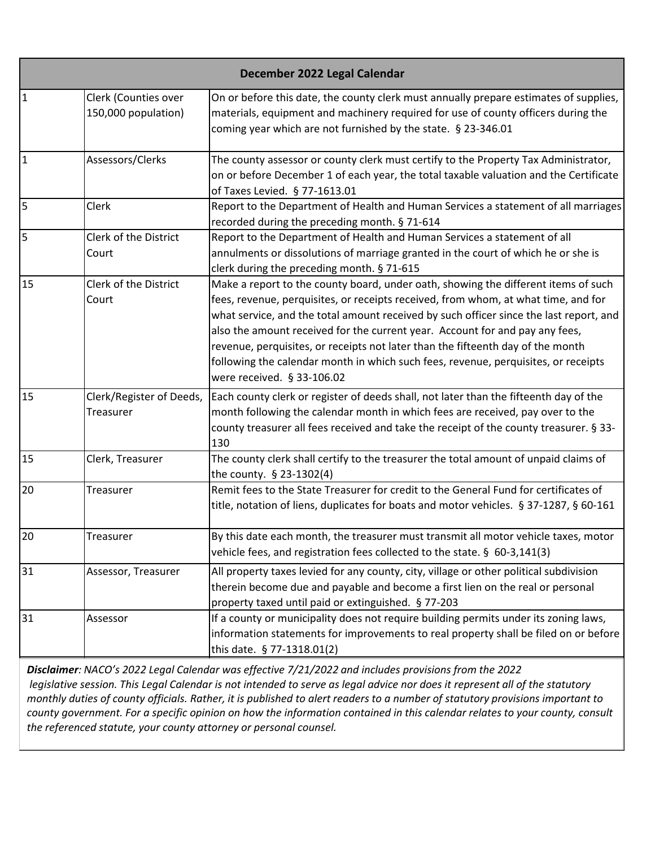|                | December 2022 Legal Calendar                |                                                                                                                                                                                                                                                                                                                                                                                                                                                                                                                                                           |  |
|----------------|---------------------------------------------|-----------------------------------------------------------------------------------------------------------------------------------------------------------------------------------------------------------------------------------------------------------------------------------------------------------------------------------------------------------------------------------------------------------------------------------------------------------------------------------------------------------------------------------------------------------|--|
| $\mathbf{1}$   | Clerk (Counties over<br>150,000 population) | On or before this date, the county clerk must annually prepare estimates of supplies,<br>materials, equipment and machinery required for use of county officers during the<br>coming year which are not furnished by the state. § 23-346.01                                                                                                                                                                                                                                                                                                               |  |
| $\overline{1}$ | Assessors/Clerks                            | The county assessor or county clerk must certify to the Property Tax Administrator,<br>on or before December 1 of each year, the total taxable valuation and the Certificate<br>of Taxes Levied. § 77-1613.01                                                                                                                                                                                                                                                                                                                                             |  |
| 5              | Clerk                                       | Report to the Department of Health and Human Services a statement of all marriages<br>recorded during the preceding month. § 71-614                                                                                                                                                                                                                                                                                                                                                                                                                       |  |
| 5              | Clerk of the District<br>Court              | Report to the Department of Health and Human Services a statement of all<br>annulments or dissolutions of marriage granted in the court of which he or she is<br>clerk during the preceding month. § 71-615                                                                                                                                                                                                                                                                                                                                               |  |
| 15             | Clerk of the District<br>Court              | Make a report to the county board, under oath, showing the different items of such<br>fees, revenue, perquisites, or receipts received, from whom, at what time, and for<br>what service, and the total amount received by such officer since the last report, and<br>also the amount received for the current year. Account for and pay any fees,<br>revenue, perquisites, or receipts not later than the fifteenth day of the month<br>following the calendar month in which such fees, revenue, perquisites, or receipts<br>were received. § 33-106.02 |  |
| 15             | Clerk/Register of Deeds,<br>Treasurer       | Each county clerk or register of deeds shall, not later than the fifteenth day of the<br>month following the calendar month in which fees are received, pay over to the<br>county treasurer all fees received and take the receipt of the county treasurer. § 33-<br>130                                                                                                                                                                                                                                                                                  |  |
| 15             | Clerk, Treasurer                            | The county clerk shall certify to the treasurer the total amount of unpaid claims of<br>the county. § 23-1302(4)                                                                                                                                                                                                                                                                                                                                                                                                                                          |  |
| 20             | Treasurer                                   | Remit fees to the State Treasurer for credit to the General Fund for certificates of<br>title, notation of liens, duplicates for boats and motor vehicles. § 37-1287, § 60-161                                                                                                                                                                                                                                                                                                                                                                            |  |
| 20             | Treasurer                                   | By this date each month, the treasurer must transmit all motor vehicle taxes, motor<br>vehicle fees, and registration fees collected to the state. § 60-3,141(3)                                                                                                                                                                                                                                                                                                                                                                                          |  |
| 31             | Assessor, Treasurer                         | All property taxes levied for any county, city, village or other political subdivision<br>therein become due and payable and become a first lien on the real or personal<br>property taxed until paid or extinguished. § 77-203                                                                                                                                                                                                                                                                                                                           |  |
| 31             | Assessor                                    | If a county or municipality does not require building permits under its zoning laws,<br>information statements for improvements to real property shall be filed on or before<br>this date. § 77-1318.01(2)                                                                                                                                                                                                                                                                                                                                                |  |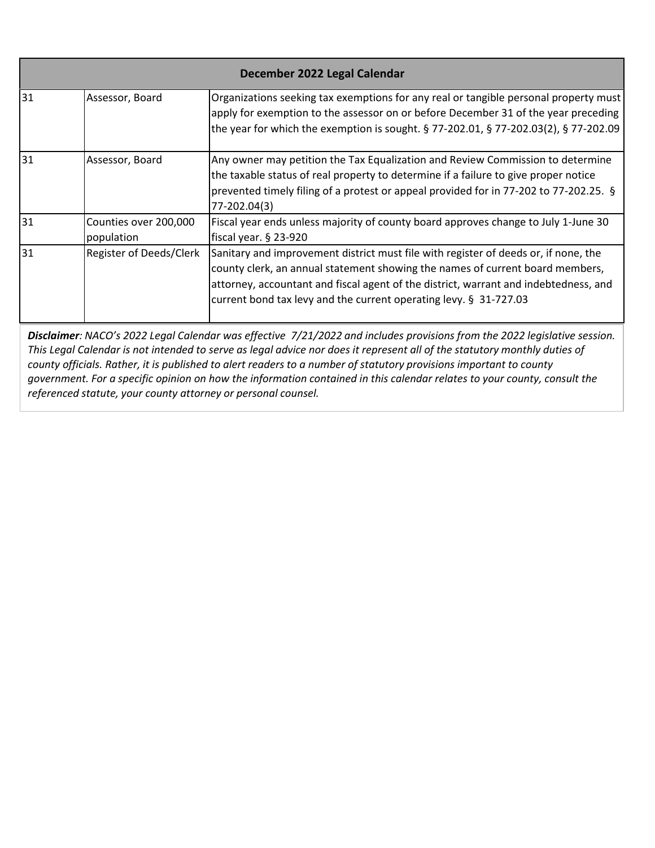| December 2022 Legal Calendar |                                     |                                                                                                                                                                                                                                                                                                                                   |
|------------------------------|-------------------------------------|-----------------------------------------------------------------------------------------------------------------------------------------------------------------------------------------------------------------------------------------------------------------------------------------------------------------------------------|
| 31                           | Assessor, Board                     | Organizations seeking tax exemptions for any real or tangible personal property must<br>apply for exemption to the assessor on or before December 31 of the year preceding<br>the year for which the exemption is sought. § 77-202.01, § 77-202.03(2), § 77-202.09                                                                |
| 31                           | Assessor, Board                     | Any owner may petition the Tax Equalization and Review Commission to determine<br>the taxable status of real property to determine if a failure to give proper notice<br>prevented timely filing of a protest or appeal provided for in 77-202 to 77-202.25. §<br>77-202.04(3)                                                    |
| 31                           | Counties over 200,000<br>population | Fiscal year ends unless majority of county board approves change to July 1-June 30<br>fiscal year. § 23-920                                                                                                                                                                                                                       |
| 31                           | Register of Deeds/Clerk             | Sanitary and improvement district must file with register of deeds or, if none, the<br>county clerk, an annual statement showing the names of current board members,<br>attorney, accountant and fiscal agent of the district, warrant and indebtedness, and<br>current bond tax levy and the current operating levy. § 31-727.03 |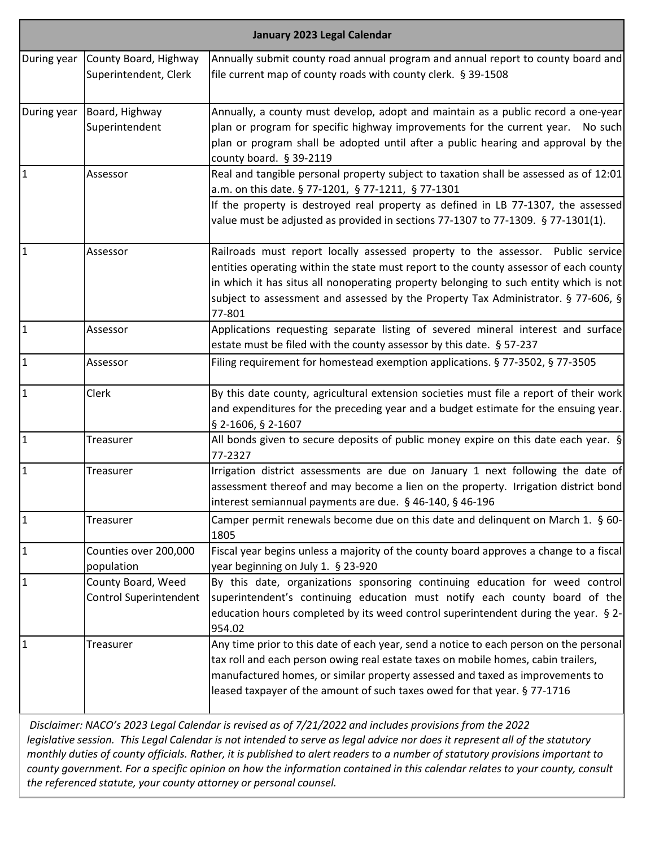|              | January 2023 Legal Calendar                         |                                                                                                                                                                                                                                                                                                                                                                  |  |
|--------------|-----------------------------------------------------|------------------------------------------------------------------------------------------------------------------------------------------------------------------------------------------------------------------------------------------------------------------------------------------------------------------------------------------------------------------|--|
| During year  | County Board, Highway<br>Superintendent, Clerk      | Annually submit county road annual program and annual report to county board and<br>file current map of county roads with county clerk. § 39-1508                                                                                                                                                                                                                |  |
| During year  | Board, Highway<br>Superintendent                    | Annually, a county must develop, adopt and maintain as a public record a one-year<br>plan or program for specific highway improvements for the current year.<br>No such<br>plan or program shall be adopted until after a public hearing and approval by the<br>county board. $§$ 39-2119                                                                        |  |
| 1            | Assessor                                            | Real and tangible personal property subject to taxation shall be assessed as of 12:01<br>a.m. on this date. § 77-1201, § 77-1211, § 77-1301<br>If the property is destroyed real property as defined in LB 77-1307, the assessed<br>value must be adjusted as provided in sections 77-1307 to 77-1309. § 77-1301(1).                                             |  |
| 1            | Assessor                                            | Railroads must report locally assessed property to the assessor. Public service<br>entities operating within the state must report to the county assessor of each county<br>in which it has situs all nonoperating property belonging to such entity which is not<br>subject to assessment and assessed by the Property Tax Administrator. § 77-606, §<br>77-801 |  |
| $\mathbf{1}$ | Assessor                                            | Applications requesting separate listing of severed mineral interest and surface<br>estate must be filed with the county assessor by this date. § 57-237                                                                                                                                                                                                         |  |
| $\mathbf{1}$ | Assessor                                            | Filing requirement for homestead exemption applications. § 77-3502, § 77-3505                                                                                                                                                                                                                                                                                    |  |
| $\mathbf{1}$ | Clerk                                               | By this date county, agricultural extension societies must file a report of their work<br>and expenditures for the preceding year and a budget estimate for the ensuing year.<br>§ 2-1606, § 2-1607                                                                                                                                                              |  |
| $\mathbf{1}$ | Treasurer                                           | All bonds given to secure deposits of public money expire on this date each year. $\S$<br>77-2327                                                                                                                                                                                                                                                                |  |
| $\mathbf{1}$ | Treasurer                                           | Irrigation district assessments are due on January 1 next following the date of<br>assessment thereof and may become a lien on the property. Irrigation district bond<br>interest semiannual payments are due. § 46-140, § 46-196                                                                                                                                |  |
| $\mathbf{1}$ | <b>Treasurer</b>                                    | Camper permit renewals become due on this date and delinquent on March 1. § 60-<br>1805                                                                                                                                                                                                                                                                          |  |
| 1            | Counties over 200,000<br>population                 | Fiscal year begins unless a majority of the county board approves a change to a fiscal<br>year beginning on July 1. § 23-920                                                                                                                                                                                                                                     |  |
| $\mathbf{1}$ | County Board, Weed<br><b>Control Superintendent</b> | By this date, organizations sponsoring continuing education for weed control<br>superintendent's continuing education must notify each county board of the<br>education hours completed by its weed control superintendent during the year. § 2-<br>954.02                                                                                                       |  |
| $\mathbf{1}$ | Treasurer                                           | Any time prior to this date of each year, send a notice to each person on the personal<br>tax roll and each person owing real estate taxes on mobile homes, cabin trailers,<br>manufactured homes, or similar property assessed and taxed as improvements to<br>leased taxpayer of the amount of such taxes owed for that year. § 77-1716                        |  |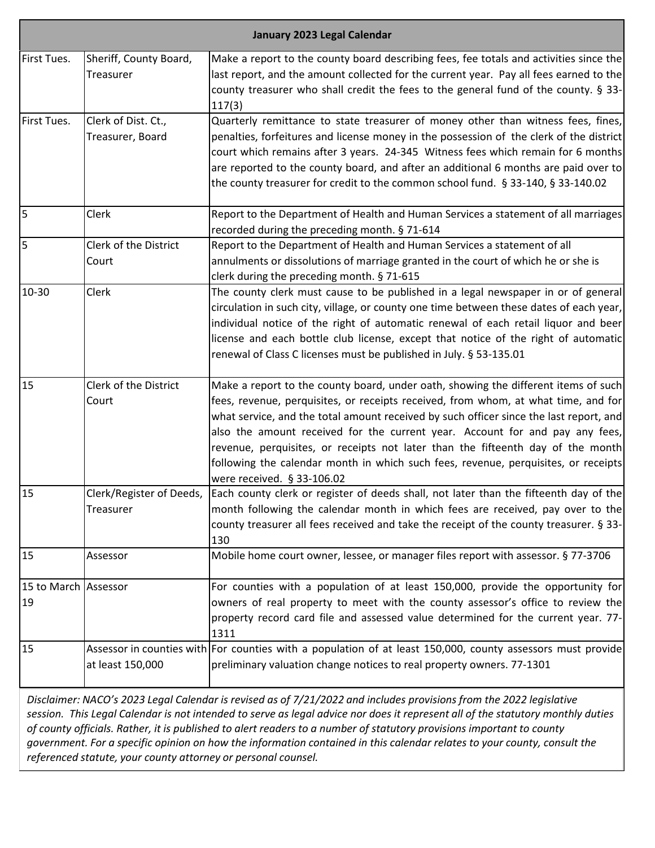| January 2023 Legal Calendar |                        |                                                                                                                                                          |
|-----------------------------|------------------------|----------------------------------------------------------------------------------------------------------------------------------------------------------|
| First Tues.                 | Sheriff, County Board, | Make a report to the county board describing fees, fee totals and activities since the                                                                   |
|                             | Treasurer              | last report, and the amount collected for the current year. Pay all fees earned to the                                                                   |
|                             |                        | county treasurer who shall credit the fees to the general fund of the county. § 33-<br>117(3)                                                            |
| First Tues.                 | Clerk of Dist. Ct.,    | Quarterly remittance to state treasurer of money other than witness fees, fines,                                                                         |
|                             | Treasurer, Board       | penalties, forfeitures and license money in the possession of the clerk of the district                                                                  |
|                             |                        | court which remains after 3 years. 24-345 Witness fees which remain for 6 months                                                                         |
|                             |                        | are reported to the county board, and after an additional 6 months are paid over to                                                                      |
|                             |                        | the county treasurer for credit to the common school fund. § 33-140, § 33-140.02                                                                         |
| 5                           | Clerk                  | Report to the Department of Health and Human Services a statement of all marriages                                                                       |
|                             |                        | recorded during the preceding month. § 71-614                                                                                                            |
| 5                           | Clerk of the District  | Report to the Department of Health and Human Services a statement of all                                                                                 |
|                             | Court                  | annulments or dissolutions of marriage granted in the court of which he or she is                                                                        |
|                             |                        | clerk during the preceding month. § 71-615                                                                                                               |
| 10-30                       | Clerk                  | The county clerk must cause to be published in a legal newspaper in or of general                                                                        |
|                             |                        | circulation in such city, village, or county one time between these dates of each year,                                                                  |
|                             |                        | individual notice of the right of automatic renewal of each retail liquor and beer                                                                       |
|                             |                        | license and each bottle club license, except that notice of the right of automatic<br>renewal of Class C licenses must be published in July. § 53-135.01 |
|                             |                        |                                                                                                                                                          |
| 15                          | Clerk of the District  | Make a report to the county board, under oath, showing the different items of such                                                                       |
|                             | Court                  | fees, revenue, perquisites, or receipts received, from whom, at what time, and for                                                                       |
|                             |                        | what service, and the total amount received by such officer since the last report, and                                                                   |
|                             |                        | also the amount received for the current year. Account for and pay any fees,                                                                             |
|                             |                        | revenue, perquisites, or receipts not later than the fifteenth day of the month                                                                          |
|                             |                        | following the calendar month in which such fees, revenue, perquisites, or receipts<br>were received. § 33-106.02                                         |
| 15                          |                        | Clerk/Register of Deeds,   Each county clerk or register of deeds shall, not later than the fifteenth day of the                                         |
|                             | Treasurer              | month following the calendar month in which fees are received, pay over to the                                                                           |
|                             |                        | county treasurer all fees received and take the receipt of the county treasurer. § 33-                                                                   |
|                             |                        | 130                                                                                                                                                      |
| 15                          | Assessor               | Mobile home court owner, lessee, or manager files report with assessor. § 77-3706                                                                        |
| 15 to March Assessor        |                        | For counties with a population of at least 150,000, provide the opportunity for                                                                          |
| 19                          |                        | owners of real property to meet with the county assessor's office to review the                                                                          |
|                             |                        | property record card file and assessed value determined for the current year. 77-                                                                        |
| 15                          |                        | 1311                                                                                                                                                     |
|                             | at least 150,000       | Assessor in counties with For counties with a population of at least 150,000, county assessors must provide                                              |
|                             |                        | preliminary valuation change notices to real property owners. 77-1301                                                                                    |
|                             |                        |                                                                                                                                                          |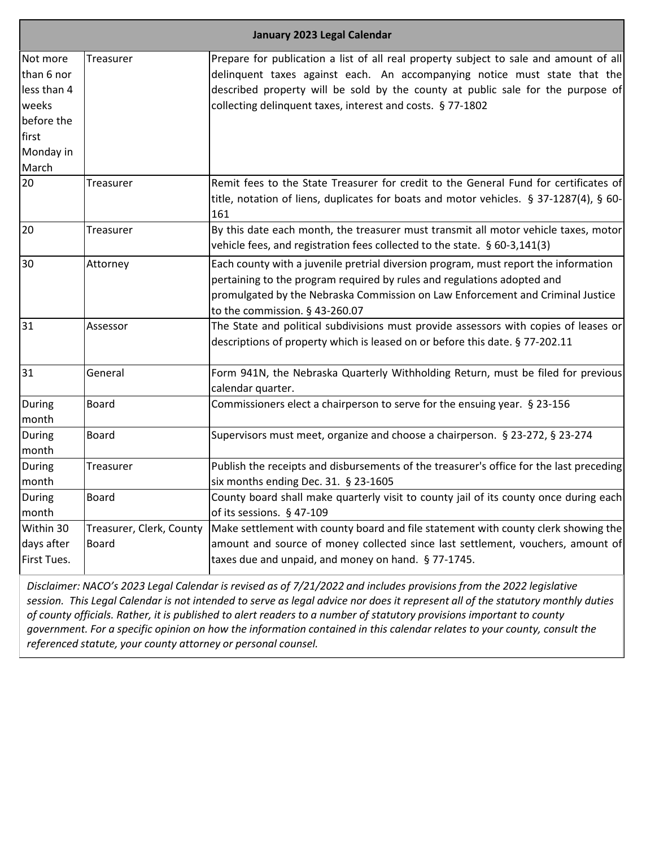|                                                                                             | January 2023 Legal Calendar       |                                                                                                                                                                                                                                                                                                                     |  |
|---------------------------------------------------------------------------------------------|-----------------------------------|---------------------------------------------------------------------------------------------------------------------------------------------------------------------------------------------------------------------------------------------------------------------------------------------------------------------|--|
| Not more<br>than 6 nor<br>less than 4<br>weeks<br>before the<br>first<br>Monday in<br>March | Treasurer                         | Prepare for publication a list of all real property subject to sale and amount of all<br>delinquent taxes against each. An accompanying notice must state that the<br>described property will be sold by the county at public sale for the purpose of<br>collecting delinquent taxes, interest and costs. § 77-1802 |  |
| 20                                                                                          | Treasurer                         | Remit fees to the State Treasurer for credit to the General Fund for certificates of<br>title, notation of liens, duplicates for boats and motor vehicles. § 37-1287(4), § 60-<br>161                                                                                                                               |  |
| 20                                                                                          | Treasurer                         | By this date each month, the treasurer must transmit all motor vehicle taxes, motor<br>vehicle fees, and registration fees collected to the state. § 60-3,141(3)                                                                                                                                                    |  |
| 30                                                                                          | Attorney                          | Each county with a juvenile pretrial diversion program, must report the information<br>pertaining to the program required by rules and regulations adopted and<br>promulgated by the Nebraska Commission on Law Enforcement and Criminal Justice<br>to the commission. § 43-260.07                                  |  |
| 31                                                                                          | Assessor                          | The State and political subdivisions must provide assessors with copies of leases or<br>descriptions of property which is leased on or before this date. § 77-202.11                                                                                                                                                |  |
| 31                                                                                          | General                           | Form 941N, the Nebraska Quarterly Withholding Return, must be filed for previous<br>calendar quarter.                                                                                                                                                                                                               |  |
| During<br>month                                                                             | <b>Board</b>                      | Commissioners elect a chairperson to serve for the ensuing year. § 23-156                                                                                                                                                                                                                                           |  |
| During<br>month                                                                             | Board                             | Supervisors must meet, organize and choose a chairperson. § 23-272, § 23-274                                                                                                                                                                                                                                        |  |
| During<br>month                                                                             | Treasurer                         | Publish the receipts and disbursements of the treasurer's office for the last preceding<br>six months ending Dec. 31. § 23-1605                                                                                                                                                                                     |  |
| During<br>month                                                                             | Board                             | County board shall make quarterly visit to county jail of its county once during each<br>of its sessions. § 47-109                                                                                                                                                                                                  |  |
| Within 30<br>days after<br>First Tues.                                                      | Treasurer, Clerk, County<br>Board | Make settlement with county board and file statement with county clerk showing the<br>amount and source of money collected since last settlement, vouchers, amount of<br>taxes due and unpaid, and money on hand. § 77-1745.                                                                                        |  |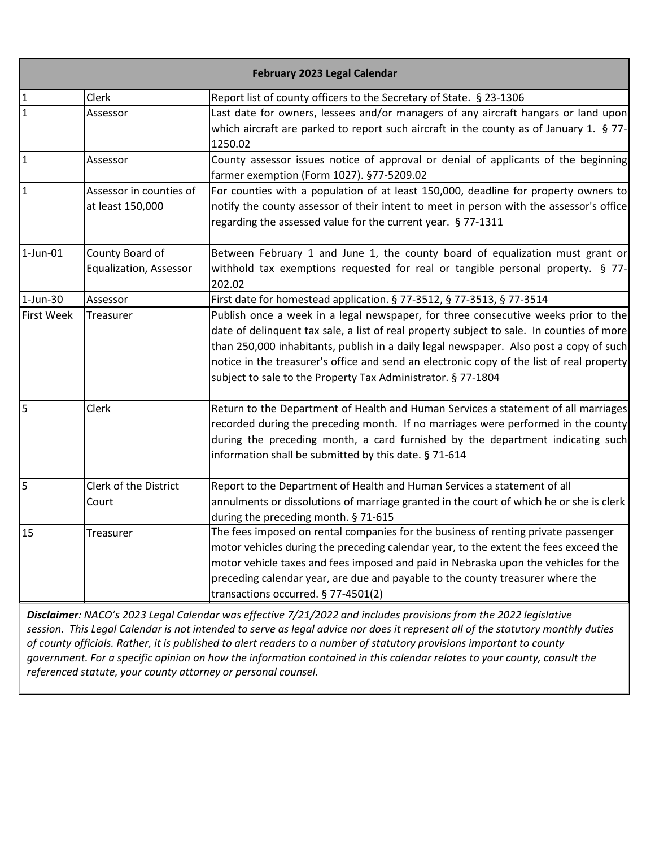| February 2023 Legal Calendar |                                                  |                                                                                                                                                                                                                                                                                                                                                                                                                                        |
|------------------------------|--------------------------------------------------|----------------------------------------------------------------------------------------------------------------------------------------------------------------------------------------------------------------------------------------------------------------------------------------------------------------------------------------------------------------------------------------------------------------------------------------|
| $\mathbf{1}$                 | Clerk                                            | Report list of county officers to the Secretary of State. § 23-1306                                                                                                                                                                                                                                                                                                                                                                    |
| $\overline{1}$               | Assessor                                         | Last date for owners, lessees and/or managers of any aircraft hangars or land upon<br>which aircraft are parked to report such aircraft in the county as of January 1. § 77-<br>1250.02                                                                                                                                                                                                                                                |
| $\mathbf{1}$                 | Assessor                                         | County assessor issues notice of approval or denial of applicants of the beginning<br>farmer exemption (Form 1027). §77-5209.02                                                                                                                                                                                                                                                                                                        |
| $\mathbf{1}$                 | Assessor in counties of<br>at least 150,000      | For counties with a population of at least 150,000, deadline for property owners to<br>notify the county assessor of their intent to meet in person with the assessor's office<br>regarding the assessed value for the current year. § 77-1311                                                                                                                                                                                         |
| $1$ -Jun-01                  | County Board of<br><b>Equalization, Assessor</b> | Between February 1 and June 1, the county board of equalization must grant or<br>withhold tax exemptions requested for real or tangible personal property. § 77-<br>202.02                                                                                                                                                                                                                                                             |
| $1$ -Jun-30                  | Assessor                                         | First date for homestead application. § 77-3512, § 77-3513, § 77-3514                                                                                                                                                                                                                                                                                                                                                                  |
| <b>First Week</b>            | Treasurer                                        | Publish once a week in a legal newspaper, for three consecutive weeks prior to the<br>date of delinquent tax sale, a list of real property subject to sale. In counties of more<br>than 250,000 inhabitants, publish in a daily legal newspaper. Also post a copy of such<br>notice in the treasurer's office and send an electronic copy of the list of real property<br>subject to sale to the Property Tax Administrator. § 77-1804 |
| 5                            | Clerk                                            | Return to the Department of Health and Human Services a statement of all marriages<br>recorded during the preceding month. If no marriages were performed in the county<br>during the preceding month, a card furnished by the department indicating such<br>information shall be submitted by this date. § 71-614                                                                                                                     |
| 5                            | Clerk of the District<br>Court                   | Report to the Department of Health and Human Services a statement of all<br>annulments or dissolutions of marriage granted in the court of which he or she is clerk<br>during the preceding month. § 71-615                                                                                                                                                                                                                            |
| 15                           | Treasurer                                        | The fees imposed on rental companies for the business of renting private passenger<br>motor vehicles during the preceding calendar year, to the extent the fees exceed the<br>motor vehicle taxes and fees imposed and paid in Nebraska upon the vehicles for the<br>preceding calendar year, are due and payable to the county treasurer where the<br>transactions occurred. § 77-4501(2)                                             |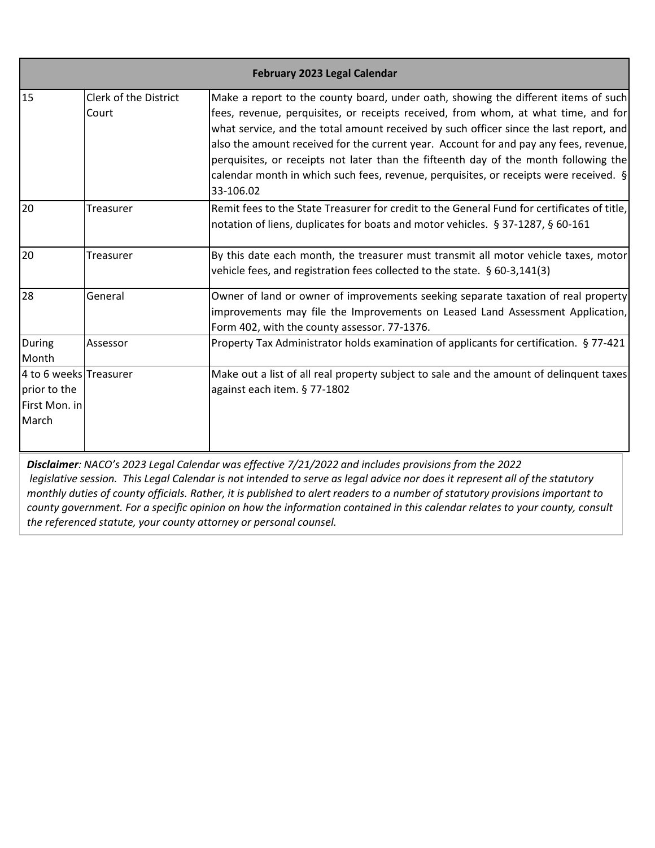|                                                                  | February 2023 Legal Calendar   |                                                                                                                                                                                                                                                                                                                                                                                                                                                                                                                                                              |  |
|------------------------------------------------------------------|--------------------------------|--------------------------------------------------------------------------------------------------------------------------------------------------------------------------------------------------------------------------------------------------------------------------------------------------------------------------------------------------------------------------------------------------------------------------------------------------------------------------------------------------------------------------------------------------------------|--|
| 15                                                               | Clerk of the District<br>Court | Make a report to the county board, under oath, showing the different items of such<br>fees, revenue, perquisites, or receipts received, from whom, at what time, and for<br>what service, and the total amount received by such officer since the last report, and<br>also the amount received for the current year. Account for and pay any fees, revenue,<br>perquisites, or receipts not later than the fifteenth day of the month following the<br>calendar month in which such fees, revenue, perquisites, or receipts were received. $\S$<br>33-106.02 |  |
| 20                                                               | Treasurer                      | Remit fees to the State Treasurer for credit to the General Fund for certificates of title,<br>notation of liens, duplicates for boats and motor vehicles. § 37-1287, § 60-161                                                                                                                                                                                                                                                                                                                                                                               |  |
| 20                                                               | Treasurer                      | By this date each month, the treasurer must transmit all motor vehicle taxes, motor<br>vehicle fees, and registration fees collected to the state. § 60-3,141(3)                                                                                                                                                                                                                                                                                                                                                                                             |  |
| 28                                                               | General                        | Owner of land or owner of improvements seeking separate taxation of real property<br>improvements may file the Improvements on Leased Land Assessment Application,<br>Form 402, with the county assessor. 77-1376.                                                                                                                                                                                                                                                                                                                                           |  |
| During<br>Month                                                  | Assessor                       | Property Tax Administrator holds examination of applicants for certification. § 77-421                                                                                                                                                                                                                                                                                                                                                                                                                                                                       |  |
| 4 to 6 weeks Treasurer<br>prior to the<br>First Mon. in<br>March |                                | Make out a list of all real property subject to sale and the amount of delinquent taxes<br>against each item. § 77-1802                                                                                                                                                                                                                                                                                                                                                                                                                                      |  |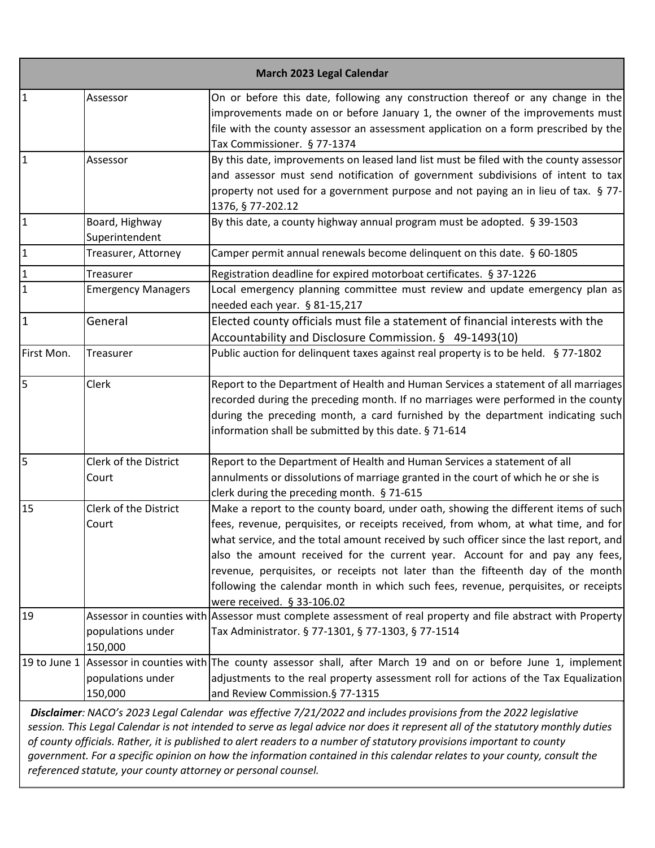| March 2023 Legal Calendar |                                  |                                                                                                                                                                                                                                                                                                                                                                                                                                                                                                                                                           |
|---------------------------|----------------------------------|-----------------------------------------------------------------------------------------------------------------------------------------------------------------------------------------------------------------------------------------------------------------------------------------------------------------------------------------------------------------------------------------------------------------------------------------------------------------------------------------------------------------------------------------------------------|
| $\mathbf{1}$              | Assessor                         | On or before this date, following any construction thereof or any change in the<br>improvements made on or before January 1, the owner of the improvements must<br>file with the county assessor an assessment application on a form prescribed by the<br>Tax Commissioner. § 77-1374                                                                                                                                                                                                                                                                     |
| $\overline{1}$            | Assessor                         | By this date, improvements on leased land list must be filed with the county assessor<br>and assessor must send notification of government subdivisions of intent to tax<br>property not used for a government purpose and not paying an in lieu of tax. § 77-<br>1376, § 77-202.12                                                                                                                                                                                                                                                                       |
| $\vert$ 1                 | Board, Highway<br>Superintendent | By this date, a county highway annual program must be adopted. § 39-1503                                                                                                                                                                                                                                                                                                                                                                                                                                                                                  |
| $\vert$ 1                 | Treasurer, Attorney              | Camper permit annual renewals become delinquent on this date. § 60-1805                                                                                                                                                                                                                                                                                                                                                                                                                                                                                   |
| $\mathbf{1}$              | Treasurer                        | Registration deadline for expired motorboat certificates. § 37-1226                                                                                                                                                                                                                                                                                                                                                                                                                                                                                       |
| $\mathbf{1}$              | <b>Emergency Managers</b>        | Local emergency planning committee must review and update emergency plan as<br>needed each year. § 81-15,217                                                                                                                                                                                                                                                                                                                                                                                                                                              |
| $\vert$ 1                 | General                          | Elected county officials must file a statement of financial interests with the<br>Accountability and Disclosure Commission. § 49-1493(10)                                                                                                                                                                                                                                                                                                                                                                                                                 |
| First Mon.                | Treasurer                        | Public auction for delinquent taxes against real property is to be held. § 77-1802                                                                                                                                                                                                                                                                                                                                                                                                                                                                        |
| $\overline{5}$            | Clerk                            | Report to the Department of Health and Human Services a statement of all marriages<br>recorded during the preceding month. If no marriages were performed in the county<br>during the preceding month, a card furnished by the department indicating such<br>information shall be submitted by this date. § 71-614                                                                                                                                                                                                                                        |
| 5                         | Clerk of the District<br>Court   | Report to the Department of Health and Human Services a statement of all<br>annulments or dissolutions of marriage granted in the court of which he or she is<br>clerk during the preceding month. § 71-615                                                                                                                                                                                                                                                                                                                                               |
| 15                        | Clerk of the District<br>Court   | Make a report to the county board, under oath, showing the different items of such<br>fees, revenue, perquisites, or receipts received, from whom, at what time, and for<br>what service, and the total amount received by such officer since the last report, and<br>also the amount received for the current year. Account for and pay any fees,<br>revenue, perquisites, or receipts not later than the fifteenth day of the month<br>following the calendar month in which such fees, revenue, perquisites, or receipts<br>were received. § 33-106.02 |
| 19                        | populations under<br>150,000     | Assessor in counties with Assessor must complete assessment of real property and file abstract with Property<br>Tax Administrator. § 77-1301, § 77-1303, § 77-1514                                                                                                                                                                                                                                                                                                                                                                                        |
| 19 to June 1              | populations under<br>150,000     | Assessor in counties with The county assessor shall, after March 19 and on or before June 1, implement<br>adjustments to the real property assessment roll for actions of the Tax Equalization<br>and Review Commission. § 77-1315                                                                                                                                                                                                                                                                                                                        |
|                           |                                  | Disclaimer: NACO's 2023 Legal Calendar was effective 7/21/2022 and includes provisions from the 2022 legislative<br>session. This Legal Calendar is not intended to serve as legal advice nor does it represent all of the statutory monthly duties                                                                                                                                                                                                                                                                                                       |

*of county officials. Rather, it is published to alert readers to a number of statutory provisions important to county government. For a specific opinion on how the information contained in this calendar relates to your county, consult the referenced statute, your county attorney or personal counsel.*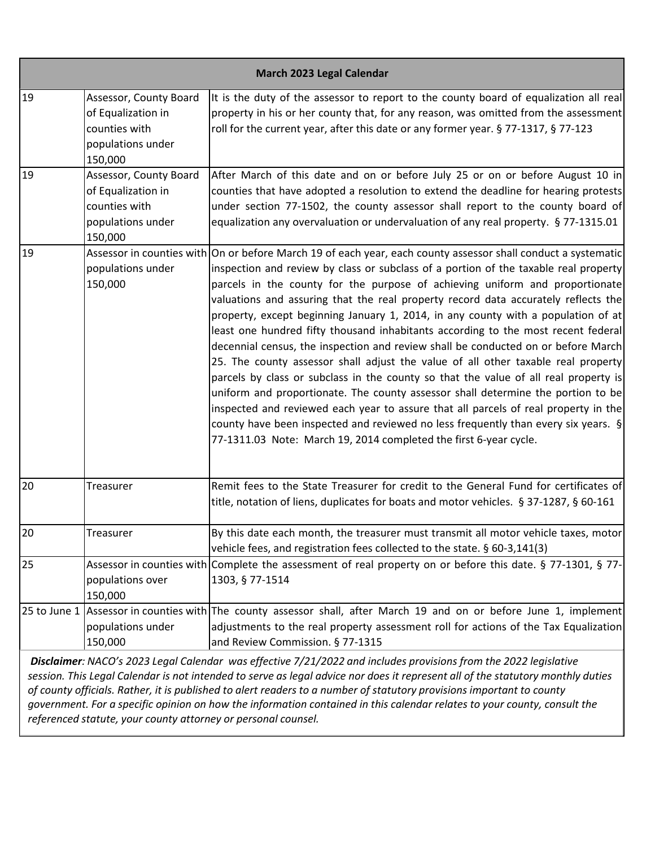|    |                                                                                               | March 2023 Legal Calendar                                                                                                                                                                                                                                                                                                                                                                                                                                                                                                                                                                                                                                                                                                                                                                                                                                                                                                                                                                                                                                                                                                                                        |
|----|-----------------------------------------------------------------------------------------------|------------------------------------------------------------------------------------------------------------------------------------------------------------------------------------------------------------------------------------------------------------------------------------------------------------------------------------------------------------------------------------------------------------------------------------------------------------------------------------------------------------------------------------------------------------------------------------------------------------------------------------------------------------------------------------------------------------------------------------------------------------------------------------------------------------------------------------------------------------------------------------------------------------------------------------------------------------------------------------------------------------------------------------------------------------------------------------------------------------------------------------------------------------------|
| 19 | Assessor, County Board<br>of Equalization in<br>counties with<br>populations under<br>150,000 | It is the duty of the assessor to report to the county board of equalization all real<br>property in his or her county that, for any reason, was omitted from the assessment<br>roll for the current year, after this date or any former year. § 77-1317, § 77-123                                                                                                                                                                                                                                                                                                                                                                                                                                                                                                                                                                                                                                                                                                                                                                                                                                                                                               |
| 19 | Assessor, County Board<br>of Equalization in<br>counties with<br>populations under<br>150,000 | After March of this date and on or before July 25 or on or before August 10 in<br>counties that have adopted a resolution to extend the deadline for hearing protests<br>under section 77-1502, the county assessor shall report to the county board of<br>equalization any overvaluation or undervaluation of any real property. § 77-1315.01                                                                                                                                                                                                                                                                                                                                                                                                                                                                                                                                                                                                                                                                                                                                                                                                                   |
| 19 | populations under<br>150,000                                                                  | Assessor in counties with On or before March 19 of each year, each county assessor shall conduct a systematic<br>inspection and review by class or subclass of a portion of the taxable real property<br>parcels in the county for the purpose of achieving uniform and proportionate<br>valuations and assuring that the real property record data accurately reflects the<br>property, except beginning January 1, 2014, in any county with a population of at<br>least one hundred fifty thousand inhabitants according to the most recent federal<br>decennial census, the inspection and review shall be conducted on or before March<br>25. The county assessor shall adjust the value of all other taxable real property<br>parcels by class or subclass in the county so that the value of all real property is<br>uniform and proportionate. The county assessor shall determine the portion to be<br>inspected and reviewed each year to assure that all parcels of real property in the<br>county have been inspected and reviewed no less frequently than every six years. $\S$<br>77-1311.03 Note: March 19, 2014 completed the first 6-year cycle. |
| 20 | Treasurer                                                                                     | Remit fees to the State Treasurer for credit to the General Fund for certificates of<br>title, notation of liens, duplicates for boats and motor vehicles. § 37-1287, § 60-161                                                                                                                                                                                                                                                                                                                                                                                                                                                                                                                                                                                                                                                                                                                                                                                                                                                                                                                                                                                   |
| 20 | Treasurer                                                                                     | By this date each month, the treasurer must transmit all motor vehicle taxes, motor<br>vehicle fees, and registration fees collected to the state. § 60-3,141(3)                                                                                                                                                                                                                                                                                                                                                                                                                                                                                                                                                                                                                                                                                                                                                                                                                                                                                                                                                                                                 |
| 25 | populations over<br>150,000                                                                   | Assessor in counties with Complete the assessment of real property on or before this date. § 77-1301, § 77-<br>1303, § 77-1514                                                                                                                                                                                                                                                                                                                                                                                                                                                                                                                                                                                                                                                                                                                                                                                                                                                                                                                                                                                                                                   |
|    | populations under<br>150,000                                                                  | 25 to June 1 Assessor in counties with The county assessor shall, after March 19 and on or before June 1, implement<br>adjustments to the real property assessment roll for actions of the Tax Equalization<br>and Review Commission. § 77-1315                                                                                                                                                                                                                                                                                                                                                                                                                                                                                                                                                                                                                                                                                                                                                                                                                                                                                                                  |
|    |                                                                                               | Disclaimer: NACO's 2023 Legal Calendar was effective 7/21/2022 and includes provisions from the 2022 legislative<br>coccion. This Logal Calendar is not intended to serve as legal advise nor does it represent all of the statutory monthly duties                                                                                                                                                                                                                                                                                                                                                                                                                                                                                                                                                                                                                                                                                                                                                                                                                                                                                                              |

*session. This Legal Calendar is not intended to serve as legal advice nor does it represent all of the statutory monthly duties of county officials. Rather, it is published to alert readers to a number of statutory provisions important to county government. For a specific opinion on how the information contained in this calendar relates to your county, consult the referenced statute, your county attorney or personal counsel.*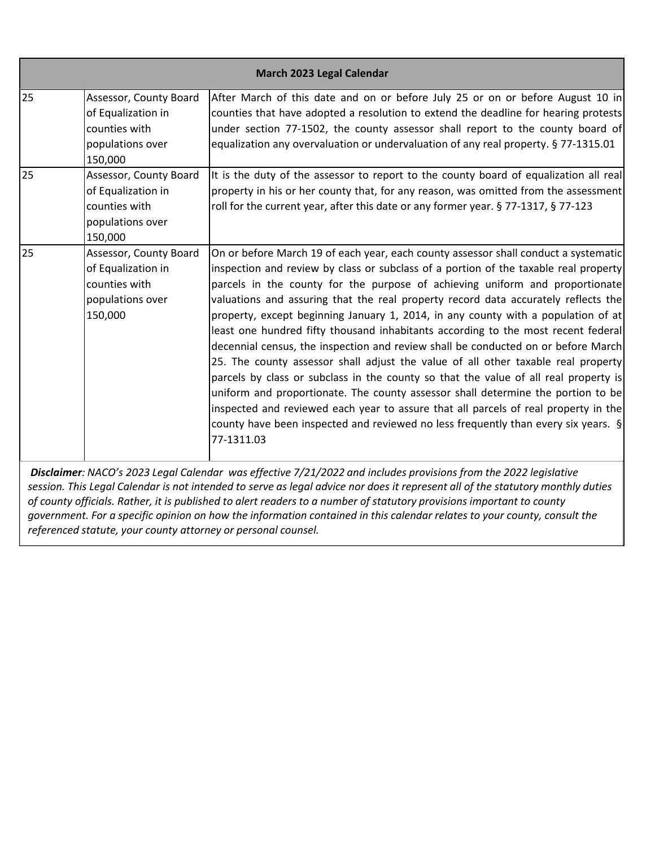|    |                                                                                              | March 2023 Legal Calendar                                                                                                                                                                                                                                                                                                                                                                                                                                                                                                                                                                                                                                                                                                                                                                                                                                                                                                                                                                                                                                                       |
|----|----------------------------------------------------------------------------------------------|---------------------------------------------------------------------------------------------------------------------------------------------------------------------------------------------------------------------------------------------------------------------------------------------------------------------------------------------------------------------------------------------------------------------------------------------------------------------------------------------------------------------------------------------------------------------------------------------------------------------------------------------------------------------------------------------------------------------------------------------------------------------------------------------------------------------------------------------------------------------------------------------------------------------------------------------------------------------------------------------------------------------------------------------------------------------------------|
| 25 | Assessor, County Board<br>of Equalization in<br>counties with<br>populations over<br>150,000 | After March of this date and on or before July 25 or on or before August 10 in<br>counties that have adopted a resolution to extend the deadline for hearing protests<br>under section 77-1502, the county assessor shall report to the county board of<br>equalization any overvaluation or undervaluation of any real property. § 77-1315.01                                                                                                                                                                                                                                                                                                                                                                                                                                                                                                                                                                                                                                                                                                                                  |
| 25 | Assessor, County Board<br>of Equalization in<br>counties with<br>populations over<br>150,000 | It is the duty of the assessor to report to the county board of equalization all real<br>property in his or her county that, for any reason, was omitted from the assessment<br>roll for the current year, after this date or any former year. § 77-1317, § 77-123                                                                                                                                                                                                                                                                                                                                                                                                                                                                                                                                                                                                                                                                                                                                                                                                              |
| 25 | Assessor, County Board<br>of Equalization in<br>counties with<br>populations over<br>150,000 | On or before March 19 of each year, each county assessor shall conduct a systematic<br>inspection and review by class or subclass of a portion of the taxable real property<br>parcels in the county for the purpose of achieving uniform and proportionate<br>valuations and assuring that the real property record data accurately reflects the<br>property, except beginning January 1, 2014, in any county with a population of at<br>least one hundred fifty thousand inhabitants according to the most recent federal<br>decennial census, the inspection and review shall be conducted on or before March<br>25. The county assessor shall adjust the value of all other taxable real property<br>parcels by class or subclass in the county so that the value of all real property is<br>uniform and proportionate. The county assessor shall determine the portion to be<br>inspected and reviewed each year to assure that all parcels of real property in the<br>county have been inspected and reviewed no less frequently than every six years. $\S$<br>77-1311.03 |

*session. This Legal Calendar is not intended to serve as legal advice nor does it represent all of the statutory monthly duties of county officials. Rather, it is published to alert readers to a number of statutory provisions important to county government. For a specific opinion on how the information contained in this calendar relates to your county, consult the referenced statute, your county attorney or personal counsel.*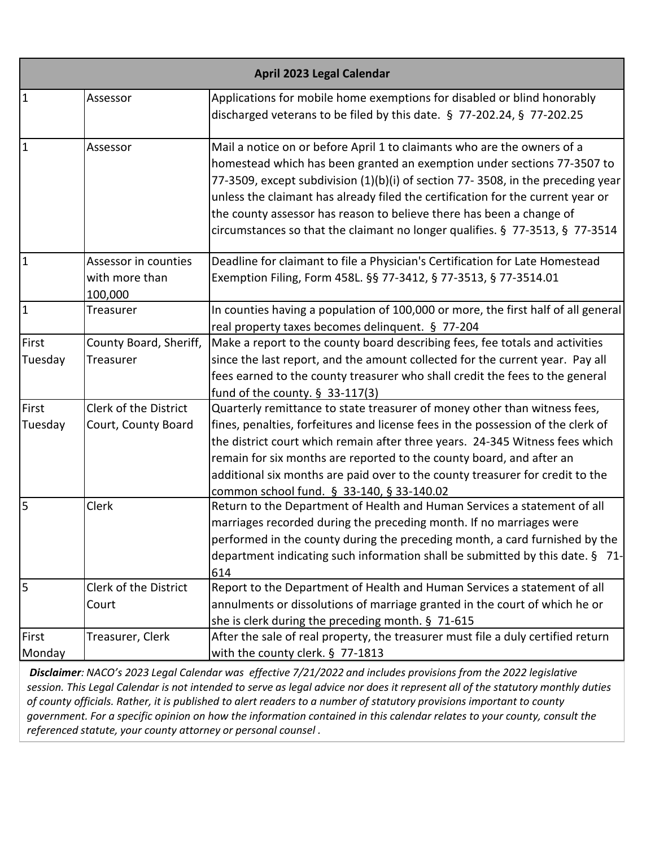| April 2023 Legal Calendar |                                                   |                                                                                                                                                                                                                                                                                                                                                                                                                                                                                  |
|---------------------------|---------------------------------------------------|----------------------------------------------------------------------------------------------------------------------------------------------------------------------------------------------------------------------------------------------------------------------------------------------------------------------------------------------------------------------------------------------------------------------------------------------------------------------------------|
| $\overline{1}$            | Assessor                                          | Applications for mobile home exemptions for disabled or blind honorably<br>discharged veterans to be filed by this date. § 77-202.24, § 77-202.25                                                                                                                                                                                                                                                                                                                                |
| $\overline{1}$            | Assessor                                          | Mail a notice on or before April 1 to claimants who are the owners of a<br>homestead which has been granted an exemption under sections 77-3507 to<br>77-3509, except subdivision (1)(b)(i) of section 77-3508, in the preceding year<br>unless the claimant has already filed the certification for the current year or<br>the county assessor has reason to believe there has been a change of<br>circumstances so that the claimant no longer qualifies. § 77-3513, § 77-3514 |
| $\mathbf{1}$              | Assessor in counties<br>with more than<br>100,000 | Deadline for claimant to file a Physician's Certification for Late Homestead<br>Exemption Filing, Form 458L. §§ 77-3412, § 77-3513, § 77-3514.01                                                                                                                                                                                                                                                                                                                                 |
| $\overline{1}$            | Treasurer                                         | In counties having a population of 100,000 or more, the first half of all general<br>real property taxes becomes delinquent. § 77-204                                                                                                                                                                                                                                                                                                                                            |
| First<br>Tuesday          | County Board, Sheriff,<br>Treasurer               | Make a report to the county board describing fees, fee totals and activities<br>since the last report, and the amount collected for the current year. Pay all<br>fees earned to the county treasurer who shall credit the fees to the general<br>fund of the county. $\S$ 33-117(3)                                                                                                                                                                                              |
| First<br>Tuesday          | Clerk of the District<br>Court, County Board      | Quarterly remittance to state treasurer of money other than witness fees,<br>fines, penalties, forfeitures and license fees in the possession of the clerk of<br>the district court which remain after three years. 24-345 Witness fees which<br>remain for six months are reported to the county board, and after an<br>additional six months are paid over to the county treasurer for credit to the<br>common school fund. § 33-140, § 33-140.02                              |
| 5                         | Clerk                                             | Return to the Department of Health and Human Services a statement of all<br>marriages recorded during the preceding month. If no marriages were<br>performed in the county during the preceding month, a card furnished by the<br>department indicating such information shall be submitted by this date. § 71-<br>614                                                                                                                                                           |
| $\overline{5}$            | Clerk of the District<br>Court                    | Report to the Department of Health and Human Services a statement of all<br>annulments or dissolutions of marriage granted in the court of which he or<br>she is clerk during the preceding month. § 71-615                                                                                                                                                                                                                                                                      |
| First<br>Monday           | Treasurer, Clerk                                  | After the sale of real property, the treasurer must file a duly certified return<br>with the county clerk. § 77-1813                                                                                                                                                                                                                                                                                                                                                             |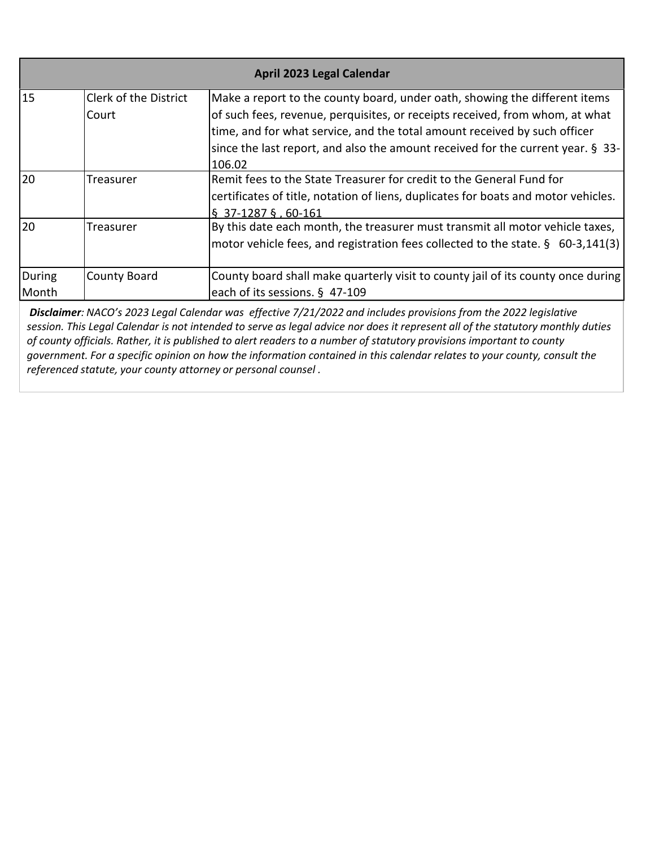| April 2023 Legal Calendar |                              |                                                                                    |
|---------------------------|------------------------------|------------------------------------------------------------------------------------|
| 15                        | <b>Clerk of the District</b> | Make a report to the county board, under oath, showing the different items         |
|                           | Court                        | of such fees, revenue, perquisites, or receipts received, from whom, at what       |
|                           |                              | time, and for what service, and the total amount received by such officer          |
|                           |                              | since the last report, and also the amount received for the current year. § 33-    |
|                           |                              | 106.02                                                                             |
| 20                        | Treasurer                    | Remit fees to the State Treasurer for credit to the General Fund for               |
|                           |                              | certificates of title, notation of liens, duplicates for boats and motor vehicles. |
|                           |                              | $\S$ 37-1287 §, 60-161                                                             |
| 20                        | Treasurer                    | By this date each month, the treasurer must transmit all motor vehicle taxes,      |
|                           |                              | motor vehicle fees, and registration fees collected to the state. § 60-3,141(3)    |
| During                    | <b>County Board</b>          | County board shall make quarterly visit to county jail of its county once during   |
| Month                     |                              | each of its sessions. § 47-109                                                     |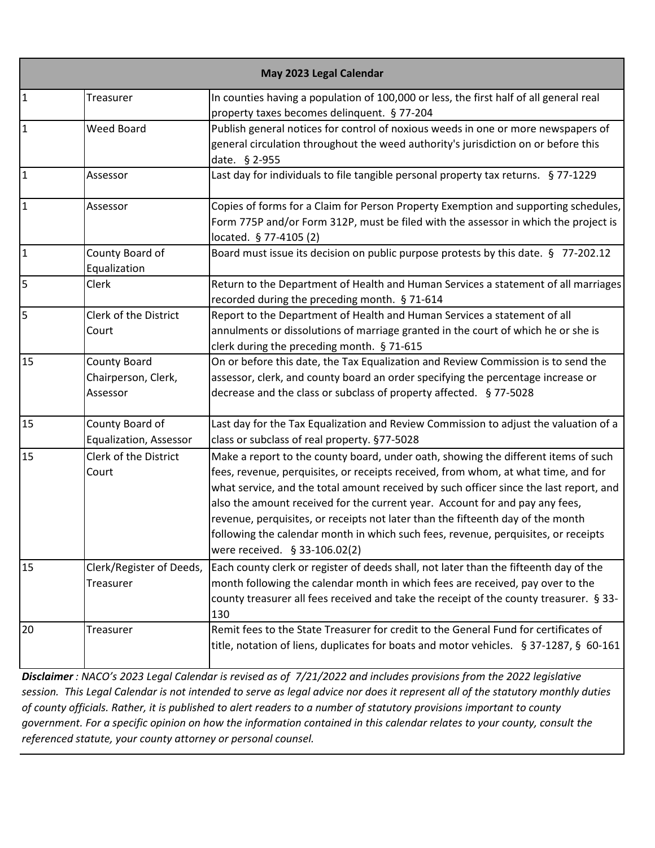| May 2023 Legal Calendar |                                                        |                                                                                                                                                                                                                                                                                                                                                                                                                                                                                                                                                              |
|-------------------------|--------------------------------------------------------|--------------------------------------------------------------------------------------------------------------------------------------------------------------------------------------------------------------------------------------------------------------------------------------------------------------------------------------------------------------------------------------------------------------------------------------------------------------------------------------------------------------------------------------------------------------|
| $\overline{1}$          | Treasurer                                              | In counties having a population of 100,000 or less, the first half of all general real<br>property taxes becomes delinquent. § 77-204                                                                                                                                                                                                                                                                                                                                                                                                                        |
| $\vert$ 1               | <b>Weed Board</b>                                      | Publish general notices for control of noxious weeds in one or more newspapers of<br>general circulation throughout the weed authority's jurisdiction on or before this<br>date. § 2-955                                                                                                                                                                                                                                                                                                                                                                     |
| $\vert$ 1               | Assessor                                               | Last day for individuals to file tangible personal property tax returns. § 77-1229                                                                                                                                                                                                                                                                                                                                                                                                                                                                           |
| $\vert$ 1               | Assessor                                               | Copies of forms for a Claim for Person Property Exemption and supporting schedules,<br>Form 775P and/or Form 312P, must be filed with the assessor in which the project is<br>located. § 77-4105 (2)                                                                                                                                                                                                                                                                                                                                                         |
| $\vert$ 1               | County Board of<br>Equalization                        | Board must issue its decision on public purpose protests by this date. § 77-202.12                                                                                                                                                                                                                                                                                                                                                                                                                                                                           |
| 5                       | Clerk                                                  | Return to the Department of Health and Human Services a statement of all marriages<br>recorded during the preceding month. § 71-614                                                                                                                                                                                                                                                                                                                                                                                                                          |
| $\overline{5}$          | Clerk of the District<br>Court                         | Report to the Department of Health and Human Services a statement of all<br>annulments or dissolutions of marriage granted in the court of which he or she is<br>clerk during the preceding month. § 71-615                                                                                                                                                                                                                                                                                                                                                  |
| 15                      | <b>County Board</b><br>Chairperson, Clerk,<br>Assessor | On or before this date, the Tax Equalization and Review Commission is to send the<br>assessor, clerk, and county board an order specifying the percentage increase or<br>decrease and the class or subclass of property affected. §77-5028                                                                                                                                                                                                                                                                                                                   |
| 15                      | County Board of<br>Equalization, Assessor              | Last day for the Tax Equalization and Review Commission to adjust the valuation of a<br>class or subclass of real property. §77-5028                                                                                                                                                                                                                                                                                                                                                                                                                         |
| 15                      | Clerk of the District<br>Court                         | Make a report to the county board, under oath, showing the different items of such<br>fees, revenue, perquisites, or receipts received, from whom, at what time, and for<br>what service, and the total amount received by such officer since the last report, and<br>also the amount received for the current year. Account for and pay any fees,<br>revenue, perquisites, or receipts not later than the fifteenth day of the month<br>following the calendar month in which such fees, revenue, perquisites, or receipts<br>were received. § 33-106.02(2) |
| 15                      | Clerk/Register of Deeds,<br>Treasurer                  | Each county clerk or register of deeds shall, not later than the fifteenth day of the<br>month following the calendar month in which fees are received, pay over to the<br>county treasurer all fees received and take the receipt of the county treasurer. § 33-<br>130                                                                                                                                                                                                                                                                                     |
| 20                      | Treasurer                                              | Remit fees to the State Treasurer for credit to the General Fund for certificates of<br>title, notation of liens, duplicates for boats and motor vehicles. § 37-1287, § 60-161                                                                                                                                                                                                                                                                                                                                                                               |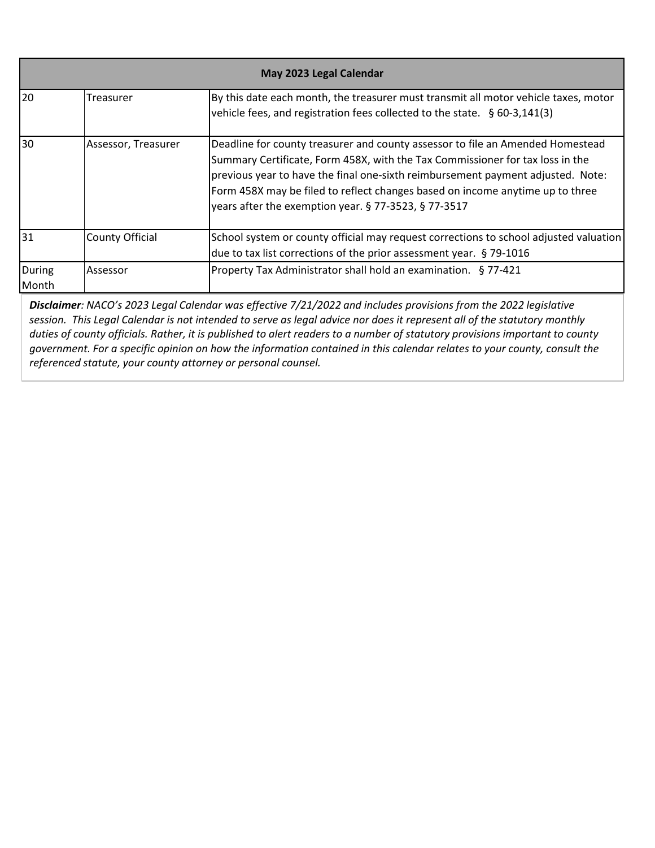| May 2023 Legal Calendar |                        |                                                                                                                                                                                                                                                                                                                                                                                             |
|-------------------------|------------------------|---------------------------------------------------------------------------------------------------------------------------------------------------------------------------------------------------------------------------------------------------------------------------------------------------------------------------------------------------------------------------------------------|
| 20                      | Treasurer              | By this date each month, the treasurer must transmit all motor vehicle taxes, motor<br>vehicle fees, and registration fees collected to the state. $\frac{6}{9}$ 60-3,141(3)                                                                                                                                                                                                                |
| 30                      | Assessor, Treasurer    | Deadline for county treasurer and county assessor to file an Amended Homestead<br>Summary Certificate, Form 458X, with the Tax Commissioner for tax loss in the<br>previous year to have the final one-sixth reimbursement payment adjusted. Note:<br>Form 458X may be filed to reflect changes based on income anytime up to three<br>years after the exemption year. § 77-3523, § 77-3517 |
| 31                      | <b>County Official</b> | School system or county official may request corrections to school adjusted valuation<br>due to tax list corrections of the prior assessment year. § 79-1016                                                                                                                                                                                                                                |
| During<br><b>Month</b>  | Assessor               | Property Tax Administrator shall hold an examination. § 77-421                                                                                                                                                                                                                                                                                                                              |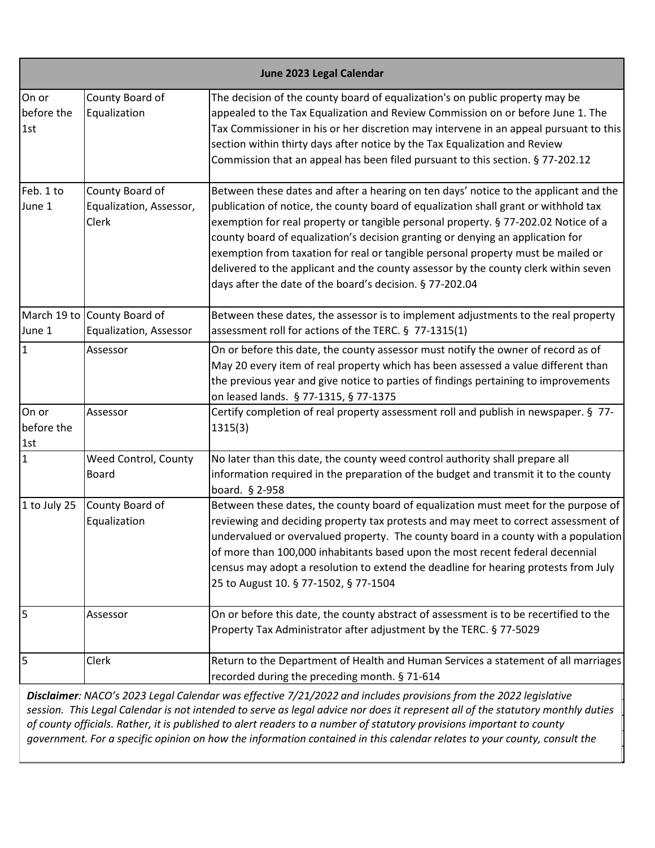|                            | June 2023 Legal Calendar                              |                                                                                                                                                                                                                                                                                                                                                                                                                                                                                                                                                                                            |  |
|----------------------------|-------------------------------------------------------|--------------------------------------------------------------------------------------------------------------------------------------------------------------------------------------------------------------------------------------------------------------------------------------------------------------------------------------------------------------------------------------------------------------------------------------------------------------------------------------------------------------------------------------------------------------------------------------------|--|
| On or<br>before the<br>1st | County Board of<br>Equalization                       | The decision of the county board of equalization's on public property may be<br>appealed to the Tax Equalization and Review Commission on or before June 1. The<br>Tax Commissioner in his or her discretion may intervene in an appeal pursuant to this<br>section within thirty days after notice by the Tax Equalization and Review<br>Commission that an appeal has been filed pursuant to this section. § 77-202.12                                                                                                                                                                   |  |
| Feb. 1 to<br>June 1        | County Board of<br>Equalization, Assessor,<br>Clerk   | Between these dates and after a hearing on ten days' notice to the applicant and the<br>publication of notice, the county board of equalization shall grant or withhold tax<br>exemption for real property or tangible personal property. § 77-202.02 Notice of a<br>county board of equalization's decision granting or denying an application for<br>exemption from taxation for real or tangible personal property must be mailed or<br>delivered to the applicant and the county assessor by the county clerk within seven<br>days after the date of the board's decision. § 77-202.04 |  |
| June 1                     | March 19 to County Board of<br>Equalization, Assessor | Between these dates, the assessor is to implement adjustments to the real property<br>assessment roll for actions of the TERC. § 77-1315(1)                                                                                                                                                                                                                                                                                                                                                                                                                                                |  |
| I1                         | Assessor                                              | On or before this date, the county assessor must notify the owner of record as of<br>May 20 every item of real property which has been assessed a value different than<br>the previous year and give notice to parties of findings pertaining to improvements<br>on leased lands. § 77-1315, § 77-1375                                                                                                                                                                                                                                                                                     |  |
| On or<br>before the<br>1st | Assessor                                              | Certify completion of real property assessment roll and publish in newspaper. § 77-<br>1315(3)                                                                                                                                                                                                                                                                                                                                                                                                                                                                                             |  |
| 1                          | Weed Control, County<br><b>Board</b>                  | No later than this date, the county weed control authority shall prepare all<br>information required in the preparation of the budget and transmit it to the county<br>board. § 2-958                                                                                                                                                                                                                                                                                                                                                                                                      |  |
| 1 to July 25               | County Board of<br>Equalization                       | Between these dates, the county board of equalization must meet for the purpose of<br>reviewing and deciding property tax protests and may meet to correct assessment of<br>undervalued or overvalued property. The county board in a county with a population<br>of more than 100,000 inhabitants based upon the most recent federal decennial<br>census may adopt a resolution to extend the deadline for hearing protests from July<br>25 to August 10. § 77-1502, § 77-1504                                                                                                            |  |
| 5                          | Assessor                                              | On or before this date, the county abstract of assessment is to be recertified to the<br>Property Tax Administrator after adjustment by the TERC. § 77-5029                                                                                                                                                                                                                                                                                                                                                                                                                                |  |
| 5                          | Clerk                                                 | Return to the Department of Health and Human Services a statement of all marriages<br>recorded during the preceding month. § 71-614                                                                                                                                                                                                                                                                                                                                                                                                                                                        |  |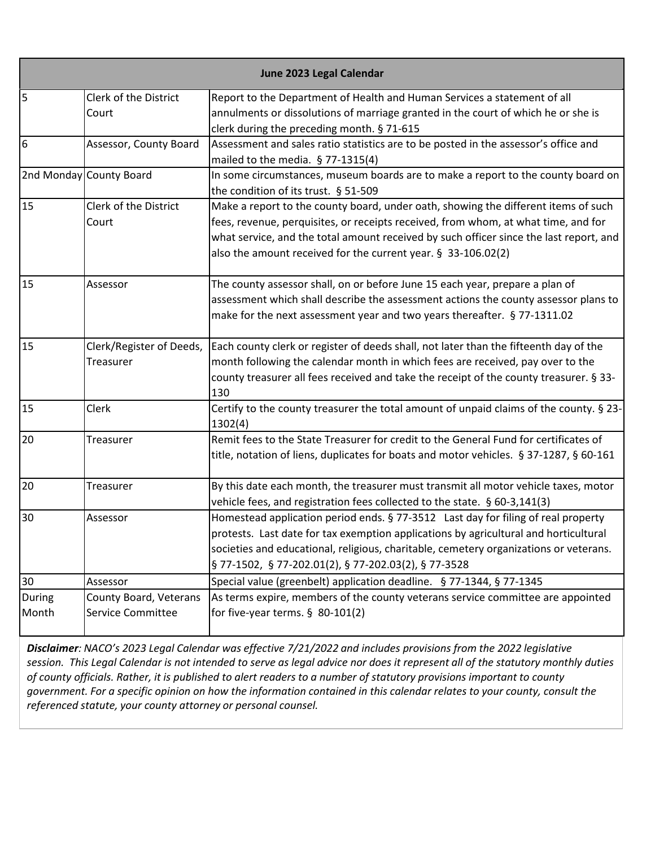|                 |                                             | June 2023 Legal Calendar                                                                                                                                                                                                                                                                                                            |
|-----------------|---------------------------------------------|-------------------------------------------------------------------------------------------------------------------------------------------------------------------------------------------------------------------------------------------------------------------------------------------------------------------------------------|
| 5               | Clerk of the District<br>Court              | Report to the Department of Health and Human Services a statement of all<br>annulments or dissolutions of marriage granted in the court of which he or she is                                                                                                                                                                       |
|                 |                                             | clerk during the preceding month. § 71-615                                                                                                                                                                                                                                                                                          |
| 6               | Assessor, County Board                      | Assessment and sales ratio statistics are to be posted in the assessor's office and<br>mailed to the media. § 77-1315(4)                                                                                                                                                                                                            |
|                 | 2nd Monday County Board                     | In some circumstances, museum boards are to make a report to the county board on<br>the condition of its trust. § 51-509                                                                                                                                                                                                            |
| 15              | Clerk of the District<br>Court              | Make a report to the county board, under oath, showing the different items of such<br>fees, revenue, perquisites, or receipts received, from whom, at what time, and for<br>what service, and the total amount received by such officer since the last report, and<br>also the amount received for the current year. § 33-106.02(2) |
| 15              | Assessor                                    | The county assessor shall, on or before June 15 each year, prepare a plan of<br>assessment which shall describe the assessment actions the county assessor plans to<br>make for the next assessment year and two years thereafter. § 77-1311.02                                                                                     |
| 15              | Clerk/Register of Deeds,<br>Treasurer       | Each county clerk or register of deeds shall, not later than the fifteenth day of the<br>month following the calendar month in which fees are received, pay over to the<br>county treasurer all fees received and take the receipt of the county treasurer. § 33-<br>130                                                            |
| 15              | Clerk                                       | Certify to the county treasurer the total amount of unpaid claims of the county. § 23-<br>1302(4)                                                                                                                                                                                                                                   |
| 20              | Treasurer                                   | Remit fees to the State Treasurer for credit to the General Fund for certificates of<br>title, notation of liens, duplicates for boats and motor vehicles. § 37-1287, § 60-161                                                                                                                                                      |
| 20              | Treasurer                                   | By this date each month, the treasurer must transmit all motor vehicle taxes, motor<br>vehicle fees, and registration fees collected to the state. § 60-3,141(3)                                                                                                                                                                    |
| 30              | Assessor                                    | Homestead application period ends. § 77-3512 Last day for filing of real property<br>protests. Last date for tax exemption applications by agricultural and horticultural<br>societies and educational, religious, charitable, cemetery organizations or veterans.<br>§ 77-1502, § 77-202.01(2), § 77-202.03(2), § 77-3528          |
| 30              | Assessor                                    | Special value (greenbelt) application deadline. § 77-1344, § 77-1345                                                                                                                                                                                                                                                                |
| During<br>Month | County Board, Veterans<br>Service Committee | As terms expire, members of the county veterans service committee are appointed<br>for five-year terms. $§$ 80-101(2)                                                                                                                                                                                                               |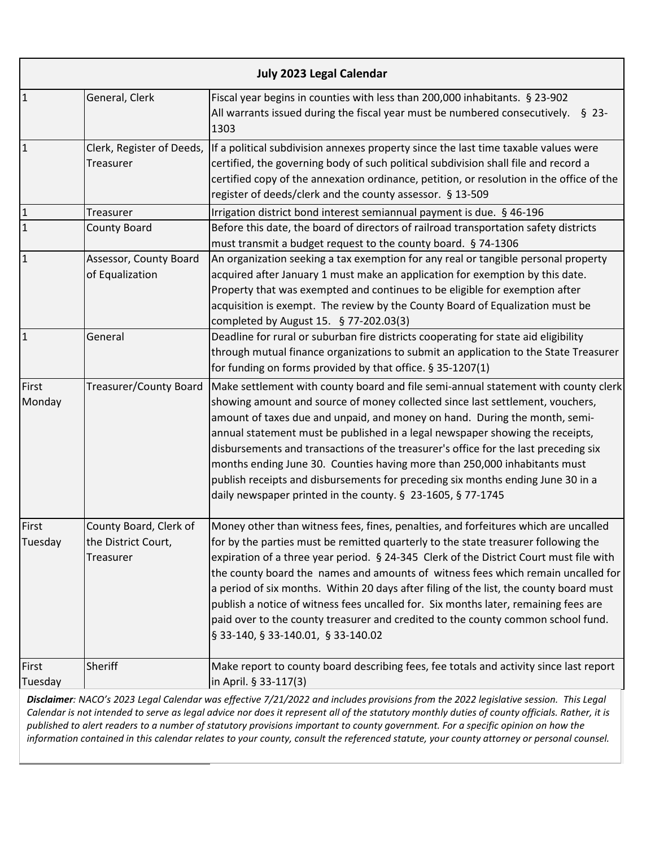|                  | <b>July 2023 Legal Calendar</b>                            |                                                                                                                                                                                                                                                                                                                                                                                                                                                                                                                                                                                                                                                                    |  |
|------------------|------------------------------------------------------------|--------------------------------------------------------------------------------------------------------------------------------------------------------------------------------------------------------------------------------------------------------------------------------------------------------------------------------------------------------------------------------------------------------------------------------------------------------------------------------------------------------------------------------------------------------------------------------------------------------------------------------------------------------------------|--|
| $\mathbf{1}$     | General, Clerk                                             | Fiscal year begins in counties with less than 200,000 inhabitants. § 23-902<br>All warrants issued during the fiscal year must be numbered consecutively. $\S$ 23-<br>1303                                                                                                                                                                                                                                                                                                                                                                                                                                                                                         |  |
| $\mathbf{1}$     | Clerk, Register of Deeds,<br>Treasurer                     | If a political subdivision annexes property since the last time taxable values were<br>certified, the governing body of such political subdivision shall file and record a<br>certified copy of the annexation ordinance, petition, or resolution in the office of the<br>register of deeds/clerk and the county assessor. § 13-509                                                                                                                                                                                                                                                                                                                                |  |
| $\mathbf{1}$     | Treasurer                                                  | Irrigation district bond interest semiannual payment is due. § 46-196                                                                                                                                                                                                                                                                                                                                                                                                                                                                                                                                                                                              |  |
| $\overline{1}$   | <b>County Board</b>                                        | Before this date, the board of directors of railroad transportation safety districts<br>must transmit a budget request to the county board. § 74-1306                                                                                                                                                                                                                                                                                                                                                                                                                                                                                                              |  |
| $\mathbf{1}$     | Assessor, County Board<br>of Equalization                  | An organization seeking a tax exemption for any real or tangible personal property<br>acquired after January 1 must make an application for exemption by this date.<br>Property that was exempted and continues to be eligible for exemption after<br>acquisition is exempt. The review by the County Board of Equalization must be<br>completed by August 15. § 77-202.03(3)                                                                                                                                                                                                                                                                                      |  |
| $\overline{1}$   | General                                                    | Deadline for rural or suburban fire districts cooperating for state aid eligibility<br>through mutual finance organizations to submit an application to the State Treasurer<br>for funding on forms provided by that office. § 35-1207(1)                                                                                                                                                                                                                                                                                                                                                                                                                          |  |
| First<br>Monday  | Treasurer/County Board                                     | Make settlement with county board and file semi-annual statement with county clerk<br>showing amount and source of money collected since last settlement, vouchers,<br>amount of taxes due and unpaid, and money on hand. During the month, semi-<br>annual statement must be published in a legal newspaper showing the receipts,<br>disbursements and transactions of the treasurer's office for the last preceding six<br>months ending June 30. Counties having more than 250,000 inhabitants must<br>publish receipts and disbursements for preceding six months ending June 30 in a<br>daily newspaper printed in the county. § 23-1605, § 77-1745           |  |
| First<br>Tuesday | County Board, Clerk of<br>the District Court,<br>Treasurer | Money other than witness fees, fines, penalties, and forfeitures which are uncalled<br>for by the parties must be remitted quarterly to the state treasurer following the<br>expiration of a three year period. § 24-345 Clerk of the District Court must file with<br>the county board the names and amounts of witness fees which remain uncalled for<br>a period of six months. Within 20 days after filing of the list, the county board must<br>publish a notice of witness fees uncalled for. Six months later, remaining fees are<br>paid over to the county treasurer and credited to the county common school fund.<br>§ 33-140, § 33-140.01, § 33-140.02 |  |
| First<br>Tuesday | Sheriff                                                    | Make report to county board describing fees, fee totals and activity since last report<br>in April. § 33-117(3)<br>Disclaimer: NACO's 2022 Leagl Calendar was effective 7/21/2022 and includes provisions from the 2022 legislative session. This Leagl                                                                                                                                                                                                                                                                                                                                                                                                            |  |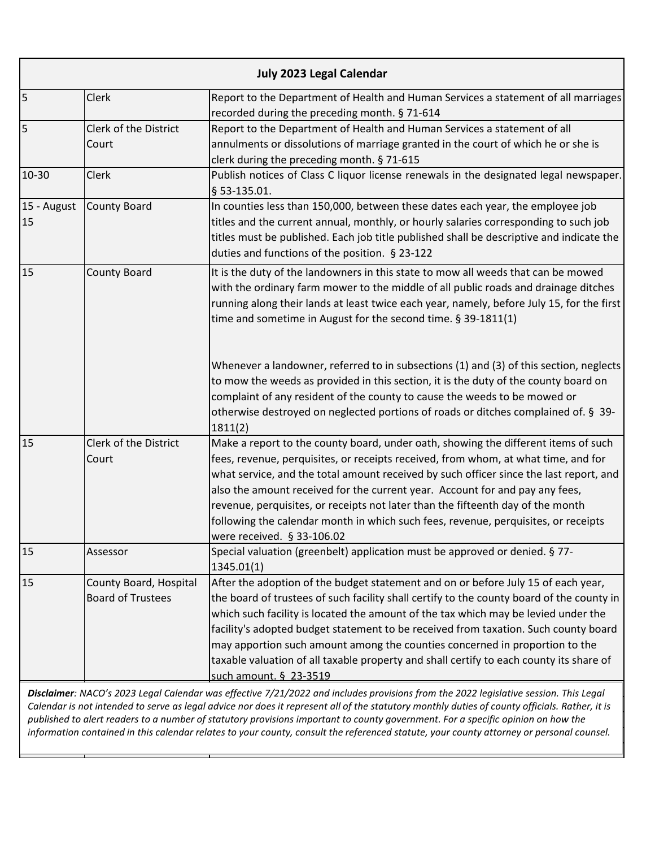|                   |                                                    | July 2023 Legal Calendar                                                                                                                                                                                                                                                                                                                                                                                                                                                                                                                                        |
|-------------------|----------------------------------------------------|-----------------------------------------------------------------------------------------------------------------------------------------------------------------------------------------------------------------------------------------------------------------------------------------------------------------------------------------------------------------------------------------------------------------------------------------------------------------------------------------------------------------------------------------------------------------|
| 5                 | Clerk                                              | Report to the Department of Health and Human Services a statement of all marriages<br>recorded during the preceding month. § 71-614                                                                                                                                                                                                                                                                                                                                                                                                                             |
| 5                 | Clerk of the District<br>Court                     | Report to the Department of Health and Human Services a statement of all<br>annulments or dissolutions of marriage granted in the court of which he or she is<br>clerk during the preceding month. § 71-615                                                                                                                                                                                                                                                                                                                                                     |
| 10-30             | <b>Clerk</b>                                       | Publish notices of Class C liquor license renewals in the designated legal newspaper.<br>§ 53-135.01.                                                                                                                                                                                                                                                                                                                                                                                                                                                           |
| 15 - August<br>15 | County Board                                       | In counties less than 150,000, between these dates each year, the employee job<br>titles and the current annual, monthly, or hourly salaries corresponding to such job<br>titles must be published. Each job title published shall be descriptive and indicate the<br>duties and functions of the position. § 23-122                                                                                                                                                                                                                                            |
| 15                | <b>County Board</b>                                | It is the duty of the landowners in this state to mow all weeds that can be mowed<br>with the ordinary farm mower to the middle of all public roads and drainage ditches<br>running along their lands at least twice each year, namely, before July 15, for the first<br>time and sometime in August for the second time. § 39-1811(1)                                                                                                                                                                                                                          |
|                   |                                                    | Whenever a landowner, referred to in subsections (1) and (3) of this section, neglects<br>to mow the weeds as provided in this section, it is the duty of the county board on<br>complaint of any resident of the county to cause the weeds to be mowed or<br>otherwise destroyed on neglected portions of roads or ditches complained of. § 39-<br>1811(2)                                                                                                                                                                                                     |
| 15                | Clerk of the District<br>Court                     | Make a report to the county board, under oath, showing the different items of such<br>fees, revenue, perquisites, or receipts received, from whom, at what time, and for<br>what service, and the total amount received by such officer since the last report, and<br>also the amount received for the current year. Account for and pay any fees,<br>revenue, perquisites, or receipts not later than the fifteenth day of the month<br>following the calendar month in which such fees, revenue, perquisites, or receipts<br>were received. § 33-106.02       |
| 15                | Assessor                                           | Special valuation (greenbelt) application must be approved or denied. § 77-<br>1345.01(1)                                                                                                                                                                                                                                                                                                                                                                                                                                                                       |
| 15                | County Board, Hospital<br><b>Board of Trustees</b> | After the adoption of the budget statement and on or before July 15 of each year,<br>the board of trustees of such facility shall certify to the county board of the county in<br>which such facility is located the amount of the tax which may be levied under the<br>facility's adopted budget statement to be received from taxation. Such county board<br>may apportion such amount among the counties concerned in proportion to the<br>taxable valuation of all taxable property and shall certify to each county its share of<br>such amount. § 23-3519 |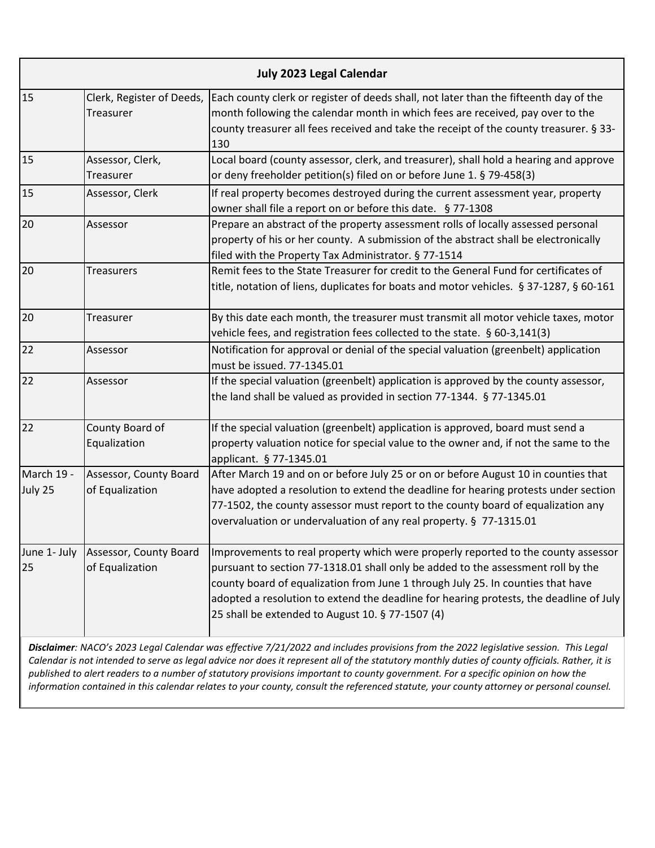| <b>July 2023 Legal Calendar</b> |                                                                                                                                      |                                                                                                                                                                                                                                                                                                                                                                                                        |  |
|---------------------------------|--------------------------------------------------------------------------------------------------------------------------------------|--------------------------------------------------------------------------------------------------------------------------------------------------------------------------------------------------------------------------------------------------------------------------------------------------------------------------------------------------------------------------------------------------------|--|
| 15                              | Clerk, Register of Deeds,<br>Treasurer                                                                                               | Each county clerk or register of deeds shall, not later than the fifteenth day of the<br>month following the calendar month in which fees are received, pay over to the<br>county treasurer all fees received and take the receipt of the county treasurer. § 33-<br>130                                                                                                                               |  |
| 15                              | Assessor, Clerk,<br>Treasurer                                                                                                        | Local board (county assessor, clerk, and treasurer), shall hold a hearing and approve<br>or deny freeholder petition(s) filed on or before June 1. § 79-458(3)                                                                                                                                                                                                                                         |  |
| 15                              | Assessor, Clerk                                                                                                                      | If real property becomes destroyed during the current assessment year, property<br>owner shall file a report on or before this date. §77-1308                                                                                                                                                                                                                                                          |  |
| 20                              | Assessor                                                                                                                             | Prepare an abstract of the property assessment rolls of locally assessed personal<br>property of his or her county. A submission of the abstract shall be electronically<br>filed with the Property Tax Administrator. § 77-1514                                                                                                                                                                       |  |
| 20                              | <b>Treasurers</b>                                                                                                                    | Remit fees to the State Treasurer for credit to the General Fund for certificates of<br>title, notation of liens, duplicates for boats and motor vehicles. § 37-1287, § 60-161                                                                                                                                                                                                                         |  |
| 20                              | Treasurer                                                                                                                            | By this date each month, the treasurer must transmit all motor vehicle taxes, motor<br>vehicle fees, and registration fees collected to the state. § 60-3,141(3)                                                                                                                                                                                                                                       |  |
| 22                              | Assessor                                                                                                                             | Notification for approval or denial of the special valuation (greenbelt) application<br>must be issued. 77-1345.01                                                                                                                                                                                                                                                                                     |  |
| 22                              | Assessor                                                                                                                             | If the special valuation (greenbelt) application is approved by the county assessor,<br>the land shall be valued as provided in section 77-1344. § 77-1345.01                                                                                                                                                                                                                                          |  |
| 22                              | County Board of<br>Equalization                                                                                                      | If the special valuation (greenbelt) application is approved, board must send a<br>property valuation notice for special value to the owner and, if not the same to the<br>applicant. § 77-1345.01                                                                                                                                                                                                     |  |
| March 19 -<br>July 25           | Assessor, County Board<br>of Equalization                                                                                            | After March 19 and on or before July 25 or on or before August 10 in counties that<br>have adopted a resolution to extend the deadline for hearing protests under section<br>77-1502, the county assessor must report to the county board of equalization any<br>overvaluation or undervaluation of any real property. § 77-1315.01                                                                    |  |
| June 1- July<br>25              | Assessor, County Board<br>of Equalization                                                                                            | Improvements to real property which were properly reported to the county assessor<br>pursuant to section 77-1318.01 shall only be added to the assessment roll by the<br>county board of equalization from June 1 through July 25. In counties that have<br>adopted a resolution to extend the deadline for hearing protests, the deadline of July<br>25 shall be extended to August 10. § 77-1507 (4) |  |
|                                 | Disclaimer: NACO's 2023 Legal Calendar was effective 7/21/2022 and includes provisions from the 2022 legislative session. This Legal |                                                                                                                                                                                                                                                                                                                                                                                                        |  |

*Calendar is not intended to serve as legal advice nor does it represent all of the statutory monthly duties of county officials. Rather, it is published to alert readers to a number of statutory provisions important to county government. For a specific opinion on how the information contained in this calendar relates to your county, consult the referenced statute, your county attorney or personal counsel.*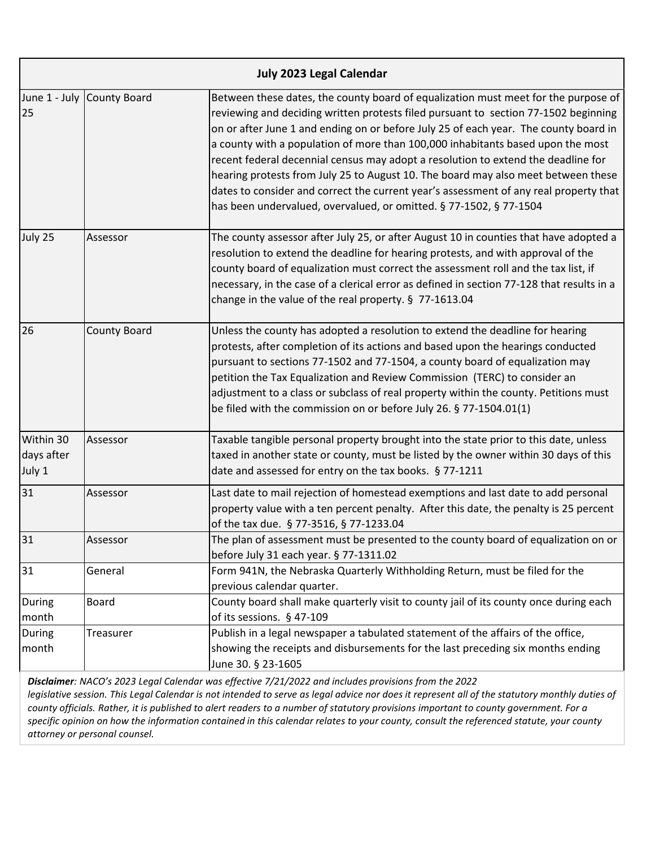|                                   |                            | <b>July 2023 Legal Calendar</b>                                                                                                                                                                                                                                                                                                                                                                                                                                                                                                                                                                                                                                                               |
|-----------------------------------|----------------------------|-----------------------------------------------------------------------------------------------------------------------------------------------------------------------------------------------------------------------------------------------------------------------------------------------------------------------------------------------------------------------------------------------------------------------------------------------------------------------------------------------------------------------------------------------------------------------------------------------------------------------------------------------------------------------------------------------|
| 25                                | June 1 - July County Board | Between these dates, the county board of equalization must meet for the purpose of<br>reviewing and deciding written protests filed pursuant to section 77-1502 beginning<br>on or after June 1 and ending on or before July 25 of each year. The county board in<br>a county with a population of more than 100,000 inhabitants based upon the most<br>recent federal decennial census may adopt a resolution to extend the deadline for<br>hearing protests from July 25 to August 10. The board may also meet between these<br>dates to consider and correct the current year's assessment of any real property that<br>has been undervalued, overvalued, or omitted. § 77-1502, § 77-1504 |
| July 25                           | Assessor                   | The county assessor after July 25, or after August 10 in counties that have adopted a<br>resolution to extend the deadline for hearing protests, and with approval of the<br>county board of equalization must correct the assessment roll and the tax list, if<br>necessary, in the case of a clerical error as defined in section 77-128 that results in a<br>change in the value of the real property. § 77-1613.04                                                                                                                                                                                                                                                                        |
| 26                                | <b>County Board</b>        | Unless the county has adopted a resolution to extend the deadline for hearing<br>protests, after completion of its actions and based upon the hearings conducted<br>pursuant to sections 77-1502 and 77-1504, a county board of equalization may<br>petition the Tax Equalization and Review Commission (TERC) to consider an<br>adjustment to a class or subclass of real property within the county. Petitions must<br>be filed with the commission on or before July 26. § 77-1504.01(1)                                                                                                                                                                                                   |
| Within 30<br>days after<br>July 1 | Assessor                   | Taxable tangible personal property brought into the state prior to this date, unless<br>taxed in another state or county, must be listed by the owner within 30 days of this<br>date and assessed for entry on the tax books. § 77-1211                                                                                                                                                                                                                                                                                                                                                                                                                                                       |
| 31                                | Assessor                   | Last date to mail rejection of homestead exemptions and last date to add personal<br>property value with a ten percent penalty. After this date, the penalty is 25 percent<br>of the tax due. § 77-3516, § 77-1233.04                                                                                                                                                                                                                                                                                                                                                                                                                                                                         |
| 31                                | Assessor                   | The plan of assessment must be presented to the county board of equalization on or<br>before July 31 each year. § 77-1311.02                                                                                                                                                                                                                                                                                                                                                                                                                                                                                                                                                                  |
| 31                                | General                    | Form 941N, the Nebraska Quarterly Withholding Return, must be filed for the<br>previous calendar quarter.                                                                                                                                                                                                                                                                                                                                                                                                                                                                                                                                                                                     |
| During<br>month                   | Board                      | County board shall make quarterly visit to county jail of its county once during each<br>of its sessions. § 47-109                                                                                                                                                                                                                                                                                                                                                                                                                                                                                                                                                                            |
| <b>During</b><br>month            | Treasurer                  | Publish in a legal newspaper a tabulated statement of the affairs of the office,<br>showing the receipts and disbursements for the last preceding six months ending<br>June 30. § 23-1605                                                                                                                                                                                                                                                                                                                                                                                                                                                                                                     |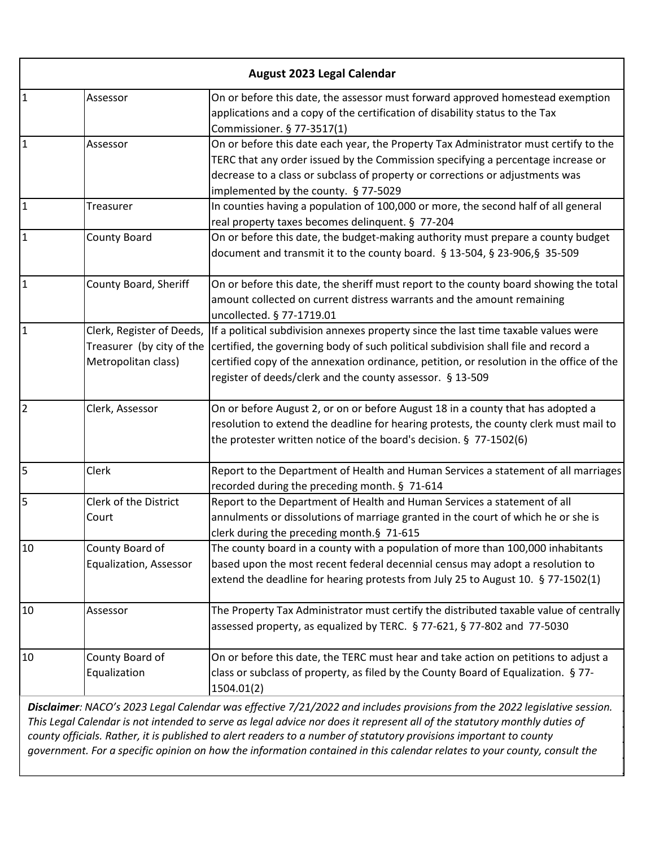|                | August 2023 Legal Calendar                                                    |                                                                                                                                                                                                                                                                                                                                                                                                                                                                                                          |  |
|----------------|-------------------------------------------------------------------------------|----------------------------------------------------------------------------------------------------------------------------------------------------------------------------------------------------------------------------------------------------------------------------------------------------------------------------------------------------------------------------------------------------------------------------------------------------------------------------------------------------------|--|
| $\mathbf{1}$   | Assessor                                                                      | On or before this date, the assessor must forward approved homestead exemption<br>applications and a copy of the certification of disability status to the Tax<br>Commissioner. § 77-3517(1)                                                                                                                                                                                                                                                                                                             |  |
| $\overline{1}$ | Assessor                                                                      | On or before this date each year, the Property Tax Administrator must certify to the<br>TERC that any order issued by the Commission specifying a percentage increase or<br>decrease to a class or subclass of property or corrections or adjustments was<br>implemented by the county. § 77-5029                                                                                                                                                                                                        |  |
| $\mathbf{1}$   | Treasurer                                                                     | In counties having a population of 100,000 or more, the second half of all general<br>real property taxes becomes delinquent. § 77-204                                                                                                                                                                                                                                                                                                                                                                   |  |
| $\overline{1}$ | <b>County Board</b>                                                           | On or before this date, the budget-making authority must prepare a county budget<br>document and transmit it to the county board. § 13-504, § 23-906, § 35-509                                                                                                                                                                                                                                                                                                                                           |  |
| $\overline{1}$ | County Board, Sheriff                                                         | On or before this date, the sheriff must report to the county board showing the total<br>amount collected on current distress warrants and the amount remaining<br>uncollected. § 77-1719.01                                                                                                                                                                                                                                                                                                             |  |
| $\overline{1}$ | Clerk, Register of Deeds,<br>Treasurer (by city of the<br>Metropolitan class) | If a political subdivision annexes property since the last time taxable values were<br>certified, the governing body of such political subdivision shall file and record a<br>certified copy of the annexation ordinance, petition, or resolution in the office of the<br>register of deeds/clerk and the county assessor. § 13-509                                                                                                                                                                      |  |
| $\overline{2}$ | Clerk, Assessor                                                               | On or before August 2, or on or before August 18 in a county that has adopted a<br>resolution to extend the deadline for hearing protests, the county clerk must mail to<br>the protester written notice of the board's decision. § 77-1502(6)                                                                                                                                                                                                                                                           |  |
| 5              | Clerk                                                                         | Report to the Department of Health and Human Services a statement of all marriages<br>recorded during the preceding month. § 71-614                                                                                                                                                                                                                                                                                                                                                                      |  |
| 5              | Clerk of the District<br>Court                                                | Report to the Department of Health and Human Services a statement of all<br>annulments or dissolutions of marriage granted in the court of which he or she is<br>clerk during the preceding month.§ 71-615                                                                                                                                                                                                                                                                                               |  |
| 10             | County Board of<br>Equalization, Assessor                                     | The county board in a county with a population of more than 100,000 inhabitants<br>based upon the most recent federal decennial census may adopt a resolution to<br>extend the deadline for hearing protests from July 25 to August 10. § 77-1502(1)                                                                                                                                                                                                                                                     |  |
| 10             | Assessor                                                                      | The Property Tax Administrator must certify the distributed taxable value of centrally<br>assessed property, as equalized by TERC. § 77-621, § 77-802 and 77-5030                                                                                                                                                                                                                                                                                                                                        |  |
| 10             | County Board of<br>Equalization                                               | On or before this date, the TERC must hear and take action on petitions to adjust a<br>class or subclass of property, as filed by the County Board of Equalization. § 77-<br>1504.01(2)                                                                                                                                                                                                                                                                                                                  |  |
|                |                                                                               | Disclaimer: NACO's 2023 Legal Calendar was effective 7/21/2022 and includes provisions from the 2022 legislative session.<br>This Legal Calendar is not intended to serve as legal advice nor does it represent all of the statutory monthly duties of<br>county officials. Rather, it is published to alert readers to a number of statutory provisions important to county<br>government. For a specific opinion on how the information contained in this calendar relates to your county, consult the |  |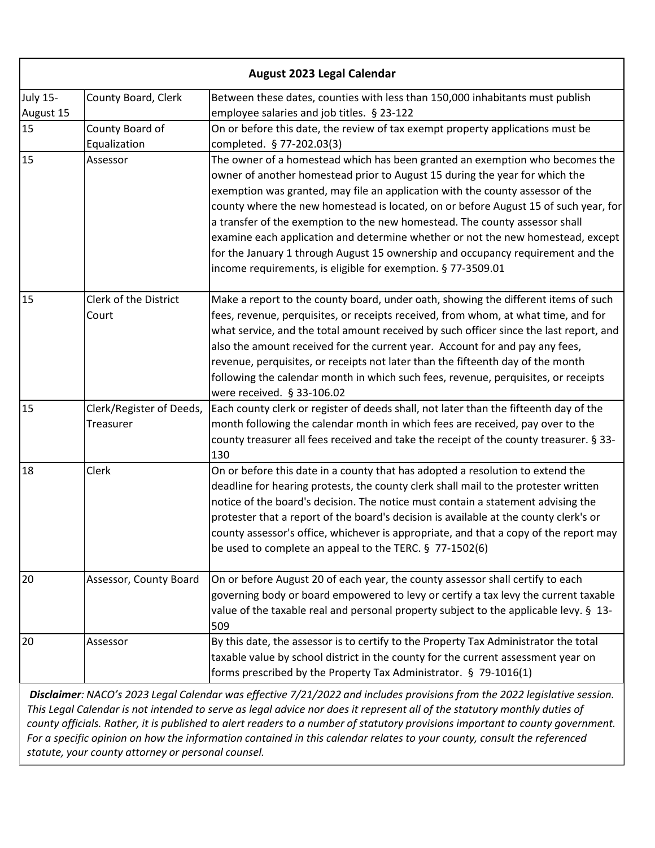| August 2023 Legal Calendar   |                                              |                                                                                                                                                                                                                                                                                                                                                                                                                                                                                                                                                                                                                                                           |
|------------------------------|----------------------------------------------|-----------------------------------------------------------------------------------------------------------------------------------------------------------------------------------------------------------------------------------------------------------------------------------------------------------------------------------------------------------------------------------------------------------------------------------------------------------------------------------------------------------------------------------------------------------------------------------------------------------------------------------------------------------|
| <b>July 15-</b><br>August 15 | County Board, Clerk                          | Between these dates, counties with less than 150,000 inhabitants must publish<br>employee salaries and job titles. § 23-122                                                                                                                                                                                                                                                                                                                                                                                                                                                                                                                               |
| 15                           | County Board of<br>Equalization              | On or before this date, the review of tax exempt property applications must be<br>completed. § 77-202.03(3)                                                                                                                                                                                                                                                                                                                                                                                                                                                                                                                                               |
| 15                           | Assessor                                     | The owner of a homestead which has been granted an exemption who becomes the<br>owner of another homestead prior to August 15 during the year for which the<br>exemption was granted, may file an application with the county assessor of the<br>county where the new homestead is located, on or before August 15 of such year, for<br>a transfer of the exemption to the new homestead. The county assessor shall<br>examine each application and determine whether or not the new homestead, except<br>for the January 1 through August 15 ownership and occupancy requirement and the<br>income requirements, is eligible for exemption. § 77-3509.01 |
| 15                           | Clerk of the District<br>Court               | Make a report to the county board, under oath, showing the different items of such<br>fees, revenue, perquisites, or receipts received, from whom, at what time, and for<br>what service, and the total amount received by such officer since the last report, and<br>also the amount received for the current year. Account for and pay any fees,<br>revenue, perquisites, or receipts not later than the fifteenth day of the month<br>following the calendar month in which such fees, revenue, perquisites, or receipts<br>were received. § 33-106.02                                                                                                 |
| 15                           | Clerk/Register of Deeds,<br><b>Treasurer</b> | Each county clerk or register of deeds shall, not later than the fifteenth day of the<br>month following the calendar month in which fees are received, pay over to the<br>county treasurer all fees received and take the receipt of the county treasurer. § 33-<br>130                                                                                                                                                                                                                                                                                                                                                                                  |
| 18                           | Clerk                                        | On or before this date in a county that has adopted a resolution to extend the<br>deadline for hearing protests, the county clerk shall mail to the protester written<br>notice of the board's decision. The notice must contain a statement advising the<br>protester that a report of the board's decision is available at the county clerk's or<br>county assessor's office, whichever is appropriate, and that a copy of the report may<br>be used to complete an appeal to the TERC. § 77-1502(6)                                                                                                                                                    |
| 20                           | Assessor, County Board                       | On or before August 20 of each year, the county assessor shall certify to each<br>governing body or board empowered to levy or certify a tax levy the current taxable<br>value of the taxable real and personal property subject to the applicable levy. § 13-<br>509                                                                                                                                                                                                                                                                                                                                                                                     |
| 20                           | Assessor                                     | By this date, the assessor is to certify to the Property Tax Administrator the total<br>taxable value by school district in the county for the current assessment year on<br>forms prescribed by the Property Tax Administrator. § 79-1016(1)                                                                                                                                                                                                                                                                                                                                                                                                             |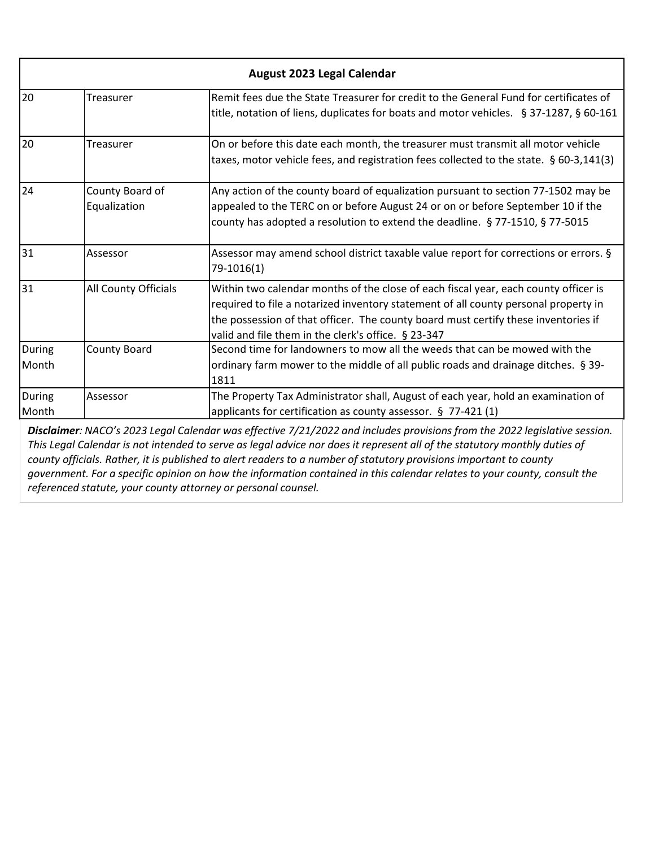| August 2023 Legal Calendar |                                 |                                                                                                                                                                                                                                                                                                                         |
|----------------------------|---------------------------------|-------------------------------------------------------------------------------------------------------------------------------------------------------------------------------------------------------------------------------------------------------------------------------------------------------------------------|
| 20                         | Treasurer                       | Remit fees due the State Treasurer for credit to the General Fund for certificates of<br>title, notation of liens, duplicates for boats and motor vehicles. § 37-1287, § 60-161                                                                                                                                         |
| 20                         | Treasurer                       | On or before this date each month, the treasurer must transmit all motor vehicle<br>taxes, motor vehicle fees, and registration fees collected to the state. § 60-3,141(3)                                                                                                                                              |
| 24                         | County Board of<br>Equalization | Any action of the county board of equalization pursuant to section 77-1502 may be<br>appealed to the TERC on or before August 24 or on or before September 10 if the<br>county has adopted a resolution to extend the deadline. § 77-1510, § 77-5015                                                                    |
| 31                         | Assessor                        | Assessor may amend school district taxable value report for corrections or errors. §<br>79-1016(1)                                                                                                                                                                                                                      |
| 31                         | All County Officials            | Within two calendar months of the close of each fiscal year, each county officer is<br>required to file a notarized inventory statement of all county personal property in<br>the possession of that officer. The county board must certify these inventories if<br>valid and file them in the clerk's office. § 23-347 |
| During<br>Month            | County Board                    | Second time for landowners to mow all the weeds that can be mowed with the<br>ordinary farm mower to the middle of all public roads and drainage ditches. § 39-<br>1811                                                                                                                                                 |
| During<br>Month            | Assessor                        | The Property Tax Administrator shall, August of each year, hold an examination of<br>applicants for certification as county assessor. § 77-421 (1)<br><b>Disclaimer:</b> NACO's 2023 Legal Calendar was effective 7/21/2022 and includes provisions from the 2022 legislative session                                   |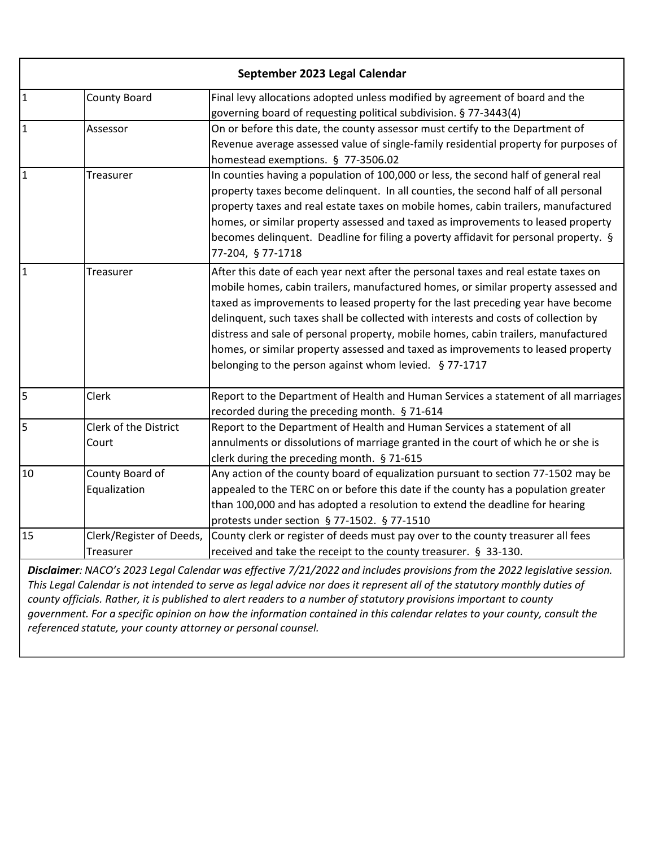| September 2023 Legal Calendar                                                                                             |                          |                                                                                      |
|---------------------------------------------------------------------------------------------------------------------------|--------------------------|--------------------------------------------------------------------------------------|
| I1                                                                                                                        | <b>County Board</b>      | Final levy allocations adopted unless modified by agreement of board and the         |
|                                                                                                                           |                          | governing board of requesting political subdivision. § 77-3443(4)                    |
| $\mathbf{1}$                                                                                                              | Assessor                 | On or before this date, the county assessor must certify to the Department of        |
|                                                                                                                           |                          | Revenue average assessed value of single-family residential property for purposes of |
|                                                                                                                           |                          | homestead exemptions. § 77-3506.02                                                   |
| $\mathbf{1}$                                                                                                              | Treasurer                | In counties having a population of 100,000 or less, the second half of general real  |
|                                                                                                                           |                          | property taxes become delinquent. In all counties, the second half of all personal   |
|                                                                                                                           |                          | property taxes and real estate taxes on mobile homes, cabin trailers, manufactured   |
|                                                                                                                           |                          | homes, or similar property assessed and taxed as improvements to leased property     |
|                                                                                                                           |                          | becomes delinquent. Deadline for filing a poverty affidavit for personal property. § |
|                                                                                                                           |                          | 77-204, § 77-1718                                                                    |
| $\mathbf{1}$                                                                                                              | Treasurer                | After this date of each year next after the personal taxes and real estate taxes on  |
|                                                                                                                           |                          | mobile homes, cabin trailers, manufactured homes, or similar property assessed and   |
|                                                                                                                           |                          | taxed as improvements to leased property for the last preceding year have become     |
|                                                                                                                           |                          | delinquent, such taxes shall be collected with interests and costs of collection by  |
|                                                                                                                           |                          | distress and sale of personal property, mobile homes, cabin trailers, manufactured   |
|                                                                                                                           |                          | homes, or similar property assessed and taxed as improvements to leased property     |
|                                                                                                                           |                          | belonging to the person against whom levied. § 77-1717                               |
| 5                                                                                                                         | Clerk                    | Report to the Department of Health and Human Services a statement of all marriages   |
|                                                                                                                           |                          | recorded during the preceding month. § 71-614                                        |
| 5                                                                                                                         | Clerk of the District    | Report to the Department of Health and Human Services a statement of all             |
|                                                                                                                           | Court                    | annulments or dissolutions of marriage granted in the court of which he or she is    |
|                                                                                                                           |                          | clerk during the preceding month. § 71-615                                           |
| 10                                                                                                                        | County Board of          | Any action of the county board of equalization pursuant to section 77-1502 may be    |
|                                                                                                                           | Equalization             | appealed to the TERC on or before this date if the county has a population greater   |
|                                                                                                                           |                          | than 100,000 and has adopted a resolution to extend the deadline for hearing         |
|                                                                                                                           |                          | protests under section § 77-1502. § 77-1510                                          |
| 15                                                                                                                        | Clerk/Register of Deeds, | County clerk or register of deeds must pay over to the county treasurer all fees     |
|                                                                                                                           | Treasurer                | received and take the receipt to the county treasurer. § 33-130.                     |
| Disclaimer: NACO's 2023 Legal Calendar was effective 7/21/2022 and includes provisions from the 2022 legislative session. |                          |                                                                                      |

*This Legal Calendar is not intended to serve as legal advice nor does it represent all of the statutory monthly duties of county officials. Rather, it is published to alert readers to a number of statutory provisions important to county government. For a specific opinion on how the information contained in this calendar relates to your county, consult the referenced statute, your county attorney or personal counsel.*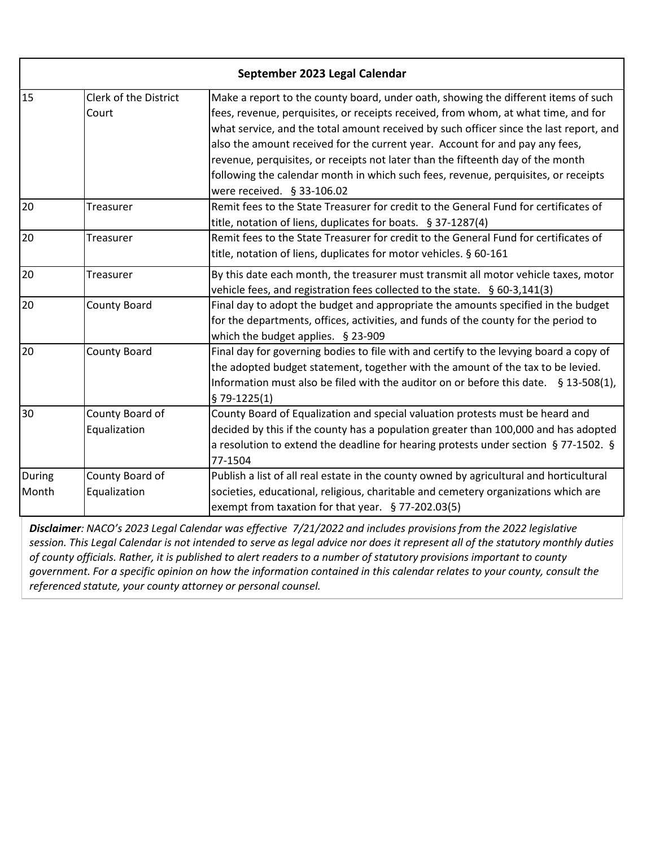|        | September 2023 Legal Calendar |                                                                                                                  |  |
|--------|-------------------------------|------------------------------------------------------------------------------------------------------------------|--|
| 15     | Clerk of the District         | Make a report to the county board, under oath, showing the different items of such                               |  |
|        | Court                         | fees, revenue, perquisites, or receipts received, from whom, at what time, and for                               |  |
|        |                               | what service, and the total amount received by such officer since the last report, and                           |  |
|        |                               | also the amount received for the current year. Account for and pay any fees,                                     |  |
|        |                               | revenue, perquisites, or receipts not later than the fifteenth day of the month                                  |  |
|        |                               | following the calendar month in which such fees, revenue, perquisites, or receipts                               |  |
|        |                               | were received. § 33-106.02                                                                                       |  |
| 20     | Treasurer                     | Remit fees to the State Treasurer for credit to the General Fund for certificates of                             |  |
|        |                               | title, notation of liens, duplicates for boats. § 37-1287(4)                                                     |  |
| 20     | Treasurer                     | Remit fees to the State Treasurer for credit to the General Fund for certificates of                             |  |
|        |                               | title, notation of liens, duplicates for motor vehicles. § 60-161                                                |  |
| 20     | Treasurer                     | By this date each month, the treasurer must transmit all motor vehicle taxes, motor                              |  |
|        |                               | vehicle fees, and registration fees collected to the state. § 60-3,141(3)                                        |  |
| 20     | <b>County Board</b>           | Final day to adopt the budget and appropriate the amounts specified in the budget                                |  |
|        |                               | for the departments, offices, activities, and funds of the county for the period to                              |  |
|        |                               | which the budget applies. § 23-909                                                                               |  |
| 20     | <b>County Board</b>           | Final day for governing bodies to file with and certify to the levying board a copy of                           |  |
|        |                               | the adopted budget statement, together with the amount of the tax to be levied.                                  |  |
|        |                               | Information must also be filed with the auditor on or before this date. $\S$ 13-508(1),                          |  |
|        |                               | $$79-1225(1)$                                                                                                    |  |
| 30     | County Board of               | County Board of Equalization and special valuation protests must be heard and                                    |  |
|        | Equalization                  | decided by this if the county has a population greater than 100,000 and has adopted                              |  |
|        |                               | a resolution to extend the deadline for hearing protests under section § 77-1502. §                              |  |
|        |                               | 77-1504                                                                                                          |  |
| During | County Board of               | Publish a list of all real estate in the county owned by agricultural and horticultural                          |  |
| Month  | Equalization                  | societies, educational, religious, charitable and cemetery organizations which are                               |  |
|        |                               | exempt from taxation for that year. $§$ 77-202.03(5)                                                             |  |
|        |                               | Disclaimer: NACO's 2023 Legal Calendar was effective 7/21/2022 and includes provisions from the 2022 legislative |  |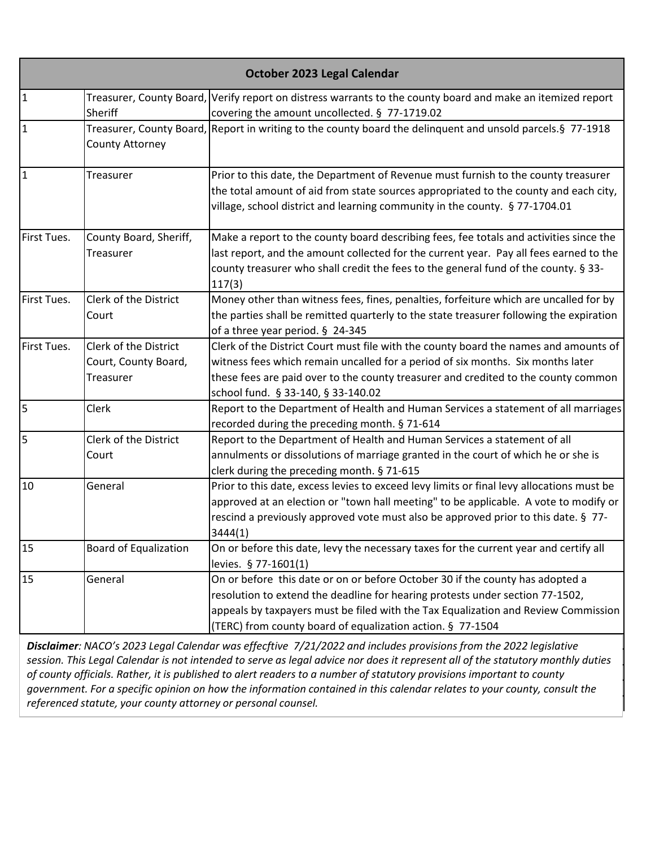| October 2023 Legal Calendar |                                                            |                                                                                                                                                                                                                                                                                                                    |
|-----------------------------|------------------------------------------------------------|--------------------------------------------------------------------------------------------------------------------------------------------------------------------------------------------------------------------------------------------------------------------------------------------------------------------|
| 1                           | Sheriff                                                    | Treasurer, County Board, Verify report on distress warrants to the county board and make an itemized report<br>covering the amount uncollected. § 77-1719.02                                                                                                                                                       |
| 1                           | <b>County Attorney</b>                                     | Treasurer, County Board, Report in writing to the county board the delinquent and unsold parcels. § 77-1918                                                                                                                                                                                                        |
| 1                           | Treasurer                                                  | Prior to this date, the Department of Revenue must furnish to the county treasurer<br>the total amount of aid from state sources appropriated to the county and each city,<br>village, school district and learning community in the county. § 77-1704.01                                                          |
| First Tues.                 | County Board, Sheriff,<br>Treasurer                        | Make a report to the county board describing fees, fee totals and activities since the<br>last report, and the amount collected for the current year. Pay all fees earned to the<br>county treasurer who shall credit the fees to the general fund of the county. § 33-<br>117(3)                                  |
| First Tues.                 | <b>Clerk of the District</b><br>Court                      | Money other than witness fees, fines, penalties, forfeiture which are uncalled for by<br>the parties shall be remitted quarterly to the state treasurer following the expiration<br>of a three year period. § 24-345                                                                                               |
| First Tues.                 | Clerk of the District<br>Court, County Board,<br>Treasurer | Clerk of the District Court must file with the county board the names and amounts of<br>witness fees which remain uncalled for a period of six months. Six months later<br>these fees are paid over to the county treasurer and credited to the county common<br>school fund. § 33-140, § 33-140.02                |
| 5                           | Clerk                                                      | Report to the Department of Health and Human Services a statement of all marriages<br>recorded during the preceding month. § 71-614                                                                                                                                                                                |
| l5                          | Clerk of the District<br>Court                             | Report to the Department of Health and Human Services a statement of all<br>annulments or dissolutions of marriage granted in the court of which he or she is<br>clerk during the preceding month. § 71-615                                                                                                        |
| 10                          | General                                                    | Prior to this date, excess levies to exceed levy limits or final levy allocations must be<br>approved at an election or "town hall meeting" to be applicable. A vote to modify or<br>rescind a previously approved vote must also be approved prior to this date. § 77-<br>3444(1)                                 |
| 15                          | <b>Board of Equalization</b>                               | On or before this date, levy the necessary taxes for the current year and certify all<br>levies. § 77-1601(1)                                                                                                                                                                                                      |
| 15                          | General                                                    | On or before this date or on or before October 30 if the county has adopted a<br>resolution to extend the deadline for hearing protests under section 77-1502,<br>appeals by taxpayers must be filed with the Tax Equalization and Review Commission<br>(TERC) from county board of equalization action. § 77-1504 |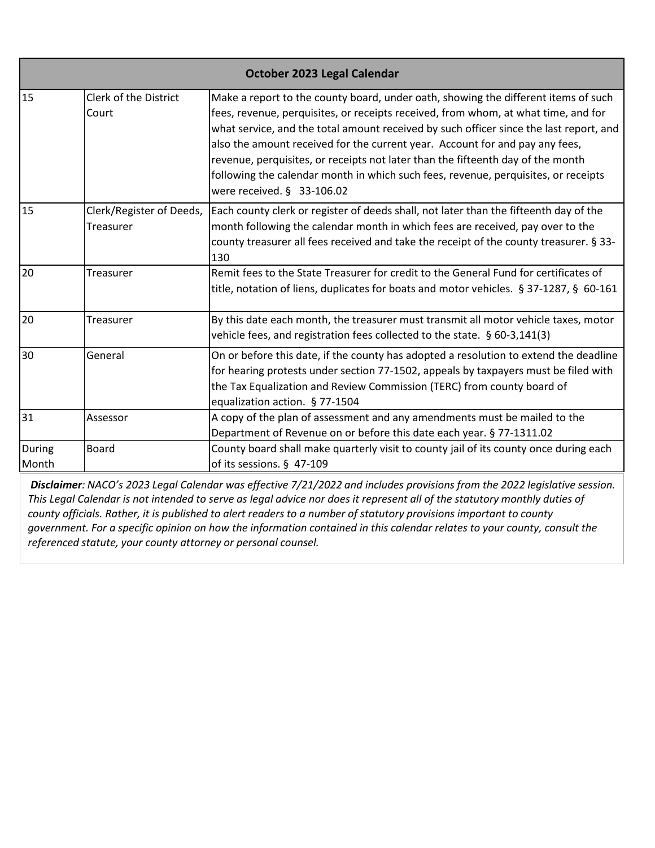| October 2023 Legal Calendar |                                       |                                                                                                                                                                                                                                                                                                                                                                                                                                                                                                                                                             |
|-----------------------------|---------------------------------------|-------------------------------------------------------------------------------------------------------------------------------------------------------------------------------------------------------------------------------------------------------------------------------------------------------------------------------------------------------------------------------------------------------------------------------------------------------------------------------------------------------------------------------------------------------------|
| 15                          | Clerk of the District<br>Court        | Make a report to the county board, under oath, showing the different items of such<br>fees, revenue, perquisites, or receipts received, from whom, at what time, and for<br>what service, and the total amount received by such officer since the last report, and<br>also the amount received for the current year. Account for and pay any fees,<br>revenue, perquisites, or receipts not later than the fifteenth day of the month<br>following the calendar month in which such fees, revenue, perquisites, or receipts<br>were received. $§$ 33-106.02 |
| 15                          | Clerk/Register of Deeds,<br>Treasurer | Each county clerk or register of deeds shall, not later than the fifteenth day of the<br>month following the calendar month in which fees are received, pay over to the<br>county treasurer all fees received and take the receipt of the county treasurer. § 33-<br>130                                                                                                                                                                                                                                                                                    |
| 20                          | Treasurer                             | Remit fees to the State Treasurer for credit to the General Fund for certificates of<br>title, notation of liens, duplicates for boats and motor vehicles. § 37-1287, § 60-161                                                                                                                                                                                                                                                                                                                                                                              |
| 20                          | Treasurer                             | By this date each month, the treasurer must transmit all motor vehicle taxes, motor<br>vehicle fees, and registration fees collected to the state. § 60-3,141(3)                                                                                                                                                                                                                                                                                                                                                                                            |
| 30                          | General                               | On or before this date, if the county has adopted a resolution to extend the deadline<br>for hearing protests under section 77-1502, appeals by taxpayers must be filed with<br>the Tax Equalization and Review Commission (TERC) from county board of<br>equalization action. § 77-1504                                                                                                                                                                                                                                                                    |
| 31                          | Assessor                              | A copy of the plan of assessment and any amendments must be mailed to the<br>Department of Revenue on or before this date each year. § 77-1311.02                                                                                                                                                                                                                                                                                                                                                                                                           |
| During<br>Month             | <b>Board</b>                          | County board shall make quarterly visit to county jail of its county once during each<br>of its sessions. § 47-109                                                                                                                                                                                                                                                                                                                                                                                                                                          |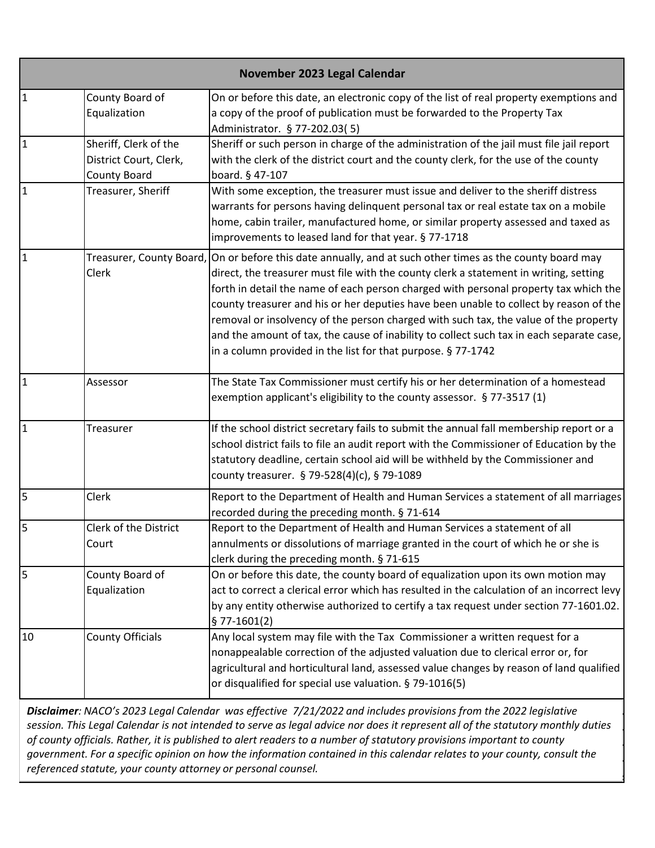|                | November 2023 Legal Calendar                                           |                                                                                                                                                                                                                                                                                                                                                                                                                                                                                                                                                                                                                |  |
|----------------|------------------------------------------------------------------------|----------------------------------------------------------------------------------------------------------------------------------------------------------------------------------------------------------------------------------------------------------------------------------------------------------------------------------------------------------------------------------------------------------------------------------------------------------------------------------------------------------------------------------------------------------------------------------------------------------------|--|
| $\overline{1}$ | County Board of<br>Equalization                                        | On or before this date, an electronic copy of the list of real property exemptions and<br>a copy of the proof of publication must be forwarded to the Property Tax<br>Administrator. § 77-202.03(5)                                                                                                                                                                                                                                                                                                                                                                                                            |  |
| $\overline{1}$ | Sheriff, Clerk of the<br>District Court, Clerk,<br><b>County Board</b> | Sheriff or such person in charge of the administration of the jail must file jail report<br>with the clerk of the district court and the county clerk, for the use of the county<br>board. § 47-107                                                                                                                                                                                                                                                                                                                                                                                                            |  |
| $\overline{1}$ | Treasurer, Sheriff                                                     | With some exception, the treasurer must issue and deliver to the sheriff distress<br>warrants for persons having delinquent personal tax or real estate tax on a mobile<br>home, cabin trailer, manufactured home, or similar property assessed and taxed as<br>improvements to leased land for that year. § 77-1718                                                                                                                                                                                                                                                                                           |  |
| $\mathbf{1}$   | Treasurer, County Board,<br>Clerk                                      | On or before this date annually, and at such other times as the county board may<br>direct, the treasurer must file with the county clerk a statement in writing, setting<br>forth in detail the name of each person charged with personal property tax which the<br>county treasurer and his or her deputies have been unable to collect by reason of the<br>removal or insolvency of the person charged with such tax, the value of the property<br>and the amount of tax, the cause of inability to collect such tax in each separate case,<br>in a column provided in the list for that purpose. § 77-1742 |  |
| $\mathbf{1}$   | Assessor                                                               | The State Tax Commissioner must certify his or her determination of a homestead<br>exemption applicant's eligibility to the county assessor. § 77-3517 (1)                                                                                                                                                                                                                                                                                                                                                                                                                                                     |  |
| $\overline{1}$ | <b>Treasurer</b>                                                       | If the school district secretary fails to submit the annual fall membership report or a<br>school district fails to file an audit report with the Commissioner of Education by the<br>statutory deadline, certain school aid will be withheld by the Commissioner and<br>county treasurer. § 79-528(4)(c), § 79-1089                                                                                                                                                                                                                                                                                           |  |
| $\overline{5}$ | Clerk                                                                  | Report to the Department of Health and Human Services a statement of all marriages<br>recorded during the preceding month. § 71-614                                                                                                                                                                                                                                                                                                                                                                                                                                                                            |  |
| 5              | Clerk of the District<br>Court                                         | Report to the Department of Health and Human Services a statement of all<br>annulments or dissolutions of marriage granted in the court of which he or she is<br>clerk during the preceding month. § 71-615                                                                                                                                                                                                                                                                                                                                                                                                    |  |
| 5              | County Board of<br>Equalization                                        | On or before this date, the county board of equalization upon its own motion may<br>act to correct a clerical error which has resulted in the calculation of an incorrect levy<br>by any entity otherwise authorized to certify a tax request under section 77-1601.02.<br>$$77-1601(2)$                                                                                                                                                                                                                                                                                                                       |  |
| 10             | <b>County Officials</b>                                                | Any local system may file with the Tax Commissioner a written request for a<br>nonappealable correction of the adjusted valuation due to clerical error or, for<br>agricultural and horticultural land, assessed value changes by reason of land qualified<br>or disqualified for special use valuation. § 79-1016(5)                                                                                                                                                                                                                                                                                          |  |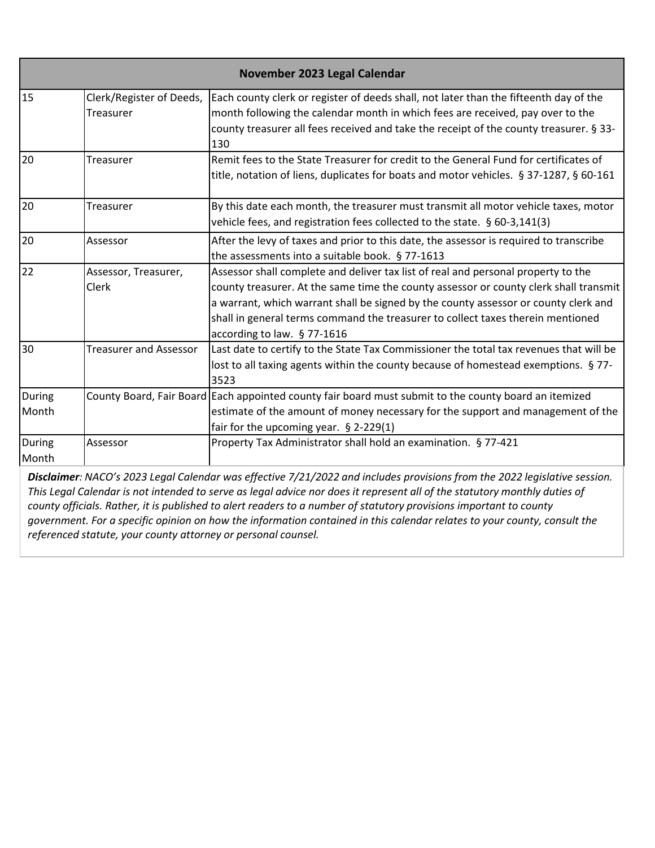| November 2023 Legal Calendar |                                       |                                                                                                                                                                                                                                                                                                                                                                                     |
|------------------------------|---------------------------------------|-------------------------------------------------------------------------------------------------------------------------------------------------------------------------------------------------------------------------------------------------------------------------------------------------------------------------------------------------------------------------------------|
| 15                           | Clerk/Register of Deeds,<br>Treasurer | Each county clerk or register of deeds shall, not later than the fifteenth day of the<br>month following the calendar month in which fees are received, pay over to the<br>county treasurer all fees received and take the receipt of the county treasurer. § 33-<br>130                                                                                                            |
| 20                           | <b>Treasurer</b>                      | Remit fees to the State Treasurer for credit to the General Fund for certificates of<br>title, notation of liens, duplicates for boats and motor vehicles. § 37-1287, § 60-161                                                                                                                                                                                                      |
| 20                           | <b>Treasurer</b>                      | By this date each month, the treasurer must transmit all motor vehicle taxes, motor<br>vehicle fees, and registration fees collected to the state. § 60-3,141(3)                                                                                                                                                                                                                    |
| 20                           | Assessor                              | After the levy of taxes and prior to this date, the assessor is required to transcribe<br>the assessments into a suitable book. § 77-1613                                                                                                                                                                                                                                           |
| $\overline{22}$              | Assessor, Treasurer,<br>Clerk         | Assessor shall complete and deliver tax list of real and personal property to the<br>county treasurer. At the same time the county assessor or county clerk shall transmit<br>a warrant, which warrant shall be signed by the county assessor or county clerk and<br>shall in general terms command the treasurer to collect taxes therein mentioned<br>according to law. § 77-1616 |
| 30                           | <b>Treasurer and Assessor</b>         | Last date to certify to the State Tax Commissioner the total tax revenues that will be<br>lost to all taxing agents within the county because of homestead exemptions. §77-<br>3523                                                                                                                                                                                                 |
| <b>During</b><br>Month       |                                       | County Board, Fair Board Each appointed county fair board must submit to the county board an itemized<br>estimate of the amount of money necessary for the support and management of the<br>fair for the upcoming year. § 2-229(1)                                                                                                                                                  |
| During<br>Month              | Assessor                              | Property Tax Administrator shall hold an examination. § 77-421                                                                                                                                                                                                                                                                                                                      |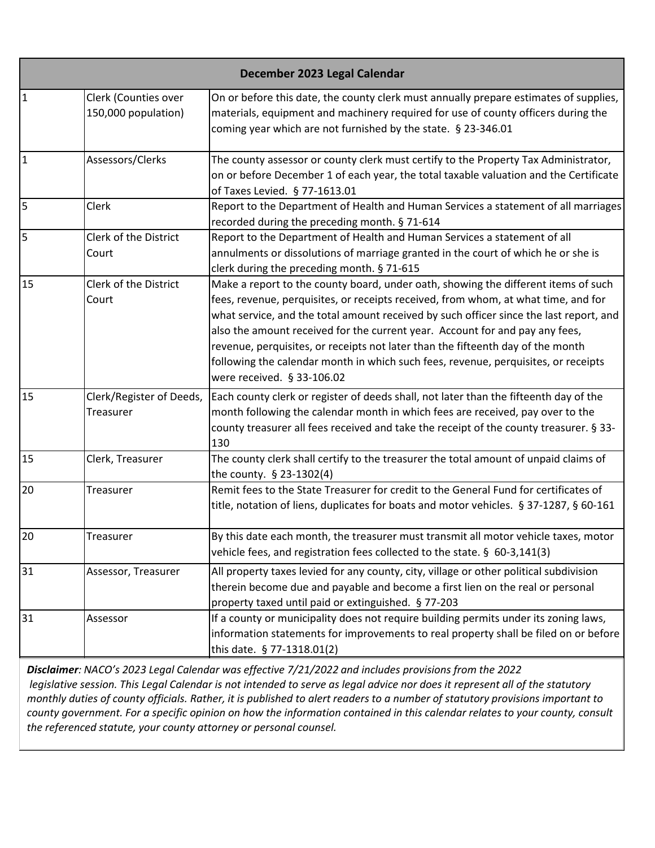| December 2023 Legal Calendar |                                             |                                                                                                                                                                                                                                                                                                                                                                                                                                                                                                                                                           |
|------------------------------|---------------------------------------------|-----------------------------------------------------------------------------------------------------------------------------------------------------------------------------------------------------------------------------------------------------------------------------------------------------------------------------------------------------------------------------------------------------------------------------------------------------------------------------------------------------------------------------------------------------------|
| $\mathbf{1}$                 | Clerk (Counties over<br>150,000 population) | On or before this date, the county clerk must annually prepare estimates of supplies,<br>materials, equipment and machinery required for use of county officers during the<br>coming year which are not furnished by the state. § 23-346.01                                                                                                                                                                                                                                                                                                               |
| $\overline{1}$               | Assessors/Clerks                            | The county assessor or county clerk must certify to the Property Tax Administrator,<br>on or before December 1 of each year, the total taxable valuation and the Certificate<br>of Taxes Levied. § 77-1613.01                                                                                                                                                                                                                                                                                                                                             |
| 5                            | Clerk                                       | Report to the Department of Health and Human Services a statement of all marriages<br>recorded during the preceding month. § 71-614                                                                                                                                                                                                                                                                                                                                                                                                                       |
| 5                            | Clerk of the District<br>Court              | Report to the Department of Health and Human Services a statement of all<br>annulments or dissolutions of marriage granted in the court of which he or she is<br>clerk during the preceding month. § 71-615                                                                                                                                                                                                                                                                                                                                               |
| 15                           | Clerk of the District<br>Court              | Make a report to the county board, under oath, showing the different items of such<br>fees, revenue, perquisites, or receipts received, from whom, at what time, and for<br>what service, and the total amount received by such officer since the last report, and<br>also the amount received for the current year. Account for and pay any fees,<br>revenue, perquisites, or receipts not later than the fifteenth day of the month<br>following the calendar month in which such fees, revenue, perquisites, or receipts<br>were received. § 33-106.02 |
| 15                           | Clerk/Register of Deeds,<br>Treasurer       | Each county clerk or register of deeds shall, not later than the fifteenth day of the<br>month following the calendar month in which fees are received, pay over to the<br>county treasurer all fees received and take the receipt of the county treasurer. § 33-<br>130                                                                                                                                                                                                                                                                                  |
| 15                           | Clerk, Treasurer                            | The county clerk shall certify to the treasurer the total amount of unpaid claims of<br>the county. § 23-1302(4)                                                                                                                                                                                                                                                                                                                                                                                                                                          |
| 20                           | Treasurer                                   | Remit fees to the State Treasurer for credit to the General Fund for certificates of<br>title, notation of liens, duplicates for boats and motor vehicles. § 37-1287, § 60-161                                                                                                                                                                                                                                                                                                                                                                            |
| 20                           | Treasurer                                   | By this date each month, the treasurer must transmit all motor vehicle taxes, motor<br>vehicle fees, and registration fees collected to the state. § 60-3,141(3)                                                                                                                                                                                                                                                                                                                                                                                          |
| 31                           | Assessor, Treasurer                         | All property taxes levied for any county, city, village or other political subdivision<br>therein become due and payable and become a first lien on the real or personal<br>property taxed until paid or extinguished. § 77-203                                                                                                                                                                                                                                                                                                                           |
| 31                           | Assessor                                    | If a county or municipality does not require building permits under its zoning laws,<br>information statements for improvements to real property shall be filed on or before<br>this date. § 77-1318.01(2)                                                                                                                                                                                                                                                                                                                                                |